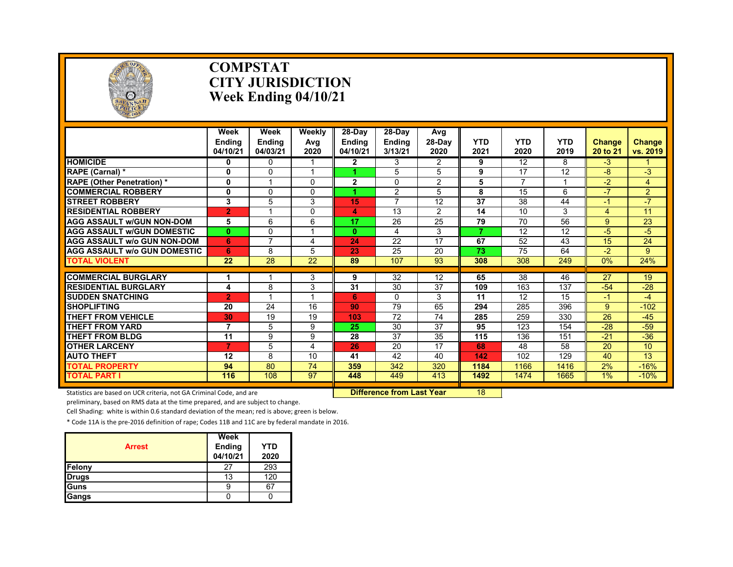

#### **COMPSTAT CITY JURISDICTION Week Ending 04/10/21**

|                                     | Week<br><b>Endina</b><br>04/10/21 | Week<br><b>Ending</b><br>04/03/21 | <b>Weekly</b><br>Avg<br>2020 | 28-Day<br><b>Ending</b><br>04/10/21 | 28-Day<br><b>Ending</b><br>3/13/21 | Avg<br>$28-Dav$<br>2020 | <b>YTD</b><br>2021 | <b>YTD</b><br>2020 | <b>YTD</b><br>2019 | <b>Change</b><br>20 to 21 | <b>Change</b><br>vs. 2019 |
|-------------------------------------|-----------------------------------|-----------------------------------|------------------------------|-------------------------------------|------------------------------------|-------------------------|--------------------|--------------------|--------------------|---------------------------|---------------------------|
| <b>HOMICIDE</b>                     | 0                                 | 0                                 |                              | $\mathbf{2}$                        | 3                                  | $\overline{2}$          | 9                  | 12                 | 8                  | $-3$                      |                           |
| RAPE (Carnal) *                     | 0                                 | 0                                 |                              |                                     | 5                                  | 5                       | 9                  | 17                 | 12                 | -8                        | $-3$                      |
| <b>RAPE (Other Penetration) *</b>   | $\mathbf{0}$                      |                                   | $\Omega$                     | $\overline{2}$                      | 0                                  | $\overline{2}$          | 5                  | 7                  |                    | $-2$                      | 4                         |
| <b>COMMERCIAL ROBBERY</b>           | 0                                 | $\Omega$                          | $\Omega$                     |                                     | 2                                  | 5                       | 8                  | 15                 | 6                  | $-7$                      | $\overline{2}$            |
| <b>STREET ROBBERY</b>               | 3                                 | 5                                 | 3                            | 15                                  | 7                                  | 12                      | 37                 | 38                 | 44                 | $-1$                      | $-7$                      |
| <b>RESIDENTIAL ROBBERY</b>          | $\overline{2}$                    |                                   | $\Omega$                     | 4                                   | 13                                 | $\overline{2}$          | 14                 | 10                 | 3                  | 4                         | 11                        |
| <b>AGG ASSAULT w/GUN NON-DOM</b>    | 5                                 | 6                                 | 6                            | 17                                  | 26                                 | 25                      | 79                 | 70                 | 56                 | 9                         | 23                        |
| <b>AGG ASSAULT W/GUN DOMESTIC</b>   | $\mathbf{0}$                      | $\mathbf{0}$                      |                              | $\mathbf{0}$                        | 4                                  | 3                       | 7                  | 12                 | 12                 | -5                        | $-5$                      |
| <b>AGG ASSAULT w/o GUN NON-DOM</b>  | 6                                 | $\overline{7}$                    | 4                            | 24                                  | 22                                 | 17                      | 67                 | 52                 | 43                 | 15                        | 24                        |
| <b>AGG ASSAULT W/o GUN DOMESTIC</b> | 6                                 | 8                                 | 5                            | 23                                  | 25                                 | 20                      | 73                 | 75                 | 64                 | $-2$                      | $9^{\circ}$               |
| <b>TOTAL VIOLENT</b>                | 22                                | 28                                | 22                           | 89                                  | 107                                | 93                      | 308                | 308                | 249                | 0%                        | 24%                       |
|                                     |                                   |                                   |                              |                                     |                                    |                         |                    |                    |                    |                           |                           |
| <b>COMMERCIAL BURGLARY</b>          |                                   |                                   | 3                            | 9                                   | 32                                 | 12                      | 65                 | 38                 | 46                 | 27                        | 19                        |
| <b>RESIDENTIAL BURGLARY</b>         | 4                                 | 8                                 | 3                            | 31                                  | 30                                 | 37                      | 109                | 163                | 137                | $-54$                     | $-28$                     |
| <b>SUDDEN SNATCHING</b>             | $\overline{2}$                    |                                   |                              | 6                                   | 0                                  | 3                       | 11                 | 12                 | 15                 | -1                        | $-4$                      |
| <b>SHOPLIFTING</b>                  | 20                                | 24                                | 16                           | 90                                  | 79                                 | 65                      | 294                | 285                | 396                | $9^{\circ}$               | $-102$                    |
| <b>THEFT FROM VEHICLE</b>           | 30                                | 19                                | 19                           | 103                                 | 72                                 | 74                      | 285                | 259                | 330                | 26                        | $-45$                     |
| <b>THEFT FROM YARD</b>              | 7                                 | 5                                 | 9                            | 25                                  | 30                                 | 37                      | 95                 | 123                | 154                | $-28$                     | $-59$                     |
| THEFT FROM BLDG                     | 11                                | 9                                 | 9                            | 28                                  | 37                                 | 35                      | 115                | 136                | 151                | $-21$                     | $-36$                     |
| <b>OTHER LARCENY</b>                | $\overline{7}$                    | 5                                 | 4                            | 26                                  | 20                                 | 17                      | 68                 | 48                 | 58                 | 20                        | 10                        |
| <b>AUTO THEFT</b>                   | 12                                | 8                                 | 10                           | 41                                  | 42                                 | 40                      | 142                | 102                | 129                | 40                        | 13                        |
| <b>TOTAL PROPERTY</b>               | 94                                | 80                                | 74                           | 359                                 | 342                                | 320                     | 1184               | 1166               | 1416               | 2%                        | $-16%$                    |
| <b>TOTAL PART I</b>                 | 116                               | 108                               | 97                           | 448                                 | 449                                | 413                     | 1492               | 1474               | 1665               | $1\%$                     | $-10%$                    |

Statistics are based on UCR criteria, not GA Criminal Code, and are **Difference from Last Year** 18

preliminary, based on RMS data at the time prepared, and are subject to change.

Cell Shading: white is within 0.6 standard deviation of the mean; red is above; green is below.

| <b>Arrest</b> | Week<br>Ending<br>04/10/21 | <b>YTD</b><br>2020 |
|---------------|----------------------------|--------------------|
| Felony        | 27                         | 293                |
| <b>Drugs</b>  | 13                         | 120                |
| Guns          |                            | 67                 |
| <b>Gangs</b>  |                            |                    |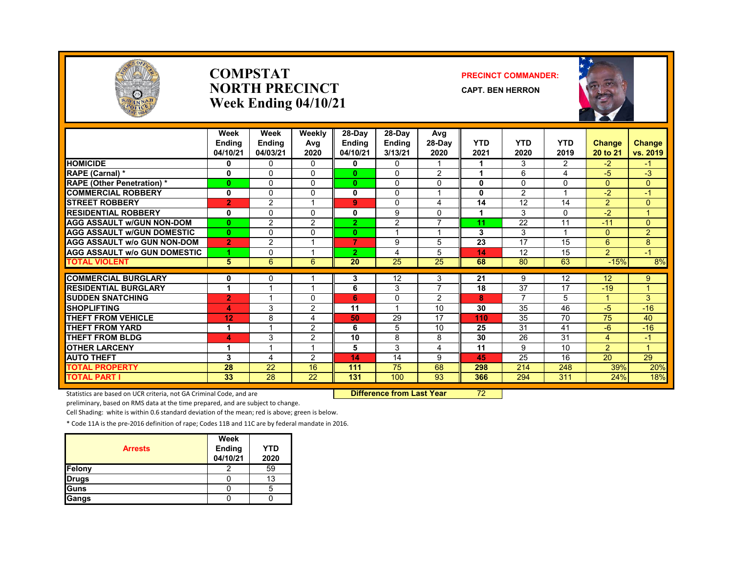

#### **COMPSTATNORTH PRECINCTWeek Ending 04/10/21**

#### **PRECINCT COMMANDER:**

**CAPT. BEN HERRON**



|                                     | Week<br><b>Endina</b><br>04/10/21 | Week<br>Ending<br>04/03/21 | Weekly<br>Avg<br>2020 | $28-Day$<br><b>Ending</b><br>04/10/21 | 28-Day<br><b>Endina</b><br>3/13/21 | Avg<br>28-Day<br>2020 | <b>YTD</b><br>2021 | <b>YTD</b><br>2020 | <b>YTD</b><br>2019 | <b>Change</b><br>20 to 21 | Change<br>vs. 2019 |
|-------------------------------------|-----------------------------------|----------------------------|-----------------------|---------------------------------------|------------------------------------|-----------------------|--------------------|--------------------|--------------------|---------------------------|--------------------|
| <b>HOMICIDE</b>                     | 0                                 | $\Omega$                   | $\Omega$              | 0                                     | $\Omega$                           |                       |                    | 3                  | $\overline{2}$     | $-2$                      | $-1$               |
| RAPE (Carnal) *                     | 0                                 | $\Omega$                   | $\Omega$              | $\bf{0}$                              | $\Omega$                           | $\overline{c}$        | 1                  | 6                  | 4                  | $-5$                      | $-3$               |
| <b>RAPE (Other Penetration) *</b>   | $\bf{0}$                          | $\Omega$                   | 0                     | $\bf{0}$                              | $\Omega$                           | $\mathbf 0$           | 0                  | $\Omega$           | $\Omega$           | $\Omega$                  | $\overline{0}$     |
| <b>COMMERCIAL ROBBERY</b>           | 0                                 | $\Omega$                   | 0                     | 0                                     | $\mathbf{0}$                       | $\overline{ }$        | 0                  | 2                  | $\overline{A}$     | $-2$                      | $-1$               |
| <b>STREET ROBBERY</b>               | $\overline{2}$                    | 2                          |                       | 9                                     | $\mathbf{0}$                       | 4                     | 14                 | 12                 | 14                 | $\overline{2}$            | $\Omega$           |
| <b>RESIDENTIAL ROBBERY</b>          | 0                                 | $\mathbf{0}$               | $\Omega$              | 0                                     | 9                                  | $\Omega$              | 1                  | 3                  | $\Omega$           | $-2$                      | 1                  |
| <b>AGG ASSAULT w/GUN NON-DOM</b>    | $\bf{0}$                          | 2                          | 2                     | 2                                     | 2                                  | $\overline{7}$        | 11                 | 22                 | 11                 | $-11$                     | $\overline{0}$     |
| <b>AGG ASSAULT w/GUN DOMESTIC</b>   | $\mathbf{0}$                      | $\mathbf{0}$               | 0                     | $\mathbf{0}$                          | ۸                                  | $\overline{ }$        | 3                  | 3                  |                    | $\Omega$                  | $\overline{2}$     |
| <b>AGG ASSAULT W/o GUN NON-DOM</b>  | $\overline{2}$                    | 2                          |                       | $\overline{7}$                        | 9                                  | 5                     | 23                 | 17                 | 15                 | 6                         | 8                  |
| <b>AGG ASSAULT W/o GUN DOMESTIC</b> | и                                 | $\Omega$                   |                       | $\overline{2}$                        | 4                                  | 5                     | 14                 | 12                 | 15                 | $\overline{2}$            | $-1$               |
| <b>TOTAL VIOLENT</b>                | 5                                 | 6                          | 6                     | 20                                    | 25                                 | 25                    | 68                 | 80                 | 63                 | $-15%$                    | 8%                 |
|                                     |                                   |                            |                       |                                       |                                    |                       |                    |                    |                    |                           |                    |
| <b>COMMERCIAL BURGLARY</b>          | 0                                 | $\mathbf{0}$               |                       | 3                                     | 12                                 | 3                     | 21                 | 9                  | 12                 | 12                        | 9                  |
| <b>RESIDENTIAL BURGLARY</b>         | 1                                 |                            |                       | 6                                     | 3                                  | $\overline{7}$        | 18                 | 37                 | 17                 | $-19$                     | 1                  |
| <b>SUDDEN SNATCHING</b>             | $\overline{2}$                    |                            | 0                     | 6                                     | $\Omega$                           | 2                     | 8                  | $\overline{ }$     | 5                  | 4                         | 3                  |
| <b>SHOPLIFTING</b>                  | 4                                 | 3                          | 2                     | 11                                    | -1                                 | 10                    | 30                 | 35                 | 46                 | $-5$                      | $-16$              |
| <b>THEFT FROM VEHICLE</b>           | 12                                | 8                          | 4                     | 50                                    | 29                                 | 17                    | 110                | 35                 | 70                 | 75                        | 40                 |
| <b>THEFT FROM YARD</b>              | 1                                 |                            | 2                     | 6                                     | 5                                  | 10                    | 25                 | 31                 | 41                 | $-6$                      | $-16$              |
| <b>THEFT FROM BLDG</b>              | 4                                 | 3                          | 2                     | 10                                    | 8                                  | 8                     | 30                 | 26                 | 31                 | 4                         | $-1$               |
| <b>OTHER LARCENY</b>                | 1                                 |                            |                       | 5                                     | 3                                  | 4                     | 11                 | 9                  | 10                 | $\overline{2}$            | 1                  |
| <b>AUTO THEFT</b>                   | 3                                 | 4                          | 2                     | 14                                    | 14                                 | 9                     | 45                 | 25                 | 16                 | 20                        | 29                 |
| <b>TOTAL PROPERTY</b>               | 28                                | 22                         | 16                    | 111                                   | 75                                 | 68                    | 298                | 214                | 248                | 39%                       | 20%                |
| <b>TOTAL PART I</b>                 | 33                                | $\overline{28}$            | 22                    | 131                                   | 100                                | 93                    | 366                | 294                | 311                | 24%                       | 18%                |

Statistics are based on UCR criteria, not GA Criminal Code, and are **Difference from Last Year** 72

preliminary, based on RMS data at the time prepared, and are subject to change.

Cell Shading: white is within 0.6 standard deviation of the mean; red is above; green is below.

| <b>Arrests</b> | Week<br>Ending<br>04/10/21 | <b>YTD</b><br>2020 |
|----------------|----------------------------|--------------------|
| Felony         |                            | 59                 |
| <b>Drugs</b>   |                            | 13                 |
| Guns           |                            |                    |
| Gangs          |                            |                    |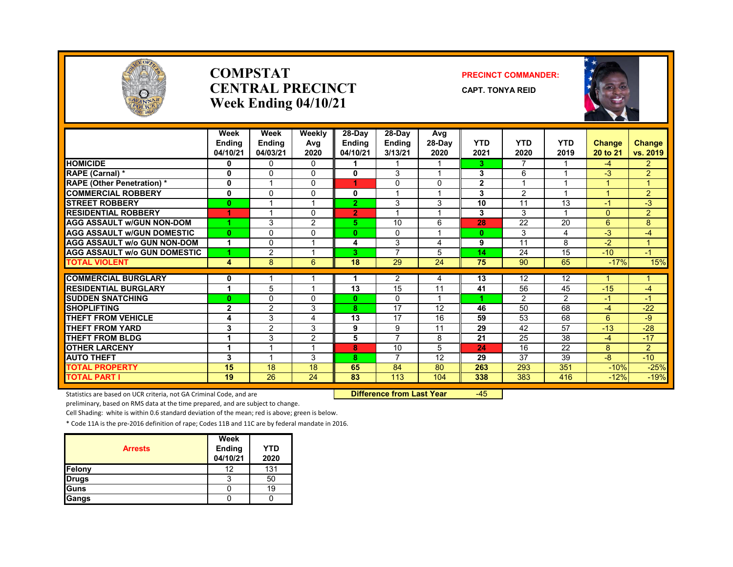

#### **COMPSTATCENTRAL PRECINCTWeek Ending 04/10/21**

#### **PRECINCT COMMANDER:**

**CAPT. TONYA REID**



|                                               | Week<br>Ending<br>04/10/21 | Week<br>Ending<br>04/03/21 | Weekly<br>Avg<br>2020 | 28-Day<br>Ending<br>04/10/21 | $28-Dav$<br><b>Ending</b><br>3/13/21 | Avg<br>28-Day<br>2020 | <b>YTD</b><br>2021 | <b>YTD</b><br>2020 | <b>YTD</b><br>2019 | Change<br>20 to 21   | <b>Change</b><br>vs. 2019 |
|-----------------------------------------------|----------------------------|----------------------------|-----------------------|------------------------------|--------------------------------------|-----------------------|--------------------|--------------------|--------------------|----------------------|---------------------------|
| <b>HOMICIDE</b>                               | 0                          | $\Omega$                   | $\Omega$              | 1.                           | 1                                    |                       | 3.                 | 7                  |                    | $-4$                 | $\overline{2}$            |
| <b>RAPE (Carnal) *</b>                        | 0                          | $\Omega$                   | $\Omega$              | $\mathbf{0}$                 | 3                                    |                       | 3                  | 6                  |                    | $-3$                 | $\overline{2}$            |
| <b>RAPE (Other Penetration) *</b>             | 0                          |                            | 0                     | 1                            | 0                                    | $\Omega$              | $\overline{2}$     |                    |                    |                      | $\mathbf{1}$              |
| <b>COMMERCIAL ROBBERY</b>                     | 0                          | $\Omega$                   | $\Omega$              | 0                            |                                      |                       | 3                  | 2                  |                    |                      | $\overline{2}$            |
| <b>STREET ROBBERY</b>                         | $\bf{0}$                   |                            |                       | $\overline{2}$               | 3                                    | 3                     | 10                 | 11                 | 13                 | $\blacktriangleleft$ | $-3$                      |
| <b>RESIDENTIAL ROBBERY</b>                    | 1                          | $\overline{\mathbf{A}}$    | 0                     | $\overline{2}$               | 4                                    |                       | 3                  | 3                  |                    | $\Omega$             | $\overline{2}$            |
| <b>AGG ASSAULT W/GUN NON-DOM</b>              |                            | 3                          | 2                     | 5.                           | 10                                   | 6                     | 28                 | 22                 | 20                 | 6                    | 8                         |
| <b>AGG ASSAULT w/GUN DOMESTIC</b>             | $\bf{0}$                   | $\Omega$                   | $\Omega$              | 0                            | $\Omega$                             |                       | $\bf{0}$           | 3                  | 4                  | $-3$                 | -4                        |
| <b>AGG ASSAULT w/o GUN NON-DOM</b>            | 1                          | $\Omega$                   |                       | 4                            | 3                                    | 4                     | 9                  | 11                 | 8                  | $-2$                 | 1                         |
| <b>AGG ASSAULT W/o GUN DOMESTIC</b>           |                            | 2                          |                       | 3.                           | 7                                    | 5                     | 14                 | 24                 | 15                 | $-10$                | $-1$                      |
| <b>TOTAL VIOLENT</b>                          | 4                          | 8                          | 6                     | 18                           | 29                                   | 24                    | 75                 | 90                 | 65                 | $-17%$               | 15%                       |
| <b>COMMERCIAL BURGLARY</b>                    |                            |                            |                       |                              |                                      |                       |                    | 12                 | 12                 |                      |                           |
| <b>RESIDENTIAL BURGLARY</b>                   | 0<br>1                     | 5                          |                       | 13                           | $\overline{2}$<br>15                 | 4<br>11               | 13<br>41           | 56                 | 45                 | $-15$                | 1<br>$-4$                 |
|                                               | $\bf{0}$                   |                            | $\Omega$              | 0                            | $\Omega$                             |                       |                    | $\overline{2}$     | $\overline{2}$     | $-1$                 | $-1$                      |
| <b>SUDDEN SNATCHING</b><br><b>SHOPLIFTING</b> |                            | 0<br>2                     | 3                     | 8.                           | $\overline{17}$                      | 12                    | 46                 | 50                 | 68                 | $-4$                 | $-22$                     |
| <b>THEFT FROM VEHICLE</b>                     | $\mathbf{2}$               | 3                          |                       | 13                           | 17                                   | 16                    | 59                 | 53                 | 68                 | 6                    | -9                        |
| <b>THEFT FROM YARD</b>                        | 4<br>3                     | 2                          | 4<br>3                | 9                            | 9                                    | 11                    | 29                 | 42                 | $\overline{57}$    | $-13$                | $-28$                     |
|                                               |                            |                            |                       |                              | $\overline{7}$                       |                       |                    |                    |                    |                      |                           |
| <b>THEFT FROM BLDG</b>                        | 1                          | 3                          | 2                     | 5                            |                                      | 8                     | 21                 | 25                 | 38                 | $-4$                 | $-17$                     |
| <b>OTHER LARCENY</b>                          | 1                          | 4                          |                       | 8                            | 10<br>7                              | 5                     | 24                 | 16                 | 22                 | 8                    | $\overline{2}$            |
| <b>AUTO THEFT</b>                             | 3                          |                            | 3                     | 8                            |                                      | 12                    | 29                 | 37                 | 39                 | -8                   | $-10$                     |
| <b>TOTAL PROPERTY</b>                         | 15                         | 18                         | 18                    | 65                           | 84                                   | 80                    | 263                | 293                | 351                | $-10%$               | $-25%$                    |
| <b>TOTAL PART I</b>                           | 19                         | 26                         | 24                    | 83                           | 113                                  | 104                   | 338                | 383                | 416                | $-12%$               | $-19%$                    |

Statistics are based on UCR criteria, not GA Criminal Code, and are **Difference from Last Year** -45

preliminary, based on RMS data at the time prepared, and are subject to change.

Cell Shading: white is within 0.6 standard deviation of the mean; red is above; green is below.

|                | Week               |                    |
|----------------|--------------------|--------------------|
| <b>Arrests</b> | Ending<br>04/10/21 | <b>YTD</b><br>2020 |
| Felony         | 12                 | 131                |
| <b>Drugs</b>   | 3                  | 50                 |
| Guns           |                    | 19                 |
| Gangs          |                    |                    |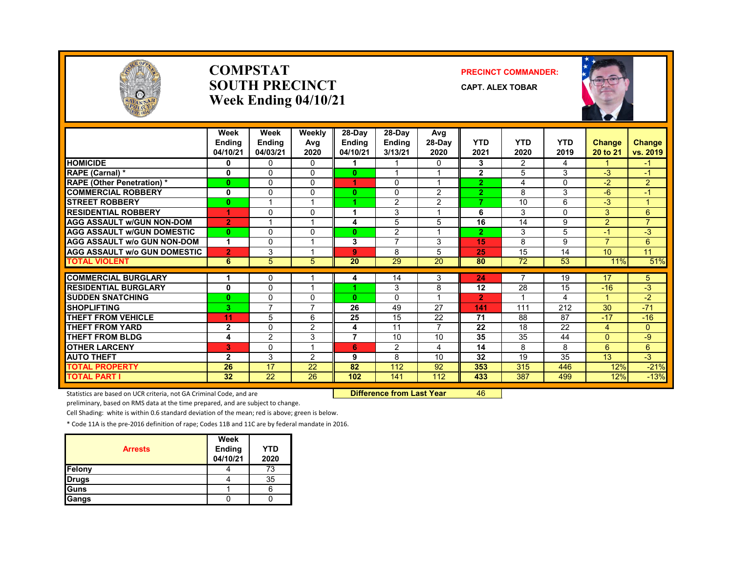

#### **COMPSTATSOUTH PRECINCTWeek Ending 04/10/21**

#### **PRECINCT COMMANDER:**

**CAPT. ALEX TOBAR**



|                                                     | Week<br><b>Endina</b><br>04/10/21 | Week<br><b>Ending</b><br>04/03/21 | Weekly<br>Avg<br>2020 | 28-Day<br><b>Endina</b><br>04/10/21 | 28-Day<br><b>Endina</b><br>3/13/21 | Avg<br>28-Day<br>2020   | <b>YTD</b><br>2021 | <b>YTD</b><br>2020 | <b>YTD</b><br>2019 | <b>Change</b><br>20 to 21 | Change<br>vs. 2019     |
|-----------------------------------------------------|-----------------------------------|-----------------------------------|-----------------------|-------------------------------------|------------------------------------|-------------------------|--------------------|--------------------|--------------------|---------------------------|------------------------|
| <b>HOMICIDE</b>                                     | 0                                 | $\Omega$                          | $\Omega$              | 1                                   |                                    | $\mathbf{0}$            | 3                  | $\overline{2}$     | 4                  |                           | -1                     |
| RAPE (Carnal) *                                     | 0                                 | $\Omega$                          | $\Omega$              | $\mathbf{0}$                        | и                                  |                         | $\mathbf{2}$       | 5                  | 3                  | $-3$                      | $-1$                   |
| <b>RAPE (Other Penetration)*</b>                    | $\bf{0}$                          | $\Omega$                          | $\Omega$              | 4.                                  | $\Omega$                           | $\overline{\mathbf{A}}$ | $\overline{2}$     | 4                  | $\Omega$           | $-2$                      | 2                      |
| <b>COMMERCIAL ROBBERY</b>                           | 0                                 | $\Omega$                          | <sup>0</sup>          | 0                                   | $\Omega$                           | 2                       | $\overline{2}$     | 8                  | 3                  | $-6$                      | -1                     |
| <b>STREET ROBBERY</b>                               | $\mathbf{0}$                      |                                   |                       |                                     | 2                                  | $\overline{2}$          | 7                  | 10                 | 6                  | $-3$                      | $\overline{1}$         |
| <b>RESIDENTIAL ROBBERY</b>                          | 4                                 | $\Omega$                          | $\Omega$              | 1                                   | 3                                  |                         | 6                  | 3                  | 0                  | 3                         | 6                      |
| <b>AGG ASSAULT w/GUN NON-DOM</b>                    | $\overline{2}$                    |                                   |                       | 4                                   | 5                                  | 5                       | 16                 | 14                 | 9                  | $\overline{2}$            | $\overline{7}$         |
| <b>AGG ASSAULT w/GUN DOMESTIC</b>                   | $\bf{0}$                          | $\mathbf{0}$                      | $\Omega$              | $\mathbf{0}$                        | 2                                  |                         | $\overline{2}$     | 3                  | 5                  | $-1$                      | -3                     |
| <b>AGG ASSAULT w/o GUN NON-DOM</b>                  | 1                                 | $\Omega$                          |                       | 3                                   | $\overline{7}$                     | 3                       | 15                 | 8                  | 9                  | $\overline{7}$            | 6                      |
| <b>AGG ASSAULT w/o GUN DOMESTIC</b>                 | $\overline{2}$                    | 3                                 |                       | 9                                   | 8                                  | 5                       | 25                 | 15                 | 14                 | 10                        | 11                     |
| <b>TOTAL VIOLENT</b>                                | 6                                 | 5                                 | 5                     | 20                                  | 29                                 | 20                      | 80                 | 72                 | 53                 | 11%                       | 51%                    |
| <b>COMMERCIAL BURGLARY</b>                          |                                   | $\Omega$                          |                       |                                     |                                    | 3                       | 24                 |                    | 19                 | 17                        |                        |
| <b>RESIDENTIAL BURGLARY</b>                         | 0                                 | $\mathbf{0}$                      |                       | 4                                   | 14<br>3                            | 8                       | 12                 | 28                 | 15                 | $-16$                     | $\overline{5}$<br>$-3$ |
| <b>SUDDEN SNATCHING</b>                             | $\bf{0}$                          | 0                                 | $\Omega$              | $\mathbf{0}$                        | $\Omega$                           |                         | $\overline{2}$     |                    | 4                  | $\blacktriangleleft$      | $-2$                   |
| <b>SHOPLIFTING</b>                                  | 3                                 | 7                                 |                       | 26                                  | 49                                 | 27                      | 141                | 111                | 212                | 30                        | $-71$                  |
|                                                     |                                   |                                   | 6                     |                                     |                                    | 22                      | 71                 | 88                 | 87                 | $-17$                     | $-16$                  |
| <b>THEFT FROM VEHICLE</b><br><b>THEFT FROM YARD</b> | 11<br>$\mathbf{2}$                | 5<br>$\Omega$                     | 2                     | 25<br>4                             | 15<br>11                           | $\overline{ }$          | 22                 | 18                 | 22                 | 4                         | $\Omega$               |
| <b>THEFT FROM BLDG</b>                              |                                   |                                   |                       | 7                                   |                                    | 10                      | 35                 | 35                 |                    |                           |                        |
|                                                     | 4                                 | 2                                 | 3                     |                                     | 10                                 |                         | 14                 | 8                  | 44                 | $\Omega$<br>6             | -9                     |
| <b>OTHER LARCENY</b>                                | 3                                 | $\Omega$                          |                       | 6                                   | 2                                  | 4                       |                    |                    | 8                  |                           | $6\overline{6}$        |
| <b>AUTO THEFT</b>                                   | $\mathbf{2}$                      | 3                                 | 2                     | 9                                   | 8                                  | 10                      | 32                 | 19                 | 35                 | 13                        | $-3$                   |
| <b>TOTAL PROPERTY</b>                               | 26                                | 17                                | 22                    | 82                                  | 112                                | 92                      | 353                | 315                | 446                | 12%                       | $-21%$                 |
| <b>TOTAL PART I</b>                                 | 32                                | 22                                | 26                    | 102                                 | 141                                | 112                     | 433                | 387                | 499                | 12%                       | $-13%$                 |

Statistics are based on UCR criteria, not GA Criminal Code, and are **Difference from Last Year** 46

preliminary, based on RMS data at the time prepared, and are subject to change.

Cell Shading: white is within 0.6 standard deviation of the mean; red is above; green is below.

| <b>Arrests</b> | Week<br>Ending<br>04/10/21 | <b>YTD</b><br>2020 |
|----------------|----------------------------|--------------------|
| Felony         |                            | 73                 |
| <b>Drugs</b>   |                            | 35                 |
| Guns           |                            |                    |
| Gangs          |                            |                    |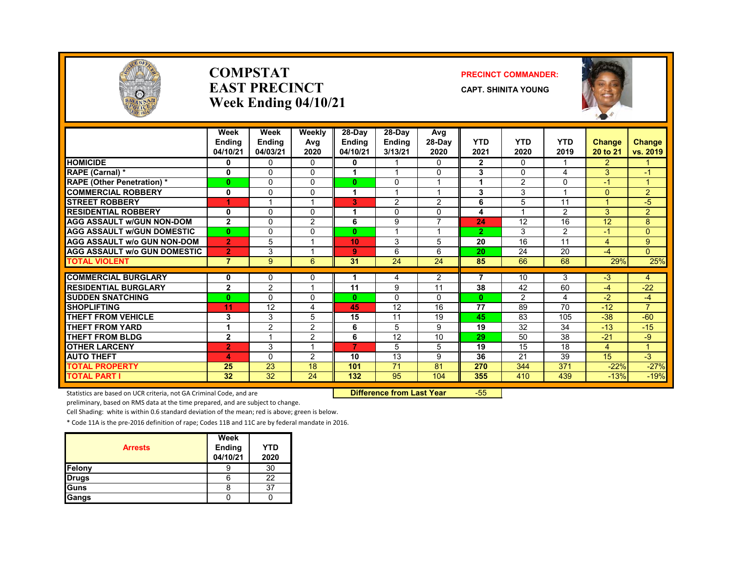

#### **COMPSTATEAST PRECINCTWeek Ending 04/10/21**

#### **PRECINCT COMMANDER:**

**CAPT. SHINITA YOUNG**



|                                     | Week<br><b>Endina</b> | Week<br><b>Ending</b>   | Weekly<br>Avg  | $28-Dav$<br><b>Endina</b> | 28-Day<br><b>Ending</b> | Avg<br>$28-Day$ | <b>YTD</b>     | <b>YTD</b>     | <b>YTD</b>     | <b>Change</b>  | <b>Change</b>  |
|-------------------------------------|-----------------------|-------------------------|----------------|---------------------------|-------------------------|-----------------|----------------|----------------|----------------|----------------|----------------|
|                                     | 04/10/21              | 04/03/21                | 2020           | 04/10/21                  | 3/13/21                 | 2020            | 2021           | 2020           | 2019           | 20 to 21       | vs. 2019       |
| <b>HOMICIDE</b>                     | 0                     | 0                       | 0              | 0                         |                         | 0               | $\mathbf{2}$   | $\Omega$       |                | $\overline{2}$ |                |
| RAPE (Carnal) *                     | 0                     | 0                       | $\Omega$       |                           | $\overline{\mathbf{A}}$ | $\Omega$        | 3              | $\Omega$       | 4              | 3              | $-1$           |
| <b>RAPE (Other Penetration)*</b>    | $\mathbf{0}$          | 0                       | $\Omega$       | $\mathbf{0}$              | $\Omega$                | $\overline{ }$  | 1              | $\overline{2}$ | $\Omega$       | $-1$           |                |
| <b>COMMERCIAL ROBBERY</b>           | 0                     | 0                       | $\Omega$       |                           | $\overline{ }$          | 1               | 3              | 3              | $\overline{ }$ | $\Omega$       | $\overline{2}$ |
| <b>STREET ROBBERY</b>               | 1                     | 1                       | ۰              | 3                         | 2                       | 2               | 6              | 5              | 11             | и              | $-5$           |
| <b>RESIDENTIAL ROBBERY</b>          | 0                     | 0                       | $\Omega$       |                           | 0                       | 0               | 4              |                | $\overline{2}$ | 3              | $\overline{2}$ |
| <b>AGG ASSAULT w/GUN NON-DOM</b>    | $\mathbf{2}$          | 0                       | 2              | 6                         | 9                       | $\overline{ }$  | 24             | 12             | 16             | 12             | 8              |
| <b>AGG ASSAULT W/GUN DOMESTIC</b>   | $\mathbf{0}$          | 0                       | $\Omega$       | $\mathbf{0}$              |                         | 1               | $\overline{2}$ | 3              | 2              | $-1$           | $\Omega$       |
| <b>AGG ASSAULT w/o GUN NON-DOM</b>  | $\overline{2}$        | 5                       | A              | 10                        | 3                       | 5               | 20             | 16             | 11             | 4              | 9              |
| <b>AGG ASSAULT w/o GUN DOMESTIC</b> | $\overline{2}$        | 3                       | и              | 9 <sup>°</sup>            | 6                       | 6               | 20             | 24             | 20             | $-4$           | $\Omega$       |
| <b>TOTAL VIOLENT</b>                | $\overline{7}$        | 9                       | 6              | 31                        | 24                      | 24              | 85             | 66             | 68             | 29%            | 25%            |
|                                     |                       |                         |                |                           |                         |                 |                |                |                |                |                |
| <b>COMMERCIAL BURGLARY</b>          | 0                     | 0                       | $\Omega$       |                           | 4                       | 2               | $\overline{7}$ | 10             | 3              | $-3$           | 4              |
| <b>RESIDENTIAL BURGLARY</b>         | $\overline{2}$        | $\overline{2}$          | ×              | 11                        | 9                       | 11              | 38             | 42             | 60             | $-4$           | $-22$          |
| <b>SUDDEN SNATCHING</b>             | $\mathbf{0}$          | $\Omega$                | $\Omega$       | $\mathbf{0}$              | 0                       | 0               | $\bf{0}$       | $\mathcal{P}$  | 4              | $-2$           | $-4$           |
| <b>SHOPLIFTING</b>                  | 11                    | 12                      | 4              | 45                        | 12                      | 16              | 77             | 89             | 70             | $-12$          | $\overline{7}$ |
| THEFT FROM VEHICLE                  | 3                     | 3                       | 5.             | 15                        | 11                      | 19              | 45             | 83             | 105            | $-38$          | $-60$          |
| <b>THEFT FROM YARD</b>              | 1                     | $\overline{2}$          | 2              | 6                         | 5                       | 9               | 19             | 32             | 34             | $-13$          | $-15$          |
| THEFT FROM BLDG                     | $\overline{2}$        | $\overline{\mathbf{A}}$ | 2              | 6                         | 12                      | 10              | 29             | 50             | 38             | $-21$          | -9             |
| <b>OTHER LARCENY</b>                | $\overline{2}$        | 3                       | $\overline{ }$ | $\overline{ }$            | 5                       | 5               | 19             | 15             | 18             | 4              | $\overline{A}$ |
| <b>AUTO THEFT</b>                   | 4                     | $\Omega$                | 2              | 10                        | 13                      | 9               | 36             | 21             | 39             | 15             | $-3$           |
| <b>TOTAL PROPERTY</b>               | 25                    | 23                      | 18             | 101                       | 71                      | 81              | 270            | 344            | 371            | $-22%$         | $-27%$         |
| <b>TOTAL PART I</b>                 | 32                    | 32                      | 24             | 132                       | 95                      | 104             | 355            | 410            | 439            | $-13%$         | $-19%$         |

Statistics are based on UCR criteria, not GA Criminal Code, and are **Difference from Last Year** -55

preliminary, based on RMS data at the time prepared, and are subject to change.

Cell Shading: white is within 0.6 standard deviation of the mean; red is above; green is below.

| <b>Arrests</b> | Week<br><b>Ending</b><br>04/10/21 | YTD<br>2020 |
|----------------|-----------------------------------|-------------|
| Felony         | y                                 | 30          |
| <b>Drugs</b>   | 6                                 | 22          |
| <b>Guns</b>    |                                   | 37          |
| Gangs          |                                   |             |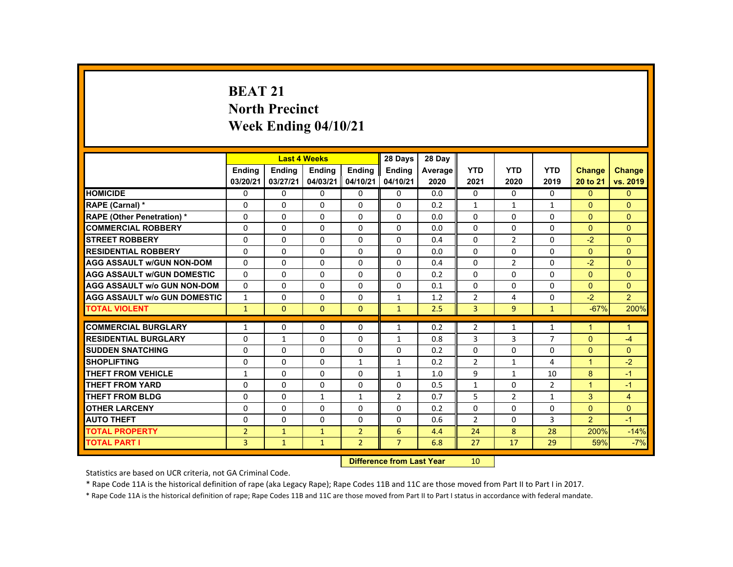# **BEAT 21 North Precinct Week Ending 04/10/21**

|                                     |                | <b>Last 4 Weeks</b> |               |                | 28 Days                          | 28 Day  |                |                |                |                      |                |
|-------------------------------------|----------------|---------------------|---------------|----------------|----------------------------------|---------|----------------|----------------|----------------|----------------------|----------------|
|                                     | <b>Ending</b>  | <b>Ending</b>       | <b>Ending</b> | <b>Ending</b>  | <b>Ending</b>                    | Average | <b>YTD</b>     | <b>YTD</b>     | <b>YTD</b>     | <b>Change</b>        | Change         |
|                                     | 03/20/21       | 03/27/21            | 04/03/21      | 04/10/21       | 04/10/21                         | 2020    | 2021           | 2020           | 2019           | 20 to 21             | vs. 2019       |
| <b>HOMICIDE</b>                     | 0              | $\Omega$            | $\Omega$      | $\mathbf 0$    | $\mathbf 0$                      | 0.0     | 0              | $\mathbf 0$    | 0              | $\Omega$             | $\overline{0}$ |
| RAPE (Carnal) *                     | $\Omega$       | $\Omega$            | $\Omega$      | $\Omega$       | $\Omega$                         | 0.2     | $\mathbf{1}$   | $\mathbf{1}$   | $\mathbf{1}$   | $\Omega$             | $\Omega$       |
| <b>RAPE (Other Penetration) *</b>   | 0              | $\Omega$            | $\Omega$      | $\Omega$       | $\Omega$                         | 0.0     | $\Omega$       | $\Omega$       | 0              | $\Omega$             | $\overline{0}$ |
| <b>COMMERCIAL ROBBERY</b>           | $\Omega$       | $\Omega$            | $\Omega$      | $\Omega$       | $\Omega$                         | 0.0     | $\Omega$       | $\Omega$       | 0              | $\Omega$             | $\Omega$       |
| <b>ISTREET ROBBERY</b>              | 0              | $\Omega$            | $\Omega$      | $\Omega$       | 0                                | 0.4     | $\Omega$       | $\overline{2}$ | 0              | $-2$                 | $\Omega$       |
| <b>RESIDENTIAL ROBBERY</b>          | $\Omega$       | $\Omega$            | $\Omega$      | $\Omega$       | $\Omega$                         | 0.0     | 0              | 0              | $\Omega$       | $\Omega$             | $\Omega$       |
| <b>AGG ASSAULT W/GUN NON-DOM</b>    | $\mathbf{0}$   | $\Omega$            | $\Omega$      | $\Omega$       | $\Omega$                         | 0.4     | $\Omega$       | $\overline{2}$ | $\Omega$       | $-2$                 | $\Omega$       |
| <b>AGG ASSAULT W/GUN DOMESTIC</b>   | $\Omega$       | $\Omega$            | $\Omega$      | $\Omega$       | $\Omega$                         | 0.2     | $\Omega$       | $\Omega$       | $\Omega$       | $\Omega$             | $\Omega$       |
| <b>AGG ASSAULT w/o GUN NON-DOM</b>  | $\Omega$       | $\Omega$            | $\mathbf{0}$  | $\mathbf{0}$   | 0                                | 0.1     | $\Omega$       | 0              | $\Omega$       | $\Omega$             | $\Omega$       |
| <b>AGG ASSAULT W/o GUN DOMESTIC</b> | $\mathbf{1}$   | $\Omega$            | $\Omega$      | $\Omega$       | $\mathbf{1}$                     | 1.2     | $\overline{2}$ | 4              | $\Omega$       | $-2$                 | 2 <sup>1</sup> |
| <b>TOTAL VIOLENT</b>                | $\mathbf{1}$   | $\overline{0}$      | $\mathbf{0}$  | $\mathbf{0}$   | $\mathbf{1}$                     | 2.5     | 3              | 9 <sup>°</sup> | $\mathbf{1}$   | $-67%$               | 200%           |
| <b>COMMERCIAL BURGLARY</b>          | $\mathbf{1}$   | $\mathbf{0}$        | $\mathbf{0}$  | 0              | $\mathbf{1}$                     | 0.2     | $\overline{2}$ | 1              | $\mathbf{1}$   | 1                    | $\mathbf{1}$   |
| <b>RESIDENTIAL BURGLARY</b>         | $\Omega$       | $\mathbf{1}$        | $\Omega$      | $\Omega$       | $\mathbf{1}$                     | 0.8     | 3              | 3              | $\overline{7}$ | $\Omega$             | $-4$           |
| <b>SUDDEN SNATCHING</b>             | $\Omega$       | $\Omega$            | $\Omega$      | $\Omega$       | $\Omega$                         | 0.2     | $\Omega$       | $\Omega$       | $\Omega$       | $\Omega$             | $\Omega$       |
| <b>SHOPLIFTING</b>                  | 0              | $\mathbf{0}$        | $\mathbf{0}$  | $\mathbf{1}$   | $\mathbf{1}$                     | 0.2     | $\overline{2}$ | $\mathbf{1}$   | 4              | $\blacktriangleleft$ | $-2$           |
| THEFT FROM VEHICLE                  | $\mathbf{1}$   | $\Omega$            | $\Omega$      | $\Omega$       | $\mathbf{1}$                     | 1.0     | 9              | $\mathbf{1}$   | 10             | 8                    | $-1$           |
| <b>THEFT FROM YARD</b>              | $\Omega$       | $\Omega$            | $\Omega$      | $\Omega$       | $\Omega$                         | 0.5     | $\mathbf{1}$   | $\Omega$       | $\overline{2}$ | $\overline{1}$       | $-1$           |
| <b>THEFT FROM BLDG</b>              | $\Omega$       | $\Omega$            | $\mathbf{1}$  | $\mathbf{1}$   | $\overline{2}$                   | 0.7     | 5              | $\overline{2}$ | $\mathbf{1}$   | 3                    | $\overline{4}$ |
| <b>OTHER LARCENY</b>                | $\Omega$       | $\Omega$            | $\Omega$      | $\Omega$       | $\Omega$                         | 0.2     | $\Omega$       | $\Omega$       | 0              | $\Omega$             | $\overline{0}$ |
| <b>AUTO THEFT</b>                   | $\Omega$       | $\Omega$            | $\Omega$      | $\Omega$       | $\Omega$                         | 0.6     | $\overline{2}$ | $\Omega$       | 3              | $\overline{2}$       | $-1$           |
| <b>TOTAL PROPERTY</b>               | $\overline{2}$ | $\mathbf{1}$        | $\mathbf{1}$  | $\overline{2}$ | 6                                | 4.4     | 24             | 8              | 28             | 200%                 | $-14%$         |
| <b>TOTAL PART I</b>                 | $\overline{3}$ | $\mathbf{1}$        | $\mathbf{1}$  | $\overline{2}$ | $\overline{7}$                   | 6.8     | 27             | 17             | 29             | 59%                  | $-7%$          |
|                                     |                |                     |               |                | <b>Difference from Last Year</b> |         | 10             |                |                |                      |                |

Statistics are based on UCR criteria, not GA Criminal Code.

\* Rape Code 11A is the historical definition of rape (aka Legacy Rape); Rape Codes 11B and 11C are those moved from Part II to Part I in 2017.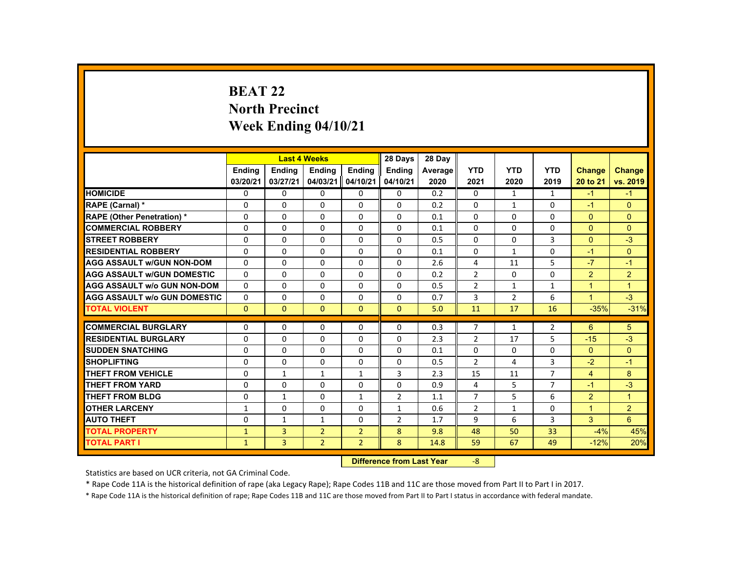# **BEAT 22 North Precinct Week Ending 04/10/21**

|                                     |              |                | <b>Last 4 Weeks</b> |                | 28 Days        | 28 Day  |                |                |                |                      |                |
|-------------------------------------|--------------|----------------|---------------------|----------------|----------------|---------|----------------|----------------|----------------|----------------------|----------------|
|                                     | Ending       | Ending         | Ending              | Ending         | Ending         | Average | <b>YTD</b>     | <b>YTD</b>     | <b>YTD</b>     | <b>Change</b>        | <b>Change</b>  |
|                                     | 03/20/21     | 03/27/21       | 04/03/21            | 04/10/21       | 04/10/21       | 2020    | 2021           | 2020           | 2019           | 20 to 21             | vs. 2019       |
| <b>HOMICIDE</b>                     | $\Omega$     | $\Omega$       | $\Omega$            | $\Omega$       | $\Omega$       | 0.2     | 0              | $\mathbf{1}$   | $\mathbf{1}$   | $-1$                 | $-1$           |
| <b>RAPE (Carnal) *</b>              | $\Omega$     | $\Omega$       | $\Omega$            | $\Omega$       | $\Omega$       | 0.2     | $\Omega$       | $\mathbf{1}$   | $\Omega$       | $-1$                 | $\mathbf{0}$   |
| <b>RAPE (Other Penetration) *</b>   | $\Omega$     | $\Omega$       | $\Omega$            | $\Omega$       | $\Omega$       | 0.1     | 0              | $\Omega$       | $\Omega$       | $\Omega$             | $\overline{0}$ |
| <b>COMMERCIAL ROBBERY</b>           | $\Omega$     | $\Omega$       | $\Omega$            | $\Omega$       | $\Omega$       | 0.1     | $\Omega$       | $\Omega$       | $\Omega$       | $\Omega$             | $\Omega$       |
| <b>STREET ROBBERY</b>               | $\Omega$     | $\Omega$       | $\Omega$            | $\Omega$       | $\Omega$       | 0.5     | $\Omega$       | $\Omega$       | 3              | $\Omega$             | $-3$           |
| <b>RESIDENTIAL ROBBERY</b>          | $\mathbf{0}$ | $\mathbf{0}$   | $\mathbf{0}$        | $\mathbf{0}$   | 0              | 0.1     | 0              | 1              | 0              | $-1$                 | $\overline{0}$ |
| <b>AGG ASSAULT W/GUN NON-DOM</b>    | $\Omega$     | $\Omega$       | $\Omega$            | $\Omega$       | $\Omega$       | 2.6     | 4              | 11             | 5              | $-7$                 | $-1$           |
| <b>AGG ASSAULT W/GUN DOMESTIC</b>   | $\Omega$     | $\Omega$       | $\Omega$            | $\Omega$       | $\Omega$       | 0.2     | $\overline{2}$ | $\Omega$       | $\Omega$       | 2                    | $\overline{2}$ |
| <b>AGG ASSAULT w/o GUN NON-DOM</b>  | $\Omega$     | $\Omega$       | $\Omega$            | $\Omega$       | $\Omega$       | 0.5     | $\overline{2}$ | $\mathbf{1}$   | $\mathbf{1}$   | $\mathbf{1}$         | $\mathbf{1}$   |
| <b>AGG ASSAULT W/o GUN DOMESTIC</b> | $\Omega$     | $\Omega$       | $\Omega$            | $\Omega$       | $\Omega$       | 0.7     | 3              | $\overline{2}$ | 6              | $\blacktriangleleft$ | $-3$           |
| <b>TOTAL VIOLENT</b>                | $\mathbf{0}$ | $\mathbf{0}$   | $\Omega$            | $\Omega$       | $\Omega$       | 5.0     | 11             | 17             | 16             | $-35%$               | $-31%$         |
| <b>COMMERCIAL BURGLARY</b>          | $\Omega$     | $\Omega$       | $\Omega$            | $\Omega$       | $\Omega$       | 0.3     | $\overline{7}$ | $\mathbf{1}$   | $\overline{2}$ | 6                    | 5              |
| <b>RESIDENTIAL BURGLARY</b>         | $\Omega$     | $\Omega$       | $\Omega$            | $\Omega$       | $\Omega$       | 2.3     | $\overline{2}$ | 17             | 5              | $-15$                | $-3$           |
| <b>SUDDEN SNATCHING</b>             | $\Omega$     | $\Omega$       | $\Omega$            | $\Omega$       | $\Omega$       | 0.1     | $\Omega$       | $\Omega$       | $\Omega$       | $\Omega$             | $\mathbf{0}$   |
| <b>SHOPLIFTING</b>                  | $\Omega$     | $\Omega$       | $\Omega$            | $\Omega$       | $\Omega$       | 0.5     | $\overline{2}$ | 4              | 3              | $-2$                 | $-1$           |
| <b>THEFT FROM VEHICLE</b>           | $\Omega$     | $\mathbf{1}$   | $\mathbf{1}$        | $\mathbf{1}$   | 3              | 2.3     | 15             | 11             | $\overline{7}$ | $\overline{4}$       | 8              |
| <b>THEFT FROM YARD</b>              | $\Omega$     | $\Omega$       | $\Omega$            | $\Omega$       | $\Omega$       | 0.9     | 4              | 5              | $\overline{7}$ | $-1$                 | $-3$           |
| <b>THEFT FROM BLDG</b>              | $\mathbf{0}$ | $\mathbf{1}$   | $\mathbf{0}$        | $\mathbf{1}$   | $\overline{2}$ | 1.1     | $\overline{7}$ | 5              | 6              | $\overline{2}$       | $\mathbf{1}$   |
| <b>OTHER LARCENY</b>                | 1            | $\Omega$       | $\Omega$            | $\Omega$       | 1              | 0.6     | $\overline{2}$ | $\mathbf{1}$   | $\Omega$       | $\blacktriangleleft$ | 2 <sup>1</sup> |
| <b>AUTO THEFT</b>                   | $\Omega$     | $\mathbf{1}$   | $\mathbf{1}$        | $\Omega$       | $\overline{2}$ | 1.7     | 9              | 6              | 3              | 3                    | 6 <sup>1</sup> |
| <b>TOTAL PROPERTY</b>               | $\mathbf{1}$ | $\overline{3}$ | $\overline{2}$      | $\overline{2}$ | 8              | 9.8     | 48             | 50             | 33             | $-4%$                | 45%            |
| <b>TOTAL PART I</b>                 | $\mathbf{1}$ | 3              | $\overline{2}$      | $2^{\circ}$    | 8              | 14.8    | 59             | 67             | 49             | $-12%$               | 20%            |
|                                     |              |                |                     |                |                |         |                |                |                |                      |                |

 **Difference from Last Year**‐8

Statistics are based on UCR criteria, not GA Criminal Code.

\* Rape Code 11A is the historical definition of rape (aka Legacy Rape); Rape Codes 11B and 11C are those moved from Part II to Part I in 2017.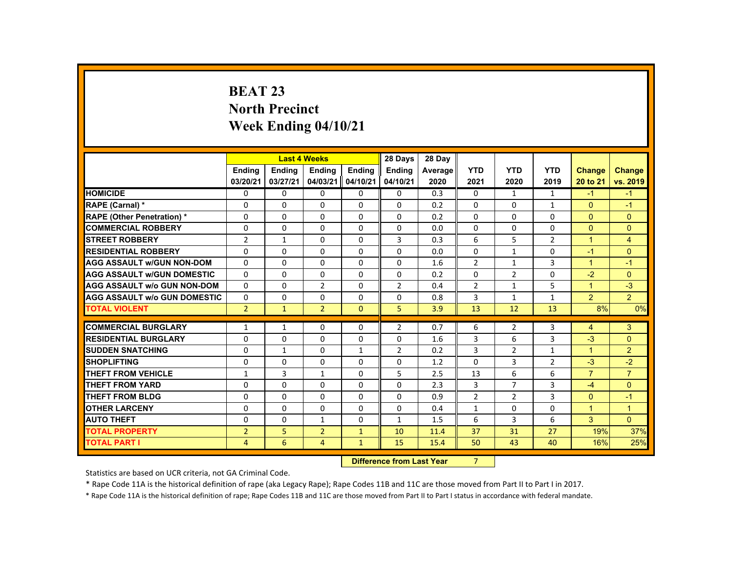# **BEAT 23 North Precinct Week Ending 04/10/21**

|                                     |                | <b>Last 4 Weeks</b> |                |                   | 28 Days                                                                                                                                                                                                                        | 28 Day  |                |                |                |                      |                |
|-------------------------------------|----------------|---------------------|----------------|-------------------|--------------------------------------------------------------------------------------------------------------------------------------------------------------------------------------------------------------------------------|---------|----------------|----------------|----------------|----------------------|----------------|
|                                     | <b>Ending</b>  | <b>Ending</b>       | <b>Ending</b>  | Ending            | <b>Ending</b>                                                                                                                                                                                                                  | Average | <b>YTD</b>     | <b>YTD</b>     | <b>YTD</b>     | <b>Change</b>        | <b>Change</b>  |
|                                     | 03/20/21       | 03/27/21            | 04/03/21       | 04/10/21          | 04/10/21                                                                                                                                                                                                                       | 2020    | 2021           | 2020           | 2019           | 20 to 21             | vs. 2019       |
| <b>HOMICIDE</b>                     | 0              | $\Omega$            | $\Omega$       | $\Omega$          | 0                                                                                                                                                                                                                              | 0.3     | 0              | $\mathbf{1}$   | $\mathbf{1}$   | $-1$                 | $-1$           |
| <b>RAPE (Carnal) *</b>              | $\mathbf{0}$   | $\Omega$            | $\mathbf{0}$   | $\Omega$          | $\Omega$                                                                                                                                                                                                                       | 0.2     | $\Omega$       | $\Omega$       | $\mathbf{1}$   | $\Omega$             | $-1$           |
| <b>RAPE (Other Penetration) *</b>   | $\Omega$       | $\Omega$            | $\Omega$       | $\Omega$          | $\Omega$                                                                                                                                                                                                                       | 0.2     | $\Omega$       | $\Omega$       | $\Omega$       | $\Omega$             | $\Omega$       |
| <b>COMMERCIAL ROBBERY</b>           | $\Omega$       | $\Omega$            | $\Omega$       | $\Omega$          | $\Omega$                                                                                                                                                                                                                       | 0.0     | $\Omega$       | $\Omega$       | $\Omega$       | $\Omega$             | $\Omega$       |
| <b>STREET ROBBERY</b>               | $\overline{2}$ | $\mathbf{1}$        | $\Omega$       | $\Omega$          | 3                                                                                                                                                                                                                              | 0.3     | 6              | 5              | $\overline{2}$ | $\overline{1}$       | $\overline{4}$ |
| <b>RESIDENTIAL ROBBERY</b>          | 0              | $\Omega$            | $\mathbf{0}$   | $\mathbf{0}$      | 0                                                                                                                                                                                                                              | 0.0     | 0              | 1              | 0              | $-1$                 | $\mathbf{0}$   |
| <b>AGG ASSAULT W/GUN NON-DOM</b>    | $\Omega$       | $\Omega$            | $\Omega$       | $\Omega$          | 0                                                                                                                                                                                                                              | 1.6     | $\overline{2}$ | $\mathbf{1}$   | 3              | $\blacktriangleleft$ | $-1$           |
| <b>AGG ASSAULT W/GUN DOMESTIC</b>   | $\Omega$       | $\Omega$            | $\Omega$       | $\Omega$          | $\Omega$                                                                                                                                                                                                                       | 0.2     | $\Omega$       | 2              | $\Omega$       | $-2$                 | $\Omega$       |
| <b>AGG ASSAULT w/o GUN NON-DOM</b>  | $\Omega$       | $\Omega$            | $\overline{2}$ | $\Omega$          | $\overline{2}$                                                                                                                                                                                                                 | 0.4     | $\overline{2}$ | $\mathbf{1}$   | 5              | $\blacktriangleleft$ | $-3$           |
| <b>AGG ASSAULT W/o GUN DOMESTIC</b> | $\Omega$       | $\Omega$            | $\Omega$       | $\Omega$          | $\Omega$                                                                                                                                                                                                                       | 0.8     | 3              | $\mathbf{1}$   | $\mathbf{1}$   | $\overline{2}$       | $\overline{2}$ |
| <b>TOTAL VIOLENT</b>                | 2 <sup>1</sup> | $\mathbf{1}$        | $\overline{2}$ | $\mathbf{0}$      | 5                                                                                                                                                                                                                              | 3.9     | 13             | 12             | 13             | 8%                   | 0%             |
|                                     |                |                     |                |                   |                                                                                                                                                                                                                                |         |                |                |                |                      |                |
| <b>COMMERCIAL BURGLARY</b>          | $\mathbf{1}$   | $\mathbf{1}$        | $\Omega$       | $\Omega$          | $\overline{2}$                                                                                                                                                                                                                 | 0.7     | 6              | $\overline{2}$ | 3              | $\overline{4}$       | 3              |
| <b>RESIDENTIAL BURGLARY</b>         | $\Omega$       | $\Omega$            | $\Omega$       | $\Omega$          | $\Omega$                                                                                                                                                                                                                       | 1.6     | 3              | 6              | 3              | $-3$                 | $\Omega$       |
| <b>SUDDEN SNATCHING</b>             | $\Omega$       | $\mathbf{1}$        | $\mathbf{0}$   | $\mathbf{1}$      | $\overline{2}$                                                                                                                                                                                                                 | 0.2     | 3              | $\overline{2}$ | $\mathbf{1}$   | $\blacktriangleleft$ | $\overline{2}$ |
| <b>SHOPLIFTING</b>                  | $\Omega$       | $\Omega$            | $\Omega$       | $\Omega$          | $\Omega$                                                                                                                                                                                                                       | 1.2     | $\Omega$       | 3              | $\overline{2}$ | $-3$                 | $-2$           |
| <b>THEFT FROM VEHICLE</b>           | $\mathbf{1}$   | 3                   | $\mathbf{1}$   | $\Omega$          | 5                                                                                                                                                                                                                              | 2.5     | 13             | 6              | 6              | $\overline{7}$       | $\overline{7}$ |
| <b>THEFT FROM YARD</b>              | $\Omega$       | $\Omega$            | $\Omega$       | $\Omega$          | $\Omega$                                                                                                                                                                                                                       | 2.3     | 3              | $\overline{7}$ | 3              | $-4$                 | $\Omega$       |
| <b>THEFT FROM BLDG</b>              | $\Omega$       | $\Omega$            | $\Omega$       | $\Omega$          | $\Omega$                                                                                                                                                                                                                       | 0.9     | $\overline{2}$ | $\overline{2}$ | 3              | $\Omega$             | $-1$           |
| <b>OTHER LARCENY</b>                | $\mathbf{0}$   | $\Omega$            | $\Omega$       | $\Omega$          | $\Omega$                                                                                                                                                                                                                       | 0.4     | $\mathbf{1}$   | 0              | 0              | $\overline{1}$       | $\overline{1}$ |
| <b>AUTO THEFT</b>                   | $\Omega$       | $\Omega$            | $\mathbf{1}$   | $\Omega$          | $\mathbf{1}$                                                                                                                                                                                                                   | 1.5     | 6              | 3              | 6              | 3                    | $\Omega$       |
| <b>TOTAL PROPERTY</b>               | $\overline{2}$ | 5                   | $\overline{2}$ | $\mathbf{1}$      | 10                                                                                                                                                                                                                             | 11.4    | 37             | 31             | 27             | 19%                  | 37%            |
| <b>TOTAL PART I</b>                 | $\overline{4}$ | 6                   | $\overline{4}$ | $\mathbf{1}$      | 15                                                                                                                                                                                                                             | 15.4    | 50             | 43             | 40             | 16%                  | 25%            |
|                                     |                |                     |                | <b>CONTRACTOR</b> | and the second control of the second second second to the second second second second second second second second second second second second second second second second second second second second second second second sec |         | $\sim$         |                |                |                      |                |

 **Difference from Last Year**r 7

Statistics are based on UCR criteria, not GA Criminal Code.

\* Rape Code 11A is the historical definition of rape (aka Legacy Rape); Rape Codes 11B and 11C are those moved from Part II to Part I in 2017.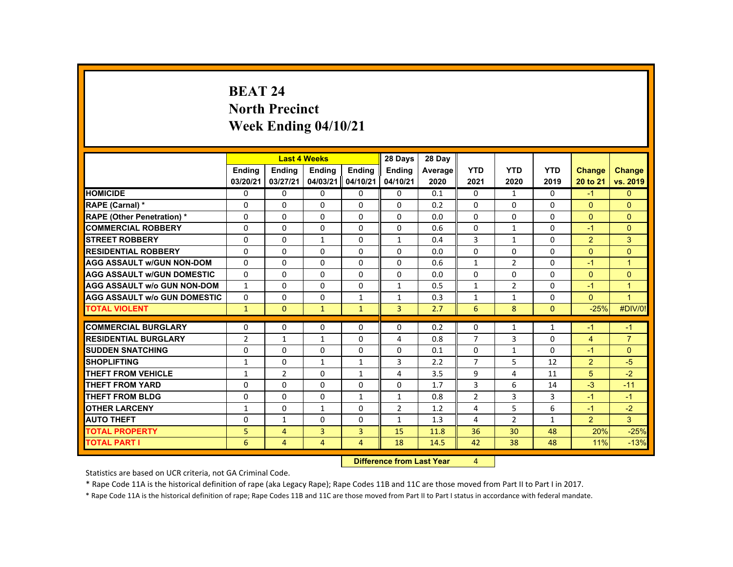# **BEAT 24North Precinct Week Ending 04/10/21**

|                                     |                |                | <b>Last 4 Weeks</b> |                | 28 Days        | 28 Day  |                |                |                |                |                      |
|-------------------------------------|----------------|----------------|---------------------|----------------|----------------|---------|----------------|----------------|----------------|----------------|----------------------|
|                                     | Ending         | <b>Ending</b>  | <b>Ending</b>       | <b>Ending</b>  | <b>Ending</b>  | Average | <b>YTD</b>     | <b>YTD</b>     | <b>YTD</b>     | <b>Change</b>  | <b>Change</b>        |
|                                     | 03/20/21       | 03/27/21       | 04/03/21            | 04/10/21       | 04/10/21       | 2020    | 2021           | 2020           | 2019           | 20 to 21       | vs. 2019             |
| <b>HOMICIDE</b>                     | 0              | $\Omega$       | $\mathbf{0}$        | $\Omega$       | 0              | 0.1     | 0              | $\mathbf{1}$   | 0              | $-1$           | $\mathbf{0}$         |
| RAPE (Carnal) *                     | $\Omega$       | $\Omega$       | $\Omega$            | $\Omega$       | $\Omega$       | 0.2     | $\Omega$       | $\Omega$       | $\Omega$       | $\Omega$       | $\Omega$             |
| <b>RAPE (Other Penetration) *</b>   | $\Omega$       | $\Omega$       | $\Omega$            | $\Omega$       | $\Omega$       | 0.0     | $\Omega$       | $\Omega$       | $\Omega$       | $\Omega$       | $\overline{0}$       |
| <b>COMMERCIAL ROBBERY</b>           | $\Omega$       | $\Omega$       | $\Omega$            | $\Omega$       | $\Omega$       | 0.6     | $\Omega$       | $\mathbf{1}$   | $\Omega$       | $-1$           | $\Omega$             |
| <b>STREET ROBBERY</b>               | $\Omega$       | $\Omega$       | 1                   | $\Omega$       | 1              | 0.4     | 3              | $\mathbf{1}$   | $\Omega$       | $\overline{2}$ | 3                    |
| <b>RESIDENTIAL ROBBERY</b>          | $\mathbf{0}$   | $\Omega$       | $\Omega$            | $\Omega$       | $\Omega$       | 0.0     | $\Omega$       | $\Omega$       | $\Omega$       | $\Omega$       | $\Omega$             |
| <b>AGG ASSAULT w/GUN NON-DOM</b>    | $\Omega$       | $\Omega$       | $\Omega$            | $\Omega$       | $\Omega$       | 0.6     | $\mathbf{1}$   | $\overline{2}$ | $\Omega$       | $-1$           | $\mathbf{1}$         |
| <b>AGG ASSAULT W/GUN DOMESTIC</b>   | $\Omega$       | $\Omega$       | $\Omega$            | $\Omega$       | $\Omega$       | 0.0     | $\Omega$       | $\Omega$       | $\Omega$       | $\Omega$       | $\Omega$             |
| <b>AGG ASSAULT W/o GUN NON-DOM</b>  | $\mathbf{1}$   | $\mathbf{0}$   | $\mathbf{0}$        | 0              | $\mathbf{1}$   | 0.5     | $\mathbf{1}$   | $\overline{2}$ | 0              | $-1$           | $\overline{1}$       |
| <b>AGG ASSAULT W/o GUN DOMESTIC</b> | $\Omega$       | $\Omega$       | $\Omega$            | $\mathbf{1}$   | 1              | 0.3     | $\mathbf{1}$   | 1              | $\Omega$       | $\Omega$       | $\blacktriangleleft$ |
| <b>TOTAL VIOLENT</b>                | $\mathbf{1}$   | $\mathbf{0}$   | $\mathbf{1}$        | $\mathbf{1}$   | $\overline{3}$ | 2.7     | 6              | 8              | $\mathbf{0}$   | $-25%$         | #DIV/0!              |
| <b>COMMERCIAL BURGLARY</b>          | $\Omega$       | $\Omega$       | $\Omega$            | $\Omega$       | $\Omega$       | 0.2     | $\Omega$       | 1              | 1              | -1             | $-1$                 |
| <b>RESIDENTIAL BURGLARY</b>         | $\overline{2}$ | $\mathbf{1}$   | $\mathbf{1}$        | $\Omega$       | 4              | 0.8     | $\overline{7}$ | 3              | $\Omega$       | $\overline{4}$ | $\overline{7}$       |
| <b>SUDDEN SNATCHING</b>             | $\mathbf{0}$   | $\Omega$       | $\Omega$            | $\Omega$       | $\Omega$       | 0.1     | $\Omega$       | $\mathbf{1}$   | $\Omega$       | $-1$           | $\Omega$             |
| <b>SHOPLIFTING</b>                  | $\mathbf{1}$   | $\mathbf 0$    | $\mathbf{1}$        | $\mathbf{1}$   | 3              | 2.2     | $\overline{7}$ | 5              | 12             | $\overline{2}$ | $-5$                 |
| <b>THEFT FROM VEHICLE</b>           | $\mathbf{1}$   | $\overline{2}$ | $\Omega$            | $\mathbf{1}$   | 4              | 3.5     | 9              | 4              | 11             | 5              | $-2$                 |
| <b>THEFT FROM YARD</b>              | $\Omega$       | $\Omega$       | $\Omega$            | $\Omega$       | 0              | 1.7     | 3              | 6              | 14             | $-3$           | $-11$                |
| <b>THEFT FROM BLDG</b>              | $\Omega$       | $\Omega$       | $\Omega$            | $\mathbf{1}$   | $\mathbf{1}$   | 0.8     | $\overline{2}$ | $\overline{3}$ | $\overline{3}$ | $-1$           | $-1$                 |
| <b>OTHER LARCENY</b>                | $\mathbf{1}$   | $\Omega$       | $\mathbf{1}$        | $\Omega$       | $\overline{2}$ | 1.2     | 4              | 5              | 6              | $-1$           | $-2$                 |
| <b>AUTO THEFT</b>                   | $\mathbf{0}$   | $\mathbf{1}$   | $\Omega$            | $\mathbf{0}$   | $\mathbf{1}$   | 1.3     | 4              | $\overline{2}$ | $\mathbf{1}$   | $\overline{2}$ | $\mathbf{3}$         |
| <b>TOTAL PROPERTY</b>               | 5              | $\overline{4}$ | 3                   | $\overline{3}$ | 15             | 11.8    | 36             | 30             | 48             | 20%            | $-25%$               |
| <b>TOTAL PART I</b>                 | 6              | $\overline{4}$ | $\overline{4}$      | $\overline{4}$ | 18             | 14.5    | 42             | 38             | 48             | 11%            | $-13%$               |
|                                     |                |                |                     |                |                |         |                |                |                |                |                      |

 **Difference from Last Year**

Statistics are based on UCR criteria, not GA Criminal Code.

\* Rape Code 11A is the historical definition of rape (aka Legacy Rape); Rape Codes 11B and 11C are those moved from Part II to Part I in 2017.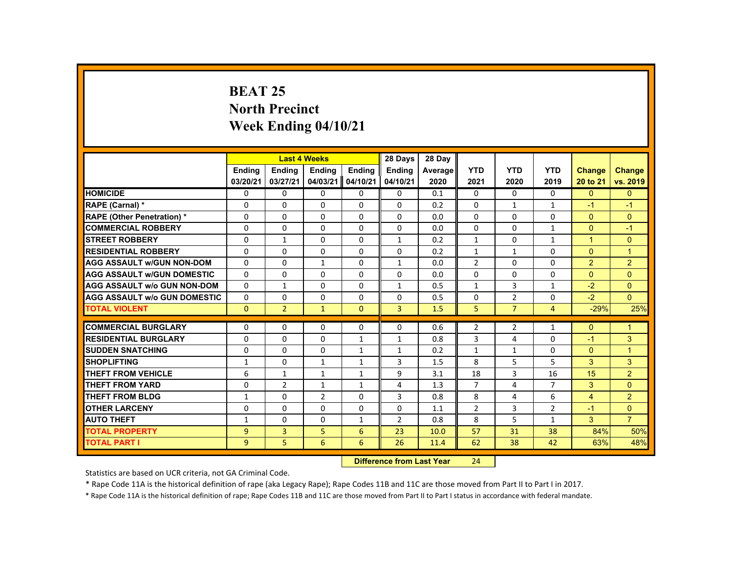# **BEAT 25 North Precinct Week Ending 04/10/21**

|                                     |                |                | <b>Last 4 Weeks</b> |              | 28 Days        | 28 Day                            |                |                |                |                |                |
|-------------------------------------|----------------|----------------|---------------------|--------------|----------------|-----------------------------------|----------------|----------------|----------------|----------------|----------------|
|                                     | <b>Ending</b>  | <b>Ending</b>  | <b>Ending</b>       | Ending       | <b>Ending</b>  | Average                           | <b>YTD</b>     | <b>YTD</b>     | <b>YTD</b>     | <b>Change</b>  | <b>Change</b>  |
|                                     | 03/20/21       | 03/27/21       | 04/03/21            | 04/10/21     | 04/10/21       | 2020                              | 2021           | 2020           | 2019           | 20 to 21       | vs. 2019       |
| <b>HOMICIDE</b>                     | $\Omega$       | $\Omega$       | $\mathbf{0}$        | $\Omega$     | 0              | 0.1                               | 0              | $\Omega$       | $\Omega$       | $\Omega$       | $\mathbf{0}$   |
| RAPE (Carnal) *                     | 0              | $\Omega$       | $\Omega$            | $\Omega$     | $\Omega$       | 0.2                               | $\Omega$       | 1              | $\mathbf{1}$   | $-1$           | $-1$           |
| <b>RAPE (Other Penetration) *</b>   | $\Omega$       | $\Omega$       | $\Omega$            | $\Omega$     | $\Omega$       | 0.0                               | $\Omega$       | $\Omega$       | $\Omega$       | $\Omega$       | $\Omega$       |
| <b>COMMERCIAL ROBBERY</b>           | $\Omega$       | $\Omega$       | $\Omega$            | $\Omega$     | $\Omega$       | 0.0                               | $\Omega$       | $\Omega$       | $\mathbf{1}$   | $\Omega$       | $-1$           |
| <b>STREET ROBBERY</b>               | $\Omega$       | $\mathbf{1}$   | $\Omega$            | $\Omega$     | $\mathbf{1}$   | 0.2                               | $\mathbf{1}$   | $\Omega$       | $\mathbf{1}$   | $\mathbf{1}$   | $\Omega$       |
| <b>RESIDENTIAL ROBBERY</b>          | $\mathbf{0}$   | $\Omega$       | $\Omega$            | 0            | $\Omega$       | 0.2                               | $\mathbf{1}$   | $\mathbf{1}$   | $\Omega$       | $\Omega$       | $\mathbf{1}$   |
| <b>AGG ASSAULT W/GUN NON-DOM</b>    | $\Omega$       | $\Omega$       | $\mathbf{1}$        | $\Omega$     | $\mathbf{1}$   | 0.0                               | $\overline{2}$ | $\Omega$       | $\Omega$       | $\overline{2}$ | 2              |
| <b>AGG ASSAULT W/GUN DOMESTIC</b>   | $\Omega$       | $\Omega$       | $\Omega$            | $\Omega$     | $\Omega$       | 0.0                               | $\Omega$       | $\Omega$       | $\Omega$       | $\Omega$       | $\Omega$       |
| <b>AGG ASSAULT w/o GUN NON-DOM</b>  | $\Omega$       | $\mathbf{1}$   | $\Omega$            | $\Omega$     | $\mathbf{1}$   | 0.5                               | $\mathbf{1}$   | $\overline{3}$ | $\mathbf{1}$   | $-2$           | $\Omega$       |
| <b>AGG ASSAULT W/o GUN DOMESTIC</b> | $\Omega$       | $\Omega$       | $\Omega$            | $\Omega$     | $\Omega$       | 0.5                               | $\Omega$       | $\overline{2}$ | $\Omega$       | $-2$           | $\Omega$       |
| <b>TOTAL VIOLENT</b>                | $\Omega$       | 2 <sup>1</sup> | $\mathbf{1}$        | $\mathbf{0}$ | $\overline{3}$ | 1.5                               | 5              | $\overline{7}$ | $\overline{4}$ | $-29%$         | 25%            |
|                                     |                |                |                     |              |                |                                   |                |                |                |                |                |
| <b>COMMERCIAL BURGLARY</b>          | $\Omega$       | $\Omega$       | $\Omega$            | $\mathbf{0}$ | 0              | 0.6                               | $\overline{2}$ | $\overline{2}$ | $\mathbf{1}$   | $\Omega$       | $\mathbf{1}$   |
| <b>RESIDENTIAL BURGLARY</b>         | $\Omega$       | $\Omega$       | $\Omega$            | $\mathbf{1}$ | $\mathbf{1}$   | 0.8                               | 3              | 4              | $\Omega$       | $-1$           | 3              |
| <b>SUDDEN SNATCHING</b>             | $\mathbf{0}$   | $\Omega$       | $\mathbf{0}$        | 1            | $\mathbf{1}$   | 0.2                               | $\mathbf{1}$   | 1              | 0              | $\mathbf{0}$   | $\mathbf{1}$   |
| <b>SHOPLIFTING</b>                  | 1              | $\Omega$       | $\mathbf{1}$        | $\mathbf{1}$ | 3              | 1.5                               | 8              | 5              | 5              | 3              | 3              |
| <b>THEFT FROM VEHICLE</b>           | 6              | $\mathbf{1}$   | $\mathbf{1}$        | $\mathbf{1}$ | 9              | 3.1                               | 18             | $\overline{3}$ | 16             | 15             | 2 <sup>1</sup> |
| <b>THEFT FROM YARD</b>              | $\Omega$       | $\overline{2}$ | $\mathbf{1}$        | $\mathbf{1}$ | 4              | 1.3                               | $\overline{7}$ | 4              | $\overline{7}$ | 3              | $\Omega$       |
| <b>THEFT FROM BLDG</b>              | $\mathbf{1}$   | $\Omega$       | $\overline{2}$      | 0            | 3              | 0.8                               | 8              | 4              | 6              | $\overline{4}$ | $\overline{2}$ |
| <b>OTHER LARCENY</b>                | $\Omega$       | $\Omega$       | $\Omega$            | $\Omega$     | 0              | 1.1                               | $\overline{2}$ | 3              | $\overline{2}$ | $-1$           | $\Omega$       |
| <b>AUTO THEFT</b>                   | $\mathbf{1}$   | $\Omega$       | $\Omega$            | $\mathbf{1}$ | $\overline{2}$ | 0.8                               | 8              | 5              | $\mathbf{1}$   | 3              | $\overline{7}$ |
| <b>TOTAL PROPERTY</b>               | $\overline{9}$ | $\overline{3}$ | 5                   | 6            | 23             | 10.0                              | 57             | 31             | 38             | 84%            | 50%            |
| <b>TOTAL PART I</b>                 | 9              | 5              | 6                   | 6            | 26             | 11.4                              | 62             | 38             | 42             | 63%            | 48%            |
|                                     |                |                |                     |              |                | <b>Difference from Least Vanc</b> | 24             |                |                |                |                |

 **Difference from Last Year**r 24

Statistics are based on UCR criteria, not GA Criminal Code.

\* Rape Code 11A is the historical definition of rape (aka Legacy Rape); Rape Codes 11B and 11C are those moved from Part II to Part I in 2017.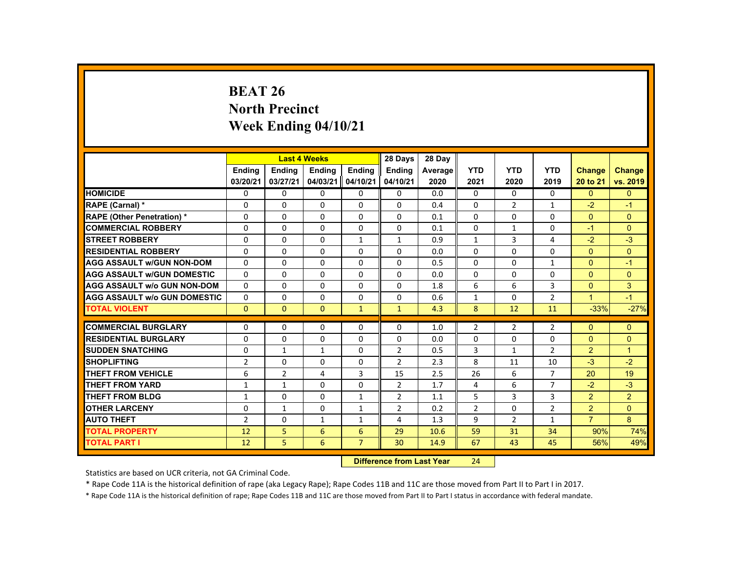# **BEAT 26 North Precinct Week Ending 04/10/21**

|                                     |                  |                | <b>Last 4 Weeks</b> |                | 28 Days        | 28 Day  |                |                |                |                |                |
|-------------------------------------|------------------|----------------|---------------------|----------------|----------------|---------|----------------|----------------|----------------|----------------|----------------|
|                                     | <b>Ending</b>    | Ending         | <b>Ending</b>       | Ending         | <b>Ending</b>  | Average | <b>YTD</b>     | <b>YTD</b>     | <b>YTD</b>     | <b>Change</b>  | <b>Change</b>  |
|                                     | 03/20/21         | 03/27/21       | 04/03/21            | 04/10/21       | 04/10/21       | 2020    | 2021           | 2020           | 2019           | 20 to 21       | vs. 2019       |
| <b>HOMICIDE</b>                     | 0                | $\Omega$       | $\Omega$            | $\Omega$       | 0              | 0.0     | 0              | $\Omega$       | 0              | $\Omega$       | $\mathbf{0}$   |
| RAPE (Carnal) *                     | 0                | $\Omega$       | $\Omega$            | $\Omega$       | $\Omega$       | 0.4     | $\Omega$       | $\overline{2}$ | $\mathbf{1}$   | $-2$           | $-1$           |
| <b>RAPE (Other Penetration) *</b>   | $\Omega$         | $\Omega$       | $\Omega$            | $\Omega$       | $\Omega$       | 0.1     | $\Omega$       | $\Omega$       | $\Omega$       | $\Omega$       | $\Omega$       |
| <b>COMMERCIAL ROBBERY</b>           | $\Omega$         | $\Omega$       | $\Omega$            | $\Omega$       | $\Omega$       | 0.1     | $\Omega$       | 1              | $\Omega$       | $-1$           | $\Omega$       |
| <b>STREET ROBBERY</b>               | $\Omega$         | $\Omega$       | $\Omega$            | $\mathbf{1}$   | $\mathbf{1}$   | 0.9     | $\mathbf{1}$   | $\overline{3}$ | 4              | $-2$           | $-3$           |
| <b>RESIDENTIAL ROBBERY</b>          | $\Omega$         | $\mathbf{0}$   | $\mathbf{0}$        | 0              | 0              | 0.0     | $\Omega$       | 0              | $\Omega$       | $\Omega$       | $\Omega$       |
| <b>AGG ASSAULT w/GUN NON-DOM</b>    | $\mathbf{0}$     | $\Omega$       | $\Omega$            | $\Omega$       | $\Omega$       | 0.5     | $\Omega$       | $\Omega$       | $\mathbf{1}$   | $\Omega$       | $-1$           |
| <b>AGG ASSAULT W/GUN DOMESTIC</b>   | $\Omega$         | $\Omega$       | $\Omega$            | 0              | 0              | 0.0     | $\Omega$       | 0              | 0              | $\Omega$       | $\mathbf{0}$   |
| <b>AGG ASSAULT W/o GUN NON-DOM</b>  | $\Omega$         | $\Omega$       | $\Omega$            | $\Omega$       | $\Omega$       | 1.8     | 6              | 6              | 3              | $\Omega$       | 3              |
| <b>AGG ASSAULT W/o GUN DOMESTIC</b> | $\Omega$         | $\Omega$       | $\Omega$            | $\Omega$       | $\Omega$       | 0.6     | $\mathbf{1}$   | $\Omega$       | $\overline{2}$ | $\mathbf{1}$   | $-1$           |
| <b>TOTAL VIOLENT</b>                | $\Omega$         | $\Omega$       | $\Omega$            | $\mathbf{1}$   | $\mathbf{1}$   | 4.3     | 8              | 12             | 11             | $-33%$         | $-27%$         |
| <b>COMMERCIAL BURGLARY</b>          | $\Omega$         | $\Omega$       | $\Omega$            | $\Omega$       | $\Omega$       |         |                |                |                | $\Omega$       | $\Omega$       |
|                                     |                  |                |                     |                |                | 1.0     | $\overline{2}$ | $\overline{2}$ | $\overline{2}$ |                |                |
| <b>RESIDENTIAL BURGLARY</b>         | $\Omega$         | $\Omega$       | $\Omega$            | $\Omega$       | $\Omega$       | 0.0     | $\Omega$       | $\Omega$       | $\Omega$       | $\Omega$       | $\Omega$       |
| <b>SUDDEN SNATCHING</b>             | $\Omega$         | $\mathbf{1}$   | 1                   | $\mathbf{0}$   | $\overline{2}$ | 0.5     | 3              | $\mathbf{1}$   | $\overline{2}$ | 2 <sup>1</sup> | $\mathbf{1}$   |
| <b>SHOPLIFTING</b>                  | $\overline{2}$   | $\Omega$       | $\Omega$            | $\Omega$       | 2              | 2.3     | 8              | 11             | 10             | $-3$           | $-2$           |
| <b>THEFT FROM VEHICLE</b>           | 6                | $\overline{2}$ | $\overline{4}$      | $\overline{3}$ | 15             | 2.5     | 26             | 6              | $\overline{7}$ | 20             | 19             |
| <b>THEFT FROM YARD</b>              | $\mathbf{1}$     | $\mathbf{1}$   | $\Omega$            | $\Omega$       | $\overline{2}$ | 1.7     | 4              | 6              | $\overline{7}$ | $-2$           | $-3$           |
| <b>THEFT FROM BLDG</b>              | $\mathbf{1}$     | $\mathbf{0}$   | $\Omega$            | $\mathbf{1}$   | 2              | 1.1     | 5              | 3              | 3              | $\overline{2}$ | $\overline{2}$ |
| <b>OTHER LARCENY</b>                | $\mathbf{0}$     | $\mathbf{1}$   | $\Omega$            | $\mathbf{1}$   | $\overline{2}$ | 0.2     | $\overline{2}$ | $\Omega$       | $\overline{2}$ | $\overline{2}$ | $\Omega$       |
| <b>AUTO THEFT</b>                   | $\overline{2}$   | $\Omega$       | $\mathbf{1}$        | $\mathbf{1}$   | 4              | 1.3     | 9              | 2              | $\mathbf{1}$   | $\overline{7}$ | 8              |
| <b>TOTAL PROPERTY</b>               | 12               | 5 <sup>1</sup> | 6                   | 6              | 29             | 10.6    | 59             | 31             | 34             | 90%            | 74%            |
| <b>TOTAL PART I</b>                 | 12               | 5              | 6                   | $\overline{7}$ | 30             | 14.9    | 67             | 43             | 45             | 56%            | 49%            |
|                                     | <b>INSECTION</b> |                |                     |                |                |         |                |                |                |                |                |

 **Difference from Last Year**r 24

Statistics are based on UCR criteria, not GA Criminal Code.

\* Rape Code 11A is the historical definition of rape (aka Legacy Rape); Rape Codes 11B and 11C are those moved from Part II to Part I in 2017.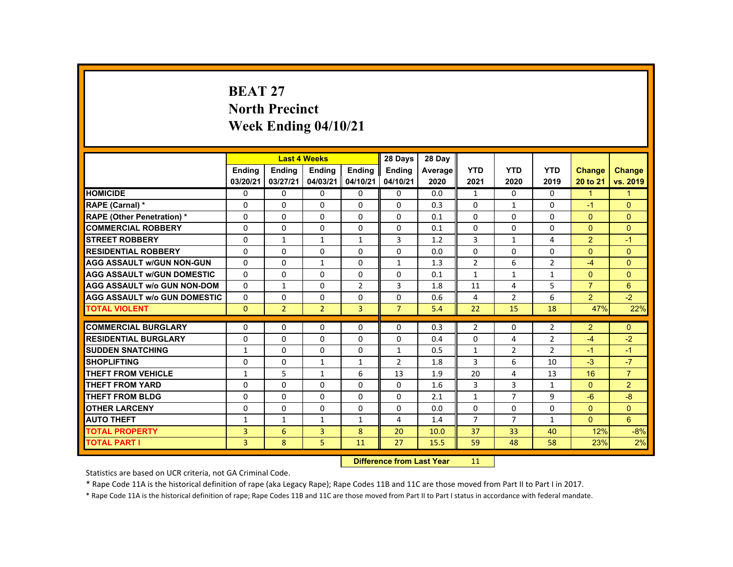# **BEAT 27 North Precinct Week Ending 04/10/21**

|                                     |                           |                | <b>Last 4 Weeks</b> |                | 28 Days        | 28 Day  |                 |                |                |                      |                |
|-------------------------------------|---------------------------|----------------|---------------------|----------------|----------------|---------|-----------------|----------------|----------------|----------------------|----------------|
|                                     | <b>Ending</b>             | <b>Ending</b>  | <b>Ending</b>       | <b>Ending</b>  | <b>Endina</b>  | Average | <b>YTD</b>      | <b>YTD</b>     | <b>YTD</b>     | Change               | <b>Change</b>  |
|                                     | 03/20/21                  | 03/27/21       | 04/03/21            | 04/10/21       | 04/10/21       | 2020    | 2021            | 2020           | 2019           | 20 to 21             | vs. 2019       |
| <b>HOMICIDE</b>                     | $\Omega$                  | $\Omega$       | $\Omega$            | $\Omega$       | 0              | 0.0     | $\mathbf{1}$    | $\Omega$       | $\Omega$       | $\blacktriangleleft$ | $\mathbf{1}$   |
| RAPE (Carnal) *                     | $\mathbf{0}$              | $\Omega$       | $\Omega$            | $\mathbf{0}$   | 0              | 0.3     | $\Omega$        | $\mathbf{1}$   | $\Omega$       | $-1$                 | $\Omega$       |
| <b>RAPE (Other Penetration) *</b>   | $\Omega$                  | $\Omega$       | $\Omega$            | $\Omega$       | $\Omega$       | 0.1     | $\Omega$        | $\Omega$       | $\Omega$       | $\Omega$             | $\Omega$       |
| <b>COMMERCIAL ROBBERY</b>           | $\mathbf{0}$              | $\Omega$       | $\Omega$            | $\Omega$       | $\Omega$       | 0.1     | 0               | $\Omega$       | $\Omega$       | $\Omega$             | $\mathbf{0}$   |
| <b>STREET ROBBERY</b>               | $\Omega$                  | $\mathbf{1}$   | $\mathbf{1}$        | $\mathbf{1}$   | 3              | 1.2     | 3               | $\mathbf{1}$   | 4              | $\overline{2}$       | $-1$           |
| <b>RESIDENTIAL ROBBERY</b>          | 0                         | $\Omega$       | $\mathbf{0}$        | 0              | 0              | 0.0     | 0               | 0              | 0              | $\Omega$             | $\mathbf{0}$   |
| <b>AGG ASSAULT W/GUN NON-GUN</b>    | $\mathbf{0}$              | $\Omega$       | $\mathbf{1}$        | $\Omega$       | $\mathbf{1}$   | 1.3     | $\overline{2}$  | 6              | $\overline{2}$ | $-4$                 | $\Omega$       |
| <b>AGG ASSAULT W/GUN DOMESTIC</b>   | $\Omega$                  | $\Omega$       | $\Omega$            | $\Omega$       | 0              | 0.1     | $\mathbf{1}$    | $\mathbf{1}$   | $\mathbf{1}$   | $\Omega$             | $\Omega$       |
| <b>AGG ASSAULT w/o GUN NON-DOM</b>  | $\Omega$                  | $\mathbf{1}$   | $\Omega$            | $\overline{2}$ | 3              | 1.8     | 11              | 4              | 5              | $\overline{7}$       | 6              |
| <b>AGG ASSAULT W/o GUN DOMESTIC</b> | $\Omega$                  | $\Omega$       | $\mathbf{0}$        | $\mathbf{0}$   | 0              | 0.6     | 4               | $\overline{2}$ | 6              | 2                    | $-2$           |
| <b>TOTAL VIOLENT</b>                | $\mathbf{0}$              | $\overline{2}$ | $\overline{2}$      | $\overline{3}$ | $\overline{7}$ | 5.4     | 22              | 15             | 18             | 47%                  | 22%            |
| <b>COMMERCIAL BURGLARY</b>          | $\Omega$                  | $\Omega$       | $\Omega$            | $\Omega$       | $\Omega$       | 0.3     | $\overline{2}$  | $\Omega$       | $\overline{2}$ | $\overline{2}$       | $\Omega$       |
| <b>RESIDENTIAL BURGLARY</b>         | 0                         | $\Omega$       | $\mathbf{0}$        | $\Omega$       | 0              | 0.4     | $\Omega$        | 4              | $\overline{2}$ | $-4$                 | $-2$           |
| <b>SUDDEN SNATCHING</b>             | $\mathbf{1}$              | $\mathbf{0}$   | $\Omega$            | $\Omega$       | 1              | 0.5     | $\mathbf{1}$    | $\overline{2}$ | $\overline{2}$ | $-1$                 | $-1$           |
| <b>SHOPLIFTING</b>                  | $\Omega$                  | $\Omega$       | $\mathbf{1}$        | $\mathbf{1}$   | 2              | 1.8     | 3               | 6              | 10             | $-3$                 | $-7$           |
| <b>THEFT FROM VEHICLE</b>           | $\mathbf{1}$              | 5              | $\mathbf{1}$        | 6              | 13             | 1.9     | 20              | 4              | 13             | 16                   | $\overline{7}$ |
| <b>THEFT FROM YARD</b>              | $\Omega$                  | $\Omega$       | $\Omega$            | $\Omega$       | 0              | 1.6     | 3               | 3              | $\mathbf{1}$   | $\Omega$             | $\overline{2}$ |
| <b>THEFT FROM BLDG</b>              | $\mathbf{0}$              | $\Omega$       | $\Omega$            | $\mathbf{0}$   | 0              | 2.1     | $\mathbf{1}$    | $\overline{7}$ | 9              | $-6$                 | $-8$           |
| <b>OTHER LARCENY</b>                | $\Omega$                  | $\Omega$       | $\Omega$            | $\Omega$       | 0              | 0.0     | $\Omega$        | $\Omega$       | $\Omega$       | $\Omega$             | $\Omega$       |
| <b>AUTO THEFT</b>                   | $\mathbf{1}$              | $\mathbf{1}$   | $\mathbf{1}$        | $\mathbf{1}$   | 4              | 1.4     | $\overline{7}$  | $\overline{7}$ | $\mathbf{1}$   | $\Omega$             | 6              |
| <b>TOTAL PROPERTY</b>               | 3                         | 6              | $\overline{3}$      | 8              | 20             | 10.0    | 37              | 33             | 40             | 12%                  | $-8%$          |
| <b>TOTAL PART I</b>                 | 3                         | 8              | 5                   | 11             | 27             | 15.5    | 59              | 48             | 58             | 23%                  | 2%             |
|                                     | Difference from Loot Voor |                |                     |                |                |         | 11 <sub>1</sub> |                |                |                      |                |

 **Difference from Last Year**r 11

Statistics are based on UCR criteria, not GA Criminal Code.

\* Rape Code 11A is the historical definition of rape (aka Legacy Rape); Rape Codes 11B and 11C are those moved from Part II to Part I in 2017.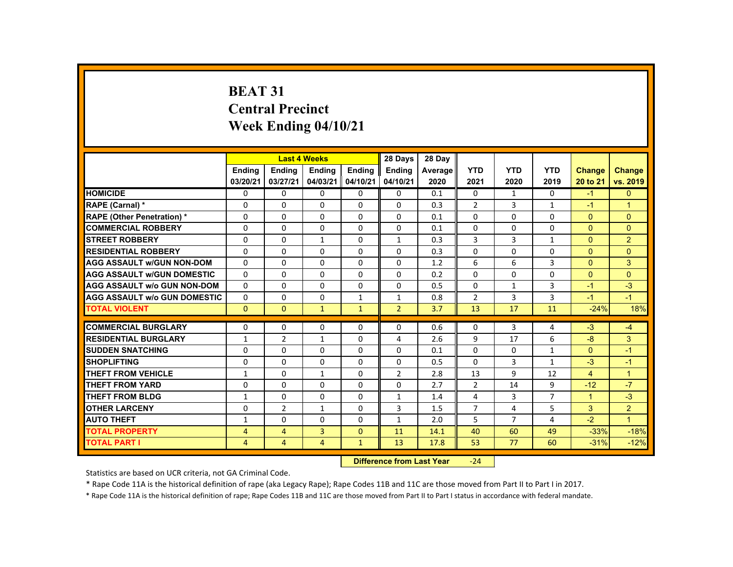# **BEAT 31 Central Precinct Week Ending 04/10/21**

|                                     |                |                | <b>Last 4 Weeks</b> |              | 28 Days                   | 28 Day  |                |                |                |                      |                |
|-------------------------------------|----------------|----------------|---------------------|--------------|---------------------------|---------|----------------|----------------|----------------|----------------------|----------------|
|                                     | <b>Endina</b>  | Ending         | <b>Ending</b>       | Ending       | <b>Endina</b>             | Average | <b>YTD</b>     | <b>YTD</b>     | <b>YTD</b>     | <b>Change</b>        | Change         |
|                                     | 03/20/21       | 03/27/21       | 04/03/21            | 04/10/21     | 04/10/21                  | 2020    | 2021           | 2020           | 2019           | 20 to 21             | vs. 2019       |
| <b>HOMICIDE</b>                     | $\Omega$       | $\Omega$       | $\Omega$            | $\Omega$     | $\Omega$                  | 0.1     | $\mathbf{0}$   | $\mathbf{1}$   | $\Omega$       | $-1$                 | $\Omega$       |
| <b>RAPE (Carnal) *</b>              | $\Omega$       | $\Omega$       | $\Omega$            | $\Omega$     | $\Omega$                  | 0.3     | $\overline{2}$ | 3              | $\mathbf{1}$   | $-1$                 | $\overline{1}$ |
| <b>RAPE (Other Penetration) *</b>   | 0              | $\mathbf{0}$   | 0                   | 0            | $\mathbf{0}$              | 0.1     | $\Omega$       | $\Omega$       | 0              | $\Omega$             | $\Omega$       |
| <b>COMMERCIAL ROBBERY</b>           | $\Omega$       | $\Omega$       | $\Omega$            | $\Omega$     | $\Omega$                  | 0.1     | $\Omega$       | $\Omega$       | $\Omega$       | $\mathbf{0}$         | $\Omega$       |
| <b>STREET ROBBERY</b>               | $\Omega$       | $\Omega$       | $\mathbf{1}$        | $\Omega$     | $\mathbf{1}$              | 0.3     | 3              | 3              | $\mathbf{1}$   | $\Omega$             | $\overline{2}$ |
| <b>RESIDENTIAL ROBBERY</b>          | 0              | $\mathbf{0}$   | 0                   | 0            | $\mathbf{0}$              | 0.3     | $\Omega$       | 0              | 0              | $\mathbf{0}$         | $\Omega$       |
| <b>AGG ASSAULT W/GUN NON-DOM</b>    | $\Omega$       | $\Omega$       | $\Omega$            | $\Omega$     | $\Omega$                  | 1.2     | 6              | 6              | $\overline{3}$ | $\mathbf{0}$         | 3              |
| <b>AGG ASSAULT w/GUN DOMESTIC</b>   | $\Omega$       | $\Omega$       | $\Omega$            | $\Omega$     | $\Omega$                  | 0.2     | $\Omega$       | $\Omega$       | $\Omega$       | $\Omega$             | $\Omega$       |
| <b>AGG ASSAULT w/o GUN NON-DOM</b>  | $\Omega$       | $\Omega$       | $\Omega$            | $\Omega$     | $\Omega$                  | 0.5     | $\Omega$       | $\mathbf{1}$   | $\overline{3}$ | $-1$                 | $-3$           |
| <b>AGG ASSAULT w/o GUN DOMESTIC</b> | $\mathbf{0}$   | $\mathbf{0}$   | 0                   | $\mathbf{1}$ | $\mathbf{1}$              | 0.8     | $\overline{2}$ | 3              | 3              | $-1$                 | $-1$           |
| <b>TOTAL VIOLENT</b>                | $\Omega$       | $\mathbf{0}$   | $\mathbf{1}$        | $\mathbf{1}$ | $\overline{2}$            | 3.7     | 13             | 17             | 11             | $-24%$               | 18%            |
| <b>COMMERCIAL BURGLARY</b>          | $\Omega$       | $\Omega$       | $\Omega$            | $\Omega$     | $\Omega$                  | 0.6     | $\Omega$       | 3              | 4              | $-3$                 | $-4$           |
| <b>RESIDENTIAL BURGLARY</b>         | $\mathbf{1}$   | $\overline{2}$ | $\mathbf{1}$        | $\Omega$     | 4                         | 2.6     | 9              | 17             | 6              | $-8$                 | 3              |
| <b>SUDDEN SNATCHING</b>             | $\Omega$       | $\Omega$       | $\Omega$            | $\Omega$     | $\Omega$                  | 0.1     | $\Omega$       | $\Omega$       | $\mathbf{1}$   | $\Omega$             | $-1$           |
| <b>SHOPLIFTING</b>                  | $\Omega$       | $\Omega$       | $\Omega$            | $\Omega$     | $\Omega$                  | 0.5     | $\Omega$       | 3              | $\mathbf{1}$   | $-3$                 | $-1$           |
| <b>THEFT FROM VEHICLE</b>           | $\mathbf{1}$   | $\Omega$       | $\mathbf{1}$        | $\Omega$     | $\overline{2}$            | 2.8     | 13             | 9              | 12             | $\overline{4}$       | $\overline{1}$ |
| <b>THEFT FROM YARD</b>              | $\Omega$       | $\Omega$       | $\Omega$            | $\Omega$     | $\Omega$                  | 2.7     | $\overline{2}$ | 14             | 9              | $-12$                | $-7$           |
| <b>THEFT FROM BLDG</b>              | $\mathbf{1}$   | $\Omega$       | $\Omega$            | $\Omega$     | $\mathbf{1}$              | 1.4     | 4              | 3              | $\overline{7}$ | $\blacktriangleleft$ | $-3$           |
| <b>OTHER LARCENY</b>                | $\Omega$       | $\overline{2}$ | $\mathbf{1}$        | $\Omega$     | 3                         | 1.5     | $\overline{7}$ | 4              | 5              | 3                    | $\overline{2}$ |
| <b>AUTO THEFT</b>                   | $\mathbf{1}$   | $\Omega$       | $\Omega$            | $\Omega$     | $\mathbf{1}$              | 2.0     | 5              | $\overline{7}$ | 4              | $-2$                 | $\overline{1}$ |
| <b>TOTAL PROPERTY</b>               | $\overline{4}$ | $\overline{4}$ | 3                   | $\Omega$     | 11                        | 14.1    | 40             | 60             | 49             | $-33%$               | $-18%$         |
| <b>TOTAL PART I</b>                 | 4              | $\overline{4}$ | $\overline{4}$      | $\mathbf{1}$ | 13                        | 17.8    | 53             | 77             | 60             | $-31%$               | $-12%$         |
|                                     |                |                |                     |              | Difference from Loot Voor |         | 21             |                |                |                      |                |

 **Difference from Last Year**‐24

Statistics are based on UCR criteria, not GA Criminal Code.

\* Rape Code 11A is the historical definition of rape (aka Legacy Rape); Rape Codes 11B and 11C are those moved from Part II to Part I in 2017.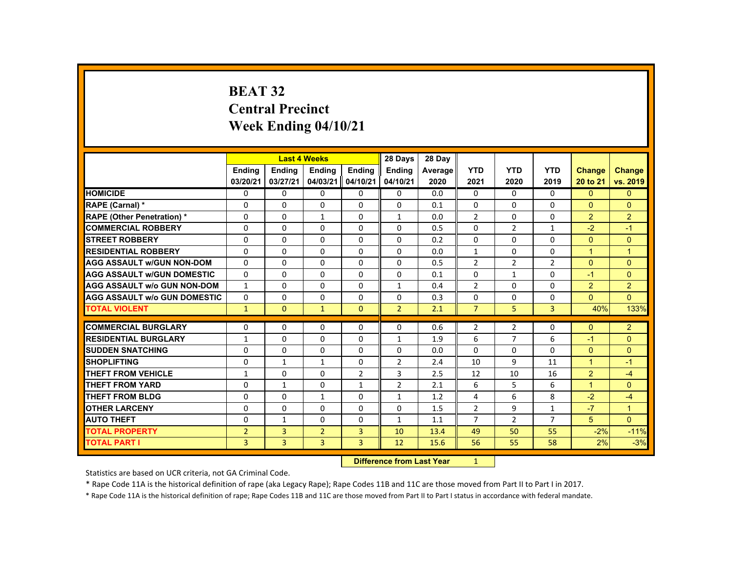# **BEAT 32 Central PrecinctWeek Ending 04/10/21**

|                                     |                |                | <b>Last 4 Weeks</b> |                | 28 Days        | 28 Day  |                |                |                |                |                |
|-------------------------------------|----------------|----------------|---------------------|----------------|----------------|---------|----------------|----------------|----------------|----------------|----------------|
|                                     | Ending         | Ending         | <b>Ending</b>       | Ending         | <b>Ending</b>  | Average | <b>YTD</b>     | <b>YTD</b>     | <b>YTD</b>     | Change         | <b>Change</b>  |
|                                     | 03/20/21       | 03/27/21       | 04/03/21            | 04/10/21       | 04/10/21       | 2020    | 2021           | 2020           | 2019           | 20 to 21       | vs. 2019       |
| <b>HOMICIDE</b>                     | 0              | $\Omega$       | $\mathbf{0}$        | $\Omega$       | 0              | 0.0     | 0              | 0              | 0              | $\mathbf{0}$   | $\mathbf{0}$   |
| RAPE (Carnal) *                     | $\Omega$       | $\Omega$       | $\Omega$            | $\Omega$       | $\Omega$       | 0.1     | $\Omega$       | $\Omega$       | $\Omega$       | $\Omega$       | $\Omega$       |
| <b>RAPE (Other Penetration) *</b>   | $\mathbf 0$    | $\Omega$       | $\mathbf{1}$        | $\Omega$       | $\mathbf{1}$   | 0.0     | $\overline{2}$ | $\Omega$       | $\Omega$       | $\overline{2}$ | $\overline{2}$ |
| <b>COMMERCIAL ROBBERY</b>           | $\Omega$       | $\Omega$       | $\Omega$            | $\Omega$       | $\Omega$       | 0.5     | $\Omega$       | $\overline{2}$ | $\mathbf{1}$   | $-2$           | $-1$           |
| <b>STREET ROBBERY</b>               | 0              | $\Omega$       | $\Omega$            | $\Omega$       | $\Omega$       | 0.2     | $\Omega$       | $\Omega$       | $\Omega$       | $\Omega$       | $\mathbf{0}$   |
| <b>RESIDENTIAL ROBBERY</b>          | $\Omega$       | $\Omega$       | $\Omega$            | $\Omega$       | $\Omega$       | 0.0     | $\mathbf{1}$   | $\Omega$       | $\Omega$       | $\mathbf{1}$   | $\overline{1}$ |
| <b>AGG ASSAULT W/GUN NON-DOM</b>    | $\Omega$       | $\Omega$       | $\Omega$            | $\Omega$       | $\Omega$       | 0.5     | $\overline{2}$ | $\overline{2}$ | $\overline{2}$ | $\Omega$       | $\mathbf{0}$   |
| <b>AGG ASSAULT W/GUN DOMESTIC</b>   | $\Omega$       | $\Omega$       | $\Omega$            | $\Omega$       | $\Omega$       | 0.1     | $\Omega$       | $\mathbf{1}$   | $\Omega$       | $-1$           | $\Omega$       |
| <b>AGG ASSAULT w/o GUN NON-DOM</b>  | $\mathbf{1}$   | $\mathbf{0}$   | $\mathbf{0}$        | $\mathbf{0}$   | $\mathbf{1}$   | 0.4     | $\overline{2}$ | 0              | 0              | $\overline{2}$ | $\overline{2}$ |
| <b>AGG ASSAULT W/o GUN DOMESTIC</b> | $\Omega$       | $\Omega$       | $\Omega$            | $\Omega$       | $\Omega$       | 0.3     | 0              | 0              | 0              | $\Omega$       | $\Omega$       |
| <b>TOTAL VIOLENT</b>                | $\mathbf{1}$   | $\overline{0}$ | $\mathbf{1}$        | $\Omega$       | $\overline{2}$ | 2.1     | $\overline{7}$ | 5              | 3              | 40%            | 133%           |
| <b>COMMERCIAL BURGLARY</b>          | 0              | $\mathbf{0}$   | $\Omega$            | 0              | 0              | 0.6     | $\overline{2}$ | 2              | 0              | $\Omega$       | $\overline{2}$ |
| <b>RESIDENTIAL BURGLARY</b>         | $\mathbf{1}$   | $\Omega$       | $\Omega$            | $\Omega$       | $\mathbf{1}$   | 1.9     | 6              | $\overline{7}$ | 6              | $-1$           | $\mathbf{0}$   |
| <b>SUDDEN SNATCHING</b>             | $\Omega$       | $\Omega$       | $\Omega$            | $\Omega$       | $\Omega$       | 0.0     | $\Omega$       | $\Omega$       | $\Omega$       | $\Omega$       | $\Omega$       |
| <b>SHOPLIFTING</b>                  | 0              | $\mathbf{1}$   | $\mathbf{1}$        | $\Omega$       | $\overline{2}$ | 2.4     | 10             | 9              | 11             | $\mathbf{1}$   | $-1$           |
| THEFT FROM VEHICLE                  | $\mathbf{1}$   | $\Omega$       | $\Omega$            | $\overline{2}$ | 3              | 2.5     | 12             | 10             | 16             | $\overline{2}$ | $-4$           |
| <b>THEFT FROM YARD</b>              | 0              | $\mathbf{1}$   | $\Omega$            | $\mathbf{1}$   | $\overline{2}$ | 2.1     | 6              | 5              | 6              | $\mathbf{1}$   | $\mathbf{0}$   |
| <b>THEFT FROM BLDG</b>              | $\Omega$       | $\Omega$       | $\mathbf{1}$        | $\Omega$       | $\mathbf{1}$   | 1.2     | 4              | 6              | 8              | $-2$           | $-4$           |
| <b>OTHER LARCENY</b>                | 0              | $\Omega$       | $\Omega$            | $\Omega$       | $\Omega$       | 1.5     | $\overline{2}$ | 9              | $\mathbf{1}$   | $-7$           | $\overline{1}$ |
| <b>AUTO THEFT</b>                   | $\Omega$       | $\mathbf{1}$   | $\Omega$            | $\mathbf{0}$   | $\mathbf{1}$   | 1.1     | $\overline{7}$ | $\overline{2}$ | $\overline{7}$ | 5              | $\Omega$       |
| <b>TOTAL PROPERTY</b>               | $\overline{2}$ | $\overline{3}$ | $\overline{2}$      | $\overline{3}$ | 10             | 13.4    | 49             | 50             | 55             | $-2%$          | $-11%$         |
| <b>TOTAL PART I</b>                 | $\overline{3}$ | $\overline{3}$ | 3                   | $\overline{3}$ | 12             | 15.6    | 56             | 55             | 58             | 2%             | $-3%$          |
|                                     |                |                |                     |                |                |         | 1              |                |                |                |                |

 **Difference from Last Year**

Statistics are based on UCR criteria, not GA Criminal Code.

\* Rape Code 11A is the historical definition of rape (aka Legacy Rape); Rape Codes 11B and 11C are those moved from Part II to Part I in 2017.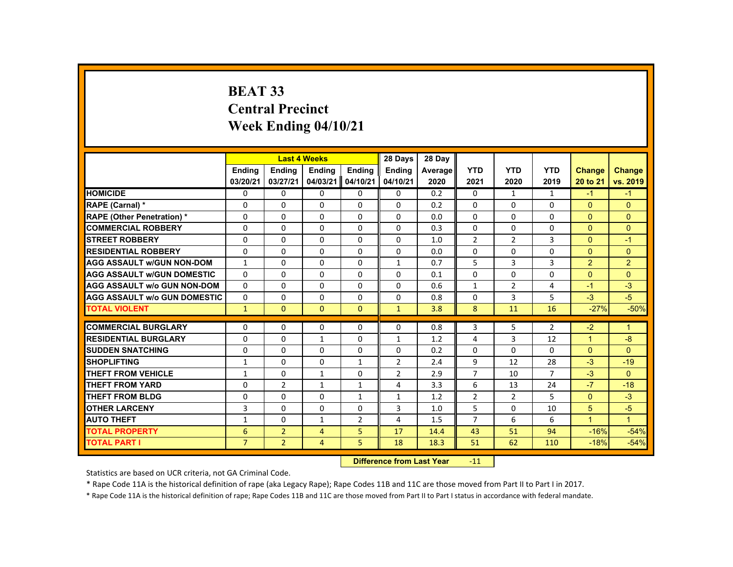# **BEAT 33 Central Precinct Week Ending 04/10/21**

|                                     |                |                           | <b>Last 4 Weeks</b> |                | 28 Days        | 28 Day  |                |                |                |                |                |
|-------------------------------------|----------------|---------------------------|---------------------|----------------|----------------|---------|----------------|----------------|----------------|----------------|----------------|
|                                     | <b>Endina</b>  | <b>Endina</b>             | Ending              | <b>Endina</b>  | <b>Endina</b>  | Average | <b>YTD</b>     | <b>YTD</b>     | <b>YTD</b>     | Change         | <b>Change</b>  |
|                                     | 03/20/21       | 03/27/21                  | 04/03/21            | 04/10/21       | 04/10/21       | 2020    | 2021           | 2020           | 2019           | 20 to 21       | vs. 2019       |
| <b>HOMICIDE</b>                     | 0              | 0                         | 0                   | 0              | 0              | 0.2     | 0              | 1              | $\mathbf{1}$   | $-1$           | $-1$           |
| RAPE (Carnal) *                     | 0              | 0                         | $\Omega$            | 0              | 0              | 0.2     | 0              | 0              | 0              | $\Omega$       | $\overline{0}$ |
| <b>RAPE (Other Penetration) *</b>   | 0              | $\Omega$                  | $\Omega$            | $\Omega$       | $\Omega$       | 0.0     | $\Omega$       | $\Omega$       | $\Omega$       | $\Omega$       | $\mathbf{0}$   |
| <b>COMMERCIAL ROBBERY</b>           | $\Omega$       | $\Omega$                  | $\Omega$            | $\Omega$       | 0              | 0.3     | 0              | $\Omega$       | $\Omega$       | $\mathbf{0}$   | $\mathbf{0}$   |
| <b>STREET ROBBERY</b>               | $\Omega$       | $\Omega$                  | $\Omega$            | $\Omega$       | $\Omega$       | 1.0     | $\overline{2}$ | $\overline{2}$ | 3              | $\Omega$       | $-1$           |
| <b>RESIDENTIAL ROBBERY</b>          | 0              | 0                         | 0                   | 0              | 0              | 0.0     | 0              | 0              | 0              | $\mathbf{0}$   | $\mathbf{0}$   |
| <b>AGG ASSAULT w/GUN NON-DOM</b>    | $\mathbf{1}$   | $\Omega$                  | $\Omega$            | $\Omega$       | $\mathbf{1}$   | 0.7     | 5              | 3              | 3              | 2              | $\overline{2}$ |
| <b>AGG ASSAULT w/GUN DOMESTIC</b>   | $\Omega$       | $\Omega$                  | $\Omega$            | $\Omega$       | $\Omega$       | 0.1     | $\Omega$       | $\Omega$       | $\Omega$       | $\mathbf{0}$   | $\mathbf{0}$   |
| <b>AGG ASSAULT w/o GUN NON-DOM</b>  | $\Omega$       | $\Omega$                  | $\Omega$            | $\Omega$       | $\Omega$       | 0.6     | $\mathbf{1}$   | $\overline{2}$ | 4              | $-1$           | $-3$           |
| <b>AGG ASSAULT w/o GUN DOMESTIC</b> | $\Omega$       | 0                         | 0                   | 0              | 0              | 0.8     | 0              | 3              | 5              | $-3$           | $-5$           |
| <b>TOTAL VIOLENT</b>                | $\mathbf{1}$   | $\mathbf{0}$              | $\mathbf{0}$        | $\mathbf{0}$   | $\mathbf{1}$   | 3.8     | 8              | 11             | 16             | $-27%$         | $-50%$         |
| <b>COMMERCIAL BURGLARY</b>          | $\Omega$       | $\Omega$                  | $\Omega$            | $\Omega$       | $\Omega$       | 0.8     | 3              | 5              | $\overline{2}$ | $-2$           | $\mathbf{1}$   |
| <b>RESIDENTIAL BURGLARY</b>         | 0              | $\Omega$                  | $\mathbf{1}$        | 0              | 1              | 1.2     | 4              | 3              | 12             | $\overline{1}$ | $-8$           |
| <b>SUDDEN SNATCHING</b>             | $\Omega$       | 0                         | $\Omega$            | $\Omega$       | 0              | 0.2     | $\Omega$       | $\Omega$       | 0              | $\Omega$       | $\Omega$       |
| <b>SHOPLIFTING</b>                  | 1              | $\Omega$                  | $\Omega$            | $\mathbf{1}$   | $\overline{2}$ | 2.4     | 9              | 12             | 28             | $-3$           | $-19$          |
| <b>THEFT FROM VEHICLE</b>           | $\mathbf{1}$   | $\Omega$                  | $\mathbf{1}$        | $\Omega$       | $\overline{2}$ | 2.9     | $\overline{7}$ | 10             | $\overline{7}$ | $-3$           | $\Omega$       |
| <b>THEFT FROM YARD</b>              | 0              | $\overline{2}$            | 1                   | $\mathbf{1}$   | 4              | 3.3     | 6              | 13             | 24             | $-7$           | $-18$          |
| <b>THEFT FROM BLDG</b>              | $\Omega$       | $\Omega$                  | $\Omega$            | $\mathbf{1}$   | $\mathbf{1}$   | 1.2     | $\overline{2}$ | $\overline{2}$ | 5              | $\Omega$       | $-3$           |
| <b>OTHER LARCENY</b>                | 3              | $\Omega$                  | $\Omega$            | $\Omega$       | 3              | 1.0     | 5              | $\Omega$       | 10             | 5              | $-5$           |
| <b>AUTO THEFT</b>                   | $\mathbf{1}$   | $\Omega$                  | $\mathbf{1}$        | $\overline{2}$ | 4              | 1.5     | $\overline{7}$ | 6              | 6              | $\mathbf{1}$   | $\mathbf{1}$   |
| <b>TOTAL PROPERTY</b>               | 6              | $\overline{2}$            | 4                   | 5              | 17             | 14.4    | 43             | 51             | 94             | $-16%$         | $-54%$         |
| <b>TOTAL PART I</b>                 | $\overline{7}$ | $\overline{2}$            | $\overline{4}$      | 5              | 18             | 18.3    | 51             | 62             | 110            | $-18%$         | $-54%$         |
|                                     |                | Difference from Last Vear |                     | $-11$          |                |         |                |                |                |                |                |

 **Difference from Last Year**r -11

Statistics are based on UCR criteria, not GA Criminal Code.

\* Rape Code 11A is the historical definition of rape (aka Legacy Rape); Rape Codes 11B and 11C are those moved from Part II to Part I in 2017.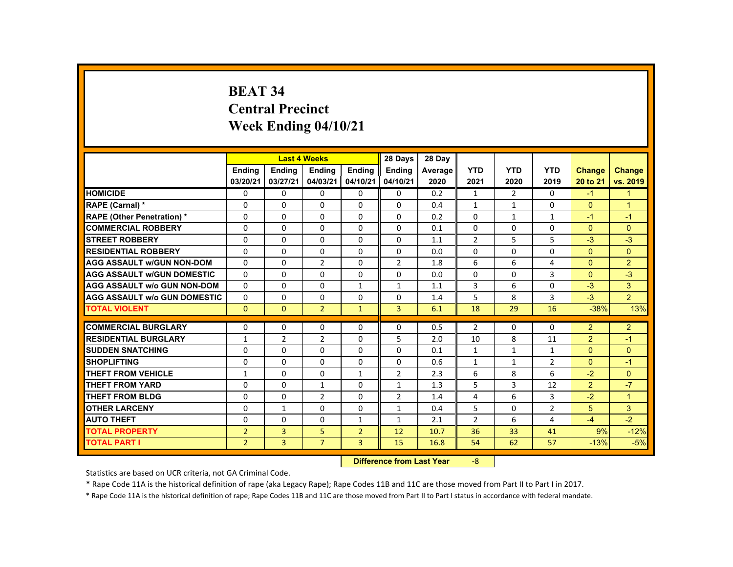# **BEAT 34 Central Precinct Week Ending 04/10/21**

|                                     |                           |                | <b>Last 4 Weeks</b> |                | 28 Days        | 28 Day  |                |              |                |                |                      |
|-------------------------------------|---------------------------|----------------|---------------------|----------------|----------------|---------|----------------|--------------|----------------|----------------|----------------------|
|                                     | <b>Endina</b>             | <b>Ending</b>  | <b>Ending</b>       | <b>Ending</b>  | Ending         | Average | <b>YTD</b>     | <b>YTD</b>   | <b>YTD</b>     | <b>Change</b>  | <b>Change</b>        |
|                                     | 03/20/21                  | 03/27/21       | 04/03/21            | 04/10/21       | 04/10/21       | 2020    | 2021           | 2020         | 2019           | 20 to 21       | vs. 2019             |
| <b>HOMICIDE</b>                     | $\mathbf{0}$              | $\Omega$       | 0                   | 0              | $\mathbf{0}$   | 0.2     | $\mathbf{1}$   | 2            | $\Omega$       | $-1$           | $\mathbf{1}$         |
| RAPE (Carnal) *                     | 0                         | $\Omega$       | $\Omega$            | $\mathbf{0}$   | $\mathbf{0}$   | 0.4     | $\mathbf{1}$   | $\mathbf{1}$ | $\mathbf{0}$   | $\Omega$       | $\blacktriangleleft$ |
| <b>RAPE (Other Penetration) *</b>   | $\Omega$                  | $\Omega$       | $\Omega$            | $\Omega$       | $\Omega$       | 0.2     | $\Omega$       | $\mathbf{1}$ | $\mathbf{1}$   | $-1$           | $-1$                 |
| <b>COMMERCIAL ROBBERY</b>           | $\Omega$                  | $\Omega$       | $\Omega$            | $\Omega$       | $\Omega$       | 0.1     | $\Omega$       | $\Omega$     | $\Omega$       | $\Omega$       | $\Omega$             |
| <b>STREET ROBBERY</b>               | $\Omega$                  | $\Omega$       | $\Omega$            | $\Omega$       | $\Omega$       | 1.1     | $\overline{2}$ | 5            | 5              | $-3$           | $-3$                 |
| <b>RESIDENTIAL ROBBERY</b>          | 0                         | $\mathbf{0}$   | 0                   | $\mathbf{0}$   | 0              | 0.0     | 0              | 0            | 0              | $\Omega$       | $\Omega$             |
| <b>AGG ASSAULT W/GUN NON-DOM</b>    | $\Omega$                  | $\Omega$       | $\overline{2}$      | $\Omega$       | $\overline{2}$ | 1.8     | 6              | 6            | 4              | $\Omega$       | $\overline{2}$       |
| <b>AGG ASSAULT W/GUN DOMESTIC</b>   | $\Omega$                  | $\Omega$       | $\Omega$            | $\Omega$       | $\Omega$       | 0.0     | $\Omega$       | $\Omega$     | 3              | $\mathbf{0}$   | $-3$                 |
| <b>AGG ASSAULT w/o GUN NON-DOM</b>  | $\Omega$                  | $\Omega$       | $\Omega$            | $\mathbf{1}$   | $\mathbf{1}$   | 1.1     | 3              | 6            | $\Omega$       | $-3$           | 3                    |
| <b>AGG ASSAULT W/o GUN DOMESTIC</b> | $\Omega$                  | $\Omega$       | $\Omega$            | $\Omega$       | $\Omega$       | 1.4     | 5              | 8            | 3              | $-3$           | 2 <sup>1</sup>       |
| <b>TOTAL VIOLENT</b>                | $\Omega$                  | $\Omega$       | $\overline{2}$      | $\mathbf{1}$   | $\overline{3}$ | 6.1     | 18             | 29           | 16             | $-38%$         | 13%                  |
| <b>COMMERCIAL BURGLARY</b>          | $\Omega$                  | $\Omega$       | $\Omega$            | $\Omega$       | $\Omega$       | 0.5     | $\overline{2}$ | $\Omega$     | $\Omega$       | $\overline{2}$ | $\overline{2}$       |
| <b>RESIDENTIAL BURGLARY</b>         | $\mathbf{1}$              | $\overline{2}$ | 2                   | 0              | 5              | 2.0     | 10             | 8            | 11             | $\overline{2}$ | $-1$                 |
| <b>SUDDEN SNATCHING</b>             | $\Omega$                  | $\Omega$       | $\Omega$            | $\Omega$       | $\Omega$       | 0.1     | $\mathbf{1}$   | $\mathbf{1}$ | 1              | $\mathbf{0}$   | $\Omega$             |
| <b>SHOPLIFTING</b>                  | $\Omega$                  | $\Omega$       | $\Omega$            | $\Omega$       | $\Omega$       | 0.6     | $\mathbf{1}$   | $\mathbf{1}$ | $\overline{2}$ | $\mathbf{0}$   | $-1$                 |
| <b>THEFT FROM VEHICLE</b>           | $\mathbf{1}$              | $\Omega$       | $\Omega$            | $\mathbf{1}$   | 2              | 2.3     | 6              | 8            | 6              | $-2$           | $\Omega$             |
| <b>THEFT FROM YARD</b>              | $\Omega$                  | $\Omega$       | $\mathbf{1}$        | $\Omega$       | $\mathbf{1}$   | 1.3     | 5              | 3            | 12             | $\overline{2}$ | $-7$                 |
| <b>THEFT FROM BLDG</b>              | 0                         | $\Omega$       | $\overline{2}$      | $\mathbf{0}$   | $\overline{2}$ | 1.4     | 4              | 6            | 3              | $-2$           | $\blacktriangleleft$ |
| <b>OTHER LARCENY</b>                | $\Omega$                  | $\mathbf{1}$   | $\Omega$            | $\Omega$       | $\mathbf{1}$   | 0.4     | 5              | $\Omega$     | $\overline{2}$ | 5 <sup>5</sup> | 3                    |
| <b>AUTO THEFT</b>                   |                           |                |                     |                |                |         |                |              |                |                |                      |
|                                     | $\Omega$                  | $\Omega$       | $\Omega$            | $\mathbf{1}$   | $\mathbf{1}$   | 2.1     | $\overline{2}$ | 6            | 4              | $-4$           | $-2$                 |
| <b>TOTAL PROPERTY</b>               | $\overline{2}$            | 3              | 5                   | $\overline{2}$ | 12             | 10.7    | 36             | 33           | 41             | 9%             | $-12%$               |
| <b>TOTAL PART I</b>                 | $\overline{2}$            | 3              | $\overline{7}$      | $\overline{3}$ | 15             | 16.8    | 54             | 62           | 57             | $-13%$         | $-5%$                |
|                                     | Difference from Loot Voor |                |                     |                |                |         |                |              |                |                |                      |

 **Difference from Last Year**‐8

Statistics are based on UCR criteria, not GA Criminal Code.

\* Rape Code 11A is the historical definition of rape (aka Legacy Rape); Rape Codes 11B and 11C are those moved from Part II to Part I in 2017.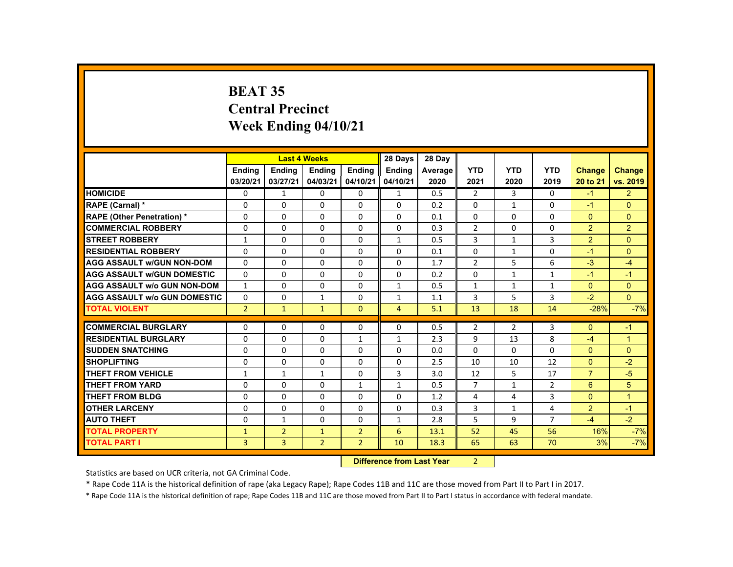# **BEAT 35 Central Precinct Week Ending 04/10/21**

|                                     |                |                | <b>Last 4 Weeks</b> |                | 28 Days        | 28 Day  |                |                |                |                  |                      |
|-------------------------------------|----------------|----------------|---------------------|----------------|----------------|---------|----------------|----------------|----------------|------------------|----------------------|
|                                     | <b>Endina</b>  | <b>Ending</b>  | <b>Ending</b>       | <b>Ending</b>  | <b>Endina</b>  | Average | <b>YTD</b>     | <b>YTD</b>     | <b>YTD</b>     | Change           | <b>Change</b>        |
|                                     | 03/20/21       | 03/27/21       | 04/03/21            | 04/10/21       | 04/10/21       | 2020    | 2021           | 2020           | 2019           | 20 to 21         | vs. 2019             |
| <b>HOMICIDE</b>                     | $\mathbf{0}$   | $\mathbf{1}$   | 0                   | 0              | $\mathbf{1}$   | 0.5     | 2              | $\overline{3}$ | $\Omega$       | $-1$             | 2 <sup>1</sup>       |
| RAPE (Carnal) *                     | 0              | $\mathbf{0}$   | $\Omega$            | $\mathbf{0}$   | $\mathbf{0}$   | 0.2     | $\Omega$       | $\mathbf{1}$   | $\mathbf{0}$   | $-1$             | $\Omega$             |
| <b>RAPE (Other Penetration) *</b>   | $\Omega$       | $\Omega$       | $\Omega$            | $\Omega$       | $\Omega$       | 0.1     | $\Omega$       | $\Omega$       | $\Omega$       | $\Omega$         | $\Omega$             |
| <b>COMMERCIAL ROBBERY</b>           | $\Omega$       | $\Omega$       | $\Omega$            | $\Omega$       | $\Omega$       | 0.3     | $\overline{2}$ | $\Omega$       | $\Omega$       | $\overline{2}$   | $\overline{2}$       |
| <b>STREET ROBBERY</b>               | $\mathbf{1}$   | $\Omega$       | $\Omega$            | $\Omega$       | $\mathbf{1}$   | 0.5     | 3              | $\mathbf{1}$   | $\overline{3}$ | $\overline{2}$   | $\Omega$             |
| <b>RESIDENTIAL ROBBERY</b>          | 0              | $\mathbf{0}$   | 0                   | $\mathbf{0}$   | $\mathbf{0}$   | 0.1     | 0              | $\mathbf{1}$   | 0              | $-1$             | $\Omega$             |
| <b>AGG ASSAULT W/GUN NON-DOM</b>    | $\Omega$       | $\Omega$       | $\Omega$            | $\Omega$       | $\Omega$       | 1.7     | 2              | 5              | 6              | $-3$             | $-4$                 |
| <b>AGG ASSAULT W/GUN DOMESTIC</b>   | $\Omega$       | $\Omega$       | $\Omega$            | $\Omega$       | $\Omega$       | 0.2     | $\Omega$       | $\mathbf{1}$   | $\mathbf{1}$   | $-1$             | $-1$                 |
| <b>AGG ASSAULT w/o GUN NON-DOM</b>  | $\mathbf{1}$   | $\Omega$       | $\Omega$            | $\Omega$       | $\mathbf{1}$   | 0.5     | $\mathbf{1}$   | $\mathbf{1}$   | $\mathbf{1}$   | $\mathbf{0}$     | $\Omega$             |
| <b>AGG ASSAULT W/o GUN DOMESTIC</b> | $\Omega$       | $\Omega$       | $\mathbf{1}$        | $\Omega$       | $\mathbf{1}$   | 1.1     | 3              | 5              | 3              | $-2$             | $\overline{0}$       |
| <b>TOTAL VIOLENT</b>                | 2 <sup>1</sup> | $\mathbf{1}$   | $\mathbf{1}$        | $\mathbf{0}$   | $\overline{4}$ | 5.1     | 13             | 18             | 14             | $-28%$           | $-7%$                |
| <b>COMMERCIAL BURGLARY</b>          | $\Omega$       | $\Omega$       | $\Omega$            | $\Omega$       | $\Omega$       | 0.5     | $\overline{2}$ | $\overline{2}$ | 3              | $\Omega$         | $-1$                 |
| <b>RESIDENTIAL BURGLARY</b>         | 0              | $\Omega$       | 0                   | $\mathbf{1}$   | $\mathbf{1}$   | 2.3     | 9              | 13             | 8              | $-4$             | 1                    |
| <b>SUDDEN SNATCHING</b>             | $\Omega$       | $\Omega$       | $\Omega$            | $\Omega$       | $\Omega$       | 0.0     | $\Omega$       | 0              | $\Omega$       | $\mathbf{0}$     | $\Omega$             |
| <b>SHOPLIFTING</b>                  | $\Omega$       | $\Omega$       | $\Omega$            | $\Omega$       | $\Omega$       | 2.5     | 10             | 10             | 12             | $\mathbf{0}$     | $-2$                 |
| <b>THEFT FROM VEHICLE</b>           | $\mathbf{1}$   | $\mathbf{1}$   | $\mathbf{1}$        | $\Omega$       | 3              | 3.0     | 12             | 5              | 17             | $\overline{7}$   | $-5$                 |
| <b>THEFT FROM YARD</b>              | $\Omega$       | $\Omega$       | $\Omega$            | $\mathbf{1}$   | $\mathbf{1}$   | 0.5     | $\overline{7}$ | $\mathbf{1}$   | $\overline{2}$ | $6 \overline{6}$ | 5                    |
| <b>THEFT FROM BLDG</b>              | 0              | $\Omega$       | 0                   | $\Omega$       | $\mathbf{0}$   | 1.2     | 4              | 4              | 3              | $\Omega$         | $\blacktriangleleft$ |
| <b>OTHER LARCENY</b>                | $\Omega$       | $\Omega$       | $\Omega$            | $\Omega$       | $\Omega$       | 0.3     | 3              | $\mathbf{1}$   | 4              | $\overline{2}$   | $-1$                 |
| <b>AUTO THEFT</b>                   | $\Omega$       | $\mathbf{1}$   | $\Omega$            | $\Omega$       | $\mathbf{1}$   | 2.8     | 5              | 9              | $\overline{7}$ | $-4$             | $-2$                 |
| <b>TOTAL PROPERTY</b>               | $\mathbf{1}$   | $\overline{2}$ | $\mathbf{1}$        | $\overline{2}$ | 6              | 13.1    | 52             | 45             | 56             | 16%              | $-7%$                |
| <b>TOTAL PART I</b>                 | 3              | $\overline{3}$ | $\overline{2}$      | $\overline{2}$ | 10             | 18.3    | 65             | 63             | 70             | 3%               | $-7%$                |
|                                     |                |                |                     |                |                |         |                |                |                |                  |                      |

 **Difference from Last Year**r 2

Statistics are based on UCR criteria, not GA Criminal Code.

\* Rape Code 11A is the historical definition of rape (aka Legacy Rape); Rape Codes 11B and 11C are those moved from Part II to Part I in 2017.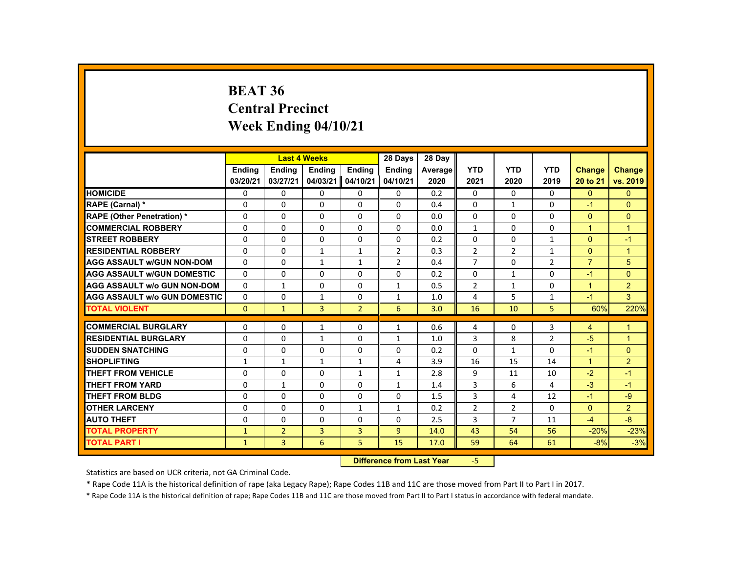### **BEAT 36 Central PrecinctWeek Ending 04/10/21**

|                                     |                              |                           | <b>Last 4 Weeks</b> |                | 28 Days        | 28 Day  |                |                |                |                      |                |
|-------------------------------------|------------------------------|---------------------------|---------------------|----------------|----------------|---------|----------------|----------------|----------------|----------------------|----------------|
|                                     | <b>Endina</b>                | <b>Endina</b>             | <b>Ending</b>       | <b>Endina</b>  | <b>Ending</b>  | Average | <b>YTD</b>     | <b>YTD</b>     | <b>YTD</b>     | <b>Change</b>        | <b>Change</b>  |
|                                     | 03/20/21                     | 03/27/21                  | 04/03/21            | 04/10/21       | 04/10/21       | 2020    | 2021           | 2020           | 2019           | 20 to 21             | vs. 2019       |
| <b>HOMICIDE</b>                     | 0                            | $\Omega$                  | 0                   | $\Omega$       | 0              | 0.2     | $\mathbf{0}$   | $\mathbf{0}$   | 0              | $\mathbf{0}$         | $\Omega$       |
| RAPE (Carnal) *                     | $\Omega$                     | $\Omega$                  | $\Omega$            | $\Omega$       | $\Omega$       | 0.4     | $\Omega$       | $\mathbf{1}$   | $\Omega$       | $-1$                 | $\Omega$       |
| <b>RAPE (Other Penetration) *</b>   | $\Omega$                     | $\Omega$                  | $\Omega$            | $\Omega$       | $\Omega$       | 0.0     | $\Omega$       | $\Omega$       | $\Omega$       | $\Omega$             | $\mathbf{0}$   |
| <b>COMMERCIAL ROBBERY</b>           | $\Omega$                     | $\Omega$                  | $\Omega$            | $\Omega$       | $\Omega$       | 0.0     | $\mathbf{1}$   | $\Omega$       | 0              | $\blacktriangleleft$ | $\overline{1}$ |
| <b>STREET ROBBERY</b>               | $\Omega$                     | $\Omega$                  | $\Omega$            | $\Omega$       | $\Omega$       | 0.2     | $\Omega$       | $\Omega$       | $\mathbf{1}$   | $\Omega$             | $-1$           |
| <b>RESIDENTIAL ROBBERY</b>          | $\Omega$                     | 0                         | $\mathbf{1}$        | $\mathbf{1}$   | $\overline{2}$ | 0.3     | $\overline{2}$ | $\overline{2}$ | $\mathbf{1}$   | $\Omega$             | $\mathbf 1$    |
| <b>AGG ASSAULT w/GUN NON-DOM</b>    | 0                            | 0                         | $\mathbf{1}$        | $\mathbf{1}$   | 2              | 0.4     | $\overline{7}$ | 0              | 2              | $\overline{7}$       | 5              |
| <b>AGG ASSAULT w/GUN DOMESTIC</b>   | $\Omega$                     | 0                         | 0                   | 0              | $\Omega$       | 0.2     | 0              | $\mathbf{1}$   | $\Omega$       | $-1$                 | $\Omega$       |
| <b>AGG ASSAULT w/o GUN NON-DOM</b>  | $\Omega$                     | $\mathbf{1}$              | $\Omega$            | $\Omega$       | $\mathbf{1}$   | 0.5     | $\overline{2}$ | $\mathbf{1}$   | $\Omega$       | $\overline{1}$       | $\overline{2}$ |
| <b>AGG ASSAULT W/o GUN DOMESTIC</b> | $\Omega$                     | $\Omega$                  | $\mathbf{1}$        | $\Omega$       | $\mathbf{1}$   | 1.0     | 4              | 5              | $\mathbf{1}$   | $-1$                 | 3              |
| <b>TOTAL VIOLENT</b>                | $\mathbf{0}$                 | $\mathbf{1}$              | 3                   | $\overline{2}$ | 6              | 3.0     | 16             | 10             | 5              | 60%                  | 220%           |
| <b>COMMERCIAL BURGLARY</b>          | $\Omega$                     | $\Omega$                  | 1                   | $\Omega$       | 1              | 0.6     | 4              | 0              | 3              | $\overline{4}$       | $\mathbf 1$    |
| <b>RESIDENTIAL BURGLARY</b>         | $\Omega$                     | $\Omega$                  | $\mathbf{1}$        | $\Omega$       | $\mathbf{1}$   | 1.0     | 3              | 8              | $\overline{2}$ | $-5$                 | $\overline{1}$ |
| <b>SUDDEN SNATCHING</b>             | $\Omega$                     | 0                         | 0                   | 0              | 0              | 0.2     | $\Omega$       | 1              | 0              | $-1$                 | $\Omega$       |
| <b>SHOPLIFTING</b>                  | 1                            | $\mathbf{1}$              | $\mathbf{1}$        | $\mathbf{1}$   | 4              | 3.9     | 16             | 15             | 14             | $\blacktriangleleft$ | $\overline{2}$ |
| <b>THEFT FROM VEHICLE</b>           | $\Omega$                     | $\Omega$                  | $\Omega$            | $\mathbf{1}$   | $\mathbf{1}$   | 2.8     | 9              | 11             | 10             | $-2$                 | $-1$           |
| <b>THEFT FROM YARD</b>              | $\Omega$                     | $\mathbf{1}$              | $\Omega$            | $\Omega$       | $\mathbf{1}$   | 1.4     | 3              | 6              | 4              | $-3$                 | $-1$           |
| <b>THEFT FROM BLDG</b>              | $\Omega$                     | $\Omega$                  | $\Omega$            | $\Omega$       | $\Omega$       | 1.5     | 3              | 4              | 12             | $-1$                 | $-9$           |
| <b>OTHER LARCENY</b>                | $\Omega$                     | 0                         | $\Omega$            | $\mathbf{1}$   | $\mathbf{1}$   | 0.2     | $\overline{2}$ | $\overline{2}$ | $\Omega$       | $\Omega$             | $\overline{2}$ |
|                                     | $\Omega$                     | $\Omega$                  | $\Omega$            | $\Omega$       | $\Omega$       |         | 3              | $\overline{7}$ |                |                      | $-8$           |
| <b>AUTO THEFT</b>                   |                              |                           |                     |                | $\overline{9}$ | 2.5     | 43             | 54             | 11             | $-4$                 |                |
| <b>TOTAL PROPERTY</b>               | $\mathbf{1}$<br>$\mathbf{1}$ | $\overline{2}$<br>3       | 3                   | 3              |                | 14.0    |                |                | 56             | $-20%$               | $-23%$         |
| <b>TOTAL PART I</b>                 | 6                            | 5                         | 15                  | 17.0           | 59             | 64      | 61             | $-8%$          | $-3%$          |                      |                |
|                                     |                              | Difference from Loot Voor |                     | E.             |                |         |                |                |                |                      |                |

 **Difference from Last Year**‐5

Statistics are based on UCR criteria, not GA Criminal Code.

\* Rape Code 11A is the historical definition of rape (aka Legacy Rape); Rape Codes 11B and 11C are those moved from Part II to Part I in 2017.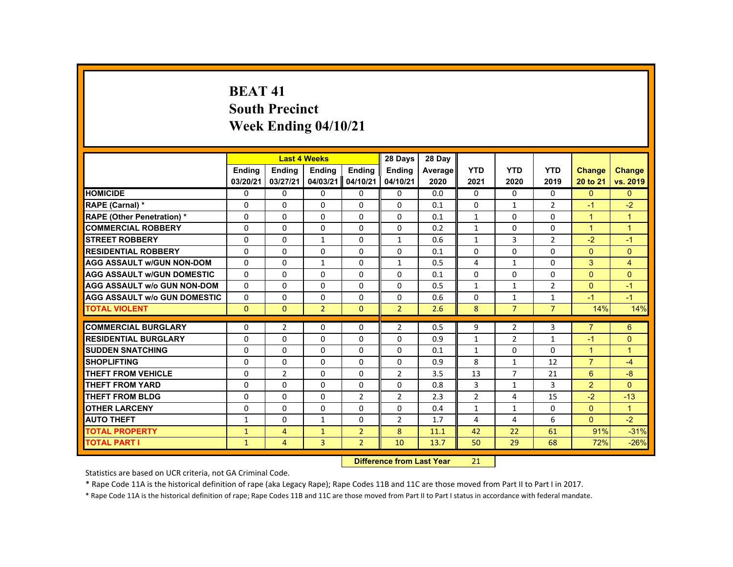# **BEAT 41South Precinct Week Ending 04/10/21**

|                                     |               |                | <b>Last 4 Weeks</b> |                | 28 Days                   | 28 Day  |                |                |                |                      |                |
|-------------------------------------|---------------|----------------|---------------------|----------------|---------------------------|---------|----------------|----------------|----------------|----------------------|----------------|
|                                     | <b>Ending</b> | <b>Ending</b>  | <b>Ending</b>       | Ending         | <b>Ending</b>             | Average | <b>YTD</b>     | <b>YTD</b>     | <b>YTD</b>     | <b>Change</b>        | <b>Change</b>  |
|                                     | 03/20/21      | 03/27/21       | 04/03/21            | 04/10/21       | 04/10/21                  | 2020    | 2021           | 2020           | 2019           | 20 to 21             | vs. 2019       |
| <b>HOMICIDE</b>                     | $\Omega$      | $\Omega$       | $\mathbf{0}$        | $\Omega$       | 0                         | 0.0     | 0              | $\Omega$       | $\Omega$       | $\Omega$             | $\Omega$       |
| RAPE (Carnal) *                     | 0             | $\Omega$       | $\Omega$            | $\Omega$       | $\Omega$                  | 0.1     | $\Omega$       | $\mathbf{1}$   | $\overline{2}$ | $-1$                 | $-2$           |
| <b>RAPE (Other Penetration) *</b>   | $\Omega$      | $\Omega$       | $\Omega$            | $\Omega$       | $\Omega$                  | 0.1     | $\mathbf{1}$   | $\Omega$       | $\Omega$       | $\overline{1}$       | $\mathbf{1}$   |
| <b>COMMERCIAL ROBBERY</b>           | $\Omega$      | $\Omega$       | $\Omega$            | $\Omega$       | 0                         | 0.2     | $\mathbf{1}$   | 0              | 0              | $\mathbf{1}$         | $\overline{1}$ |
| <b>STREET ROBBERY</b>               | $\Omega$      | $\Omega$       | $\mathbf{1}$        | $\Omega$       | $\mathbf{1}$              | 0.6     | $\mathbf{1}$   | $\overline{3}$ | $\overline{2}$ | $-2$                 | $-1$           |
| <b>RESIDENTIAL ROBBERY</b>          | $\mathbf{0}$  | $\Omega$       | $\Omega$            | $\Omega$       | 0                         | 0.1     | 0              | 0              | 0              | $\mathbf{0}$         | $\overline{0}$ |
| <b>AGG ASSAULT W/GUN NON-DOM</b>    | $\Omega$      | $\Omega$       | $\mathbf{1}$        | $\Omega$       | $\mathbf{1}$              | 0.5     | 4              | $\mathbf{1}$   | $\Omega$       | 3                    | $\overline{4}$ |
| <b>AGG ASSAULT W/GUN DOMESTIC</b>   | $\Omega$      | $\Omega$       | $\Omega$            | $\Omega$       | $\Omega$                  | 0.1     | $\Omega$       | $\Omega$       | $\Omega$       | $\Omega$             | $\Omega$       |
| <b>AGG ASSAULT w/o GUN NON-DOM</b>  | $\Omega$      | $\Omega$       | $\Omega$            | $\Omega$       | $\Omega$                  | 0.5     | $\mathbf{1}$   | $\mathbf{1}$   | $\overline{2}$ | $\Omega$             | $-1$           |
| <b>AGG ASSAULT W/o GUN DOMESTIC</b> | $\Omega$      | $\Omega$       | $\Omega$            | $\Omega$       | $\Omega$                  | 0.6     | $\Omega$       | $\mathbf{1}$   | $\mathbf{1}$   | $-1$                 | $-1$           |
| <b>TOTAL VIOLENT</b>                | $\Omega$      | $\mathbf{0}$   | $\overline{2}$      | $\mathbf{0}$   | $\overline{2}$            | 2.6     | 8              | $\overline{7}$ | $\overline{7}$ | 14%                  | 14%            |
| <b>COMMERCIAL BURGLARY</b>          | $\Omega$      | $\overline{2}$ | $\Omega$            | $\Omega$       | $\overline{2}$            | 0.5     | 9              | $\overline{2}$ | 3              | $\overline{7}$       | 6              |
| <b>RESIDENTIAL BURGLARY</b>         | $\Omega$      | $\Omega$       | $\Omega$            | $\Omega$       | $\Omega$                  | 0.9     | $\mathbf{1}$   | $\overline{2}$ | $\mathbf{1}$   | $-1$                 | $\mathbf{0}$   |
| <b>SUDDEN SNATCHING</b>             | $\Omega$      | $\Omega$       | $\Omega$            | $\Omega$       | 0                         | 0.1     | $\mathbf{1}$   | $\Omega$       | $\Omega$       | $\blacktriangleleft$ | $\mathbf{1}$   |
| <b>SHOPLIFTING</b>                  | $\Omega$      | $\Omega$       | $\Omega$            | $\Omega$       | $\Omega$                  | 0.9     | 8              | $\mathbf{1}$   | 12             | $\overline{7}$       | $-4$           |
| <b>THEFT FROM VEHICLE</b>           | $\Omega$      | $\overline{2}$ | $\Omega$            | $\Omega$       | $\overline{2}$            | 3.5     | 13             | $\overline{7}$ | 21             | $6^{\circ}$          | $-8$           |
| <b>THEFT FROM YARD</b>              | $\mathbf{0}$  | $\Omega$       | $\Omega$            | $\Omega$       | $\Omega$                  | 0.8     | 3              | $\mathbf{1}$   | $\overline{3}$ | $\overline{2}$       | $\Omega$       |
| <b>THEFT FROM BLDG</b>              | $\mathbf 0$   | $\Omega$       | $\Omega$            | $\overline{2}$ | $\overline{2}$            | 2.3     | $\overline{2}$ | 4              | 15             | $-2$                 | $-13$          |
| <b>OTHER LARCENY</b>                | $\mathbf{0}$  | $\Omega$       | $\Omega$            | $\Omega$       | $\Omega$                  | 0.4     | $\mathbf{1}$   | $\mathbf{1}$   | $\Omega$       | $\mathbf{0}$         | $\mathbf{1}$   |
| <b>AUTO THEFT</b>                   | $\mathbf{1}$  | $\Omega$       | $\mathbf{1}$        | $\Omega$       | $\overline{2}$            | 1.7     | 4              | 4              | 6              | $\overline{0}$       | $-2$           |
| <b>TOTAL PROPERTY</b>               | $\mathbf{1}$  | $\overline{4}$ | $\mathbf{1}$        | $\overline{2}$ | 8                         | 11.1    | 42             | 22             | 61             | 91%                  | $-31%$         |
| <b>TOTAL PART I</b>                 |               |                | 3                   | $\overline{2}$ | 10                        |         | 50             | 29             |                |                      |                |
|                                     | $\mathbf{1}$  | $\overline{4}$ |                     |                |                           | 13.7    |                |                | 68             | 72%                  | $-26%$         |
|                                     |               |                |                     |                | Difference from Loot Voor |         | 24             |                |                |                      |                |

 **Difference from Last Year**r 21

Statistics are based on UCR criteria, not GA Criminal Code.

\* Rape Code 11A is the historical definition of rape (aka Legacy Rape); Rape Codes 11B and 11C are those moved from Part II to Part I in 2017.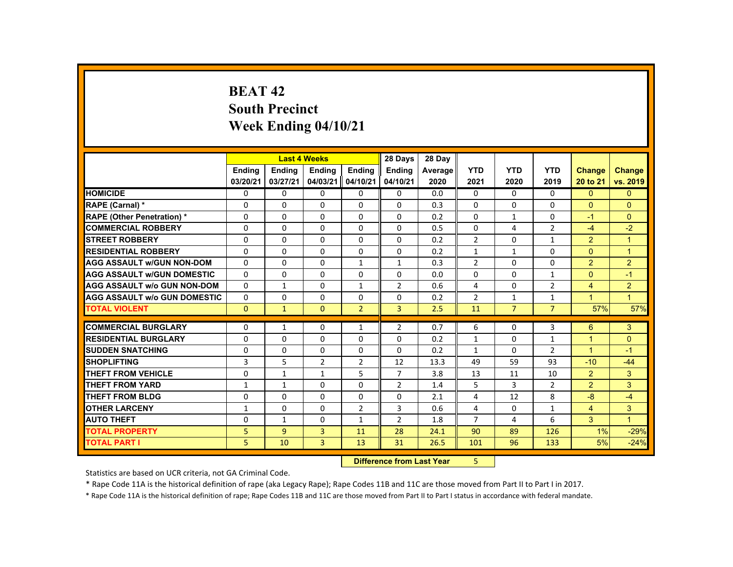# **BEAT 42South Precinct Week Ending 04/10/21**

|                                     |               |               | <b>Last 4 Weeks</b> |                | 28 Days        | 28 Day  |                |                |                |                      |                |
|-------------------------------------|---------------|---------------|---------------------|----------------|----------------|---------|----------------|----------------|----------------|----------------------|----------------|
|                                     | <b>Ending</b> | <b>Ending</b> | <b>Ending</b>       | <b>Ending</b>  | <b>Ending</b>  | Average | <b>YTD</b>     | <b>YTD</b>     | <b>YTD</b>     | <b>Change</b>        | <b>Change</b>  |
|                                     | 03/20/21      | 03/27/21      | 04/03/21            | 04/10/21       | 04/10/21       | 2020    | 2021           | 2020           | 2019           | 20 to 21             | vs. 2019       |
| <b>HOMICIDE</b>                     | $\Omega$      | $\Omega$      | $\Omega$            | $\Omega$       | 0              | 0.0     | $\Omega$       | $\Omega$       | $\Omega$       | $\Omega$             | $\Omega$       |
| <b>RAPE (Carnal) *</b>              | $\Omega$      | $\mathbf{0}$  | $\Omega$            | $\Omega$       | 0              | 0.3     | $\Omega$       | 0              | 0              | $\Omega$             | $\Omega$       |
| <b>RAPE (Other Penetration) *</b>   | $\Omega$      | $\Omega$      | $\Omega$            | $\Omega$       | $\Omega$       | 0.2     | $\Omega$       | $\mathbf{1}$   | $\Omega$       | $-1$                 | $\Omega$       |
| <b>COMMERCIAL ROBBERY</b>           | $\Omega$      | $\Omega$      | $\Omega$            | $\Omega$       | $\Omega$       | 0.5     | $\Omega$       | 4              | $\overline{2}$ | $-4$                 | $-2$           |
| <b>STREET ROBBERY</b>               | $\Omega$      | $\Omega$      | $\Omega$            | $\Omega$       | $\Omega$       | 0.2     | $\overline{2}$ | $\Omega$       | $\mathbf{1}$   | $\overline{2}$       | $\overline{1}$ |
| <b>RESIDENTIAL ROBBERY</b>          | 0             | $\mathbf{0}$  | 0                   | 0              | 0              | 0.2     | $\mathbf{1}$   | $\mathbf{1}$   | $\Omega$       | $\mathbf{0}$         | $\overline{1}$ |
| <b>AGG ASSAULT w/GUN NON-DOM</b>    | $\Omega$      | $\Omega$      | $\Omega$            | $\mathbf{1}$   | $\mathbf{1}$   | 0.3     | $\overline{2}$ | $\Omega$       | $\Omega$       | $\overline{2}$       | $\overline{2}$ |
| <b>AGG ASSAULT W/GUN DOMESTIC</b>   | $\Omega$      | $\Omega$      | $\Omega$            | $\Omega$       | $\Omega$       | 0.0     | $\Omega$       | 0              | $\mathbf{1}$   | $\Omega$             | $-1$           |
| <b>AGG ASSAULT W/o GUN NON-DOM</b>  | $\Omega$      | $\mathbf{1}$  | $\Omega$            | $\mathbf{1}$   | $\overline{2}$ | 0.6     | 4              | 0              | $\overline{2}$ | $\overline{4}$       | $\overline{2}$ |
| <b>AGG ASSAULT W/o GUN DOMESTIC</b> | $\Omega$      | $\Omega$      | $\Omega$            | $\Omega$       | $\Omega$       | 0.2     | $\overline{2}$ | $\mathbf{1}$   | $\mathbf{1}$   | $\blacktriangleleft$ | $\overline{1}$ |
| <b>TOTAL VIOLENT</b>                | $\mathbf{0}$  | $\mathbf{1}$  | $\Omega$            | $\overline{2}$ | 3              | 2.5     | 11             | $\overline{7}$ | $\overline{7}$ | 57%                  | 57%            |
| <b>COMMERCIAL BURGLARY</b>          |               |               |                     |                |                |         |                |                |                |                      | 3              |
|                                     | 0             | $\mathbf{1}$  | $\Omega$            | $\mathbf{1}$   | $\overline{2}$ | 0.7     | 6              | 0              | 3              | 6                    |                |
| <b>RESIDENTIAL BURGLARY</b>         | $\Omega$      | $\Omega$      | $\Omega$            | $\Omega$       | $\Omega$       | 0.2     | $\mathbf{1}$   | $\Omega$       | $\mathbf{1}$   | $\mathbf{1}$         | $\Omega$       |
| <b>SUDDEN SNATCHING</b>             | 0             | $\mathbf{0}$  | 0                   | 0              | 0              | 0.2     | $\mathbf{1}$   | 0              | $\overline{2}$ | $\mathbf{1}$         | $-1$           |
| <b>SHOPLIFTING</b>                  | 3             | 5             | 2                   | $\overline{2}$ | 12             | 13.3    | 49             | 59             | 93             | $-10$                | $-44$          |
| <b>THEFT FROM VEHICLE</b>           | 0             | $\mathbf{1}$  | $\mathbf{1}$        | 5              | $\overline{7}$ | 3.8     | 13             | 11             | 10             | $\overline{2}$       | 3              |
| <b>THEFT FROM YARD</b>              | $\mathbf{1}$  | $\mathbf{1}$  | $\Omega$            | $\Omega$       | $\overline{2}$ | 1.4     | 5              | 3              | $\overline{2}$ | $\overline{2}$       | 3              |
| THEFT FROM BLDG                     | $\Omega$      | $\Omega$      | $\Omega$            | $\Omega$       | $\Omega$       | 2.1     | 4              | 12             | 8              | $-8$                 | $-4$           |
| <b>OTHER LARCENY</b>                | $\mathbf{1}$  | 0             | $\Omega$            | $\overline{2}$ | 3              | 0.6     | 4              | 0              | $\mathbf{1}$   | $\overline{4}$       | 3              |
| <b>AUTO THEFT</b>                   | $\Omega$      | $\mathbf{1}$  | $\Omega$            | $\mathbf{1}$   | 2              | 1.8     | $\overline{7}$ | 4              | 6              | 3                    | $\overline{1}$ |
| <b>TOTAL PROPERTY</b>               | 5             | 9             | 3                   | 11             | 28             | 24.1    | 90             | 89             | 126            | 1%                   | $-29%$         |
| <b>TOTAL PART I</b>                 | 5             | 10            | $\overline{3}$      | 13             | 31             | 26.5    | 101            | 96             | 133            | 5%                   | $-24%$         |
|                                     |               |               |                     | <b>Section</b> |                |         |                |                |                |                      |                |

 **Difference from Last Year**5

Statistics are based on UCR criteria, not GA Criminal Code.

\* Rape Code 11A is the historical definition of rape (aka Legacy Rape); Rape Codes 11B and 11C are those moved from Part II to Part I in 2017.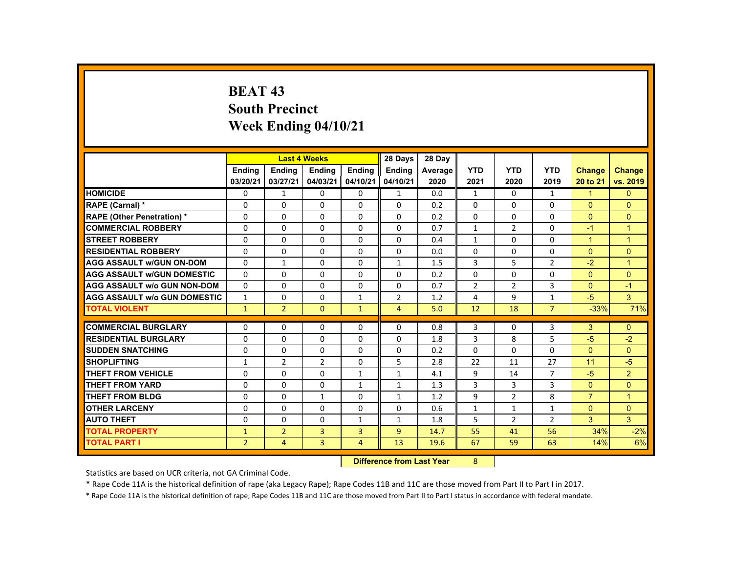# **BEAT 43 South Precinct Week Ending 04/10/21**

|                                     |                |                                   | <b>Last 4 Weeks</b> |                | 28 Days        | 28 Day  |                |                |                |                      |                      |
|-------------------------------------|----------------|-----------------------------------|---------------------|----------------|----------------|---------|----------------|----------------|----------------|----------------------|----------------------|
|                                     | <b>Ending</b>  | <b>Ending</b>                     | <b>Ending</b>       | <b>Ending</b>  | Ending         | Average | <b>YTD</b>     | <b>YTD</b>     | <b>YTD</b>     | <b>Change</b>        | <b>Change</b>        |
|                                     | 03/20/21       | 03/27/21                          | 04/03/21            | 04/10/21       | 04/10/21       | 2020    | 2021           | 2020           | 2019           | 20 to 21             | vs. 2019             |
| <b>HOMICIDE</b>                     | $\Omega$       | $\mathbf{1}$                      | $\mathbf{0}$        | $\Omega$       | $\mathbf{1}$   | 0.0     | $\mathbf{1}$   | $\Omega$       | $\mathbf{1}$   | $\blacktriangleleft$ | $\mathbf{0}$         |
| RAPE (Carnal) *                     | $\Omega$       | $\Omega$                          | $\Omega$            | $\Omega$       | $\Omega$       | 0.2     | $\Omega$       | $\Omega$       | $\Omega$       | $\mathbf{0}$         | $\overline{0}$       |
| <b>RAPE (Other Penetration) *</b>   | $\Omega$       | $\Omega$                          | $\Omega$            | $\Omega$       | $\Omega$       | 0.2     | $\Omega$       | $\Omega$       | $\Omega$       | $\Omega$             | $\overline{0}$       |
| <b>COMMERCIAL ROBBERY</b>           | $\Omega$       | $\Omega$                          | $\Omega$            | $\Omega$       | $\Omega$       | 0.7     | $\mathbf{1}$   | $\overline{2}$ | $\Omega$       | $-1$                 | $\overline{1}$       |
| <b>STREET ROBBERY</b>               | $\Omega$       | $\Omega$                          | $\Omega$            | $\Omega$       | $\Omega$       | 0.4     | $\mathbf{1}$   | $\Omega$       | $\Omega$       | $\blacktriangleleft$ | $\blacktriangleleft$ |
| <b>RESIDENTIAL ROBBERY</b>          | $\Omega$       | $\mathbf{0}$                      | $\Omega$            | $\mathbf{0}$   | 0              | 0.0     | 0              | 0              | 0              | $\mathbf{0}$         | $\overline{0}$       |
| <b>AGG ASSAULT w/GUN ON-DOM</b>     | $\Omega$       | $\mathbf{1}$                      | $\Omega$            | $\Omega$       | $\mathbf{1}$   | 1.5     | 3              | 5              | $\overline{2}$ | $-2$                 | $\blacktriangleleft$ |
| <b>AGG ASSAULT W/GUN DOMESTIC</b>   | $\Omega$       | $\Omega$                          | $\Omega$            | $\Omega$       | $\Omega$       | 0.2     | $\Omega$       | $\Omega$       | $\Omega$       | $\Omega$             | $\Omega$             |
| <b>AGG ASSAULT W/o GUN NON-DOM</b>  | $\Omega$       | $\Omega$                          | $\Omega$            | $\Omega$       | $\Omega$       | 0.7     | $\overline{2}$ | $\overline{2}$ | 3              | $\Omega$             | $-1$                 |
| <b>AGG ASSAULT w/o GUN DOMESTIC</b> | $\mathbf{1}$   | $\Omega$                          | $\Omega$            | $\mathbf{1}$   | 2              | 1.2     | 4              | 9              | $\mathbf{1}$   | $-5$                 | 3                    |
| <b>TOTAL VIOLENT</b>                | $\bullet$      | $\overline{2}$                    | $\Omega$            | $\mathbf{1}$   | $\overline{4}$ | 5.0     | 12             | 18             | $\overline{7}$ | $-33%$               | 71%                  |
| <b>COMMERCIAL BURGLARY</b>          | $\Omega$       | $\Omega$                          | $\Omega$            | $\Omega$       | $\Omega$       | 0.8     | 3              | $\Omega$       | 3              | 3                    | $\Omega$             |
|                                     |                |                                   |                     |                |                |         |                |                |                |                      |                      |
| <b>RESIDENTIAL BURGLARY</b>         | $\Omega$       | $\Omega$                          | $\Omega$            | $\Omega$       | $\Omega$       | 1.8     | 3              | 8              | 5              | $-5$                 | $-2$                 |
| <b>SUDDEN SNATCHING</b>             | $\Omega$       | $\mathbf{0}$                      | $\Omega$            | $\mathbf{0}$   | 0              | 0.2     | $\Omega$       | $\Omega$       | $\Omega$       | $\mathbf{0}$         | $\mathbf{0}$         |
| <b>SHOPLIFTING</b>                  | $\mathbf{1}$   | $\overline{2}$                    | $\overline{2}$      | $\Omega$       | 5              | 2.8     | 22             | 11             | 27             | 11                   | $-5$                 |
| <b>THEFT FROM VEHICLE</b>           | $\Omega$       | $\Omega$                          | $\Omega$            | $\mathbf{1}$   | $\mathbf{1}$   | 4.1     | 9              | 14             | $\overline{7}$ | $-5$                 | $\overline{2}$       |
| <b>THEFT FROM YARD</b>              | $\Omega$       | $\Omega$                          | $\Omega$            | $\mathbf{1}$   | $\mathbf{1}$   | 1.3     | 3              | 3              | $\overline{3}$ | $\Omega$             | $\Omega$             |
| <b>THEFT FROM BLDG</b>              | $\Omega$       | $\Omega$                          | $\mathbf{1}$        | $\Omega$       | $\mathbf{1}$   | 1.2     | 9              | $\overline{2}$ | 8              | $\overline{7}$       | $\blacktriangleleft$ |
| <b>OTHER LARCENY</b>                | $\Omega$       | $\Omega$                          | $\Omega$            | $\Omega$       | $\Omega$       | 0.6     | $\mathbf{1}$   | $\mathbf{1}$   | $\mathbf{1}$   | $\Omega$             | $\Omega$             |
| <b>AUTO THEFT</b>                   | $\Omega$       | $\Omega$                          | $\Omega$            | $\mathbf{1}$   | $\mathbf{1}$   | 1.8     | 5              | 2              | $\overline{2}$ | 3                    | $\overline{3}$       |
| <b>TOTAL PROPERTY</b>               | $\mathbf{1}$   | $\overline{2}$                    | $\overline{3}$      | $\overline{3}$ | $\overline{9}$ | 14.7    | 55             | 41             | 56             | 34%                  | $-2%$                |
| <b>TOTAL PART I</b>                 | $\overline{2}$ | $\overline{4}$                    | 3                   | $\overline{4}$ | 13             | 19.6    | 67             | 59             | 63             | 14%                  | 6%                   |
|                                     |                | <b>Difference from Least Vage</b> |                     | $\Omega$       |                |         |                |                |                |                      |                      |

 **Difference from Last Year**8

Statistics are based on UCR criteria, not GA Criminal Code.

\* Rape Code 11A is the historical definition of rape (aka Legacy Rape); Rape Codes 11B and 11C are those moved from Part II to Part I in 2017.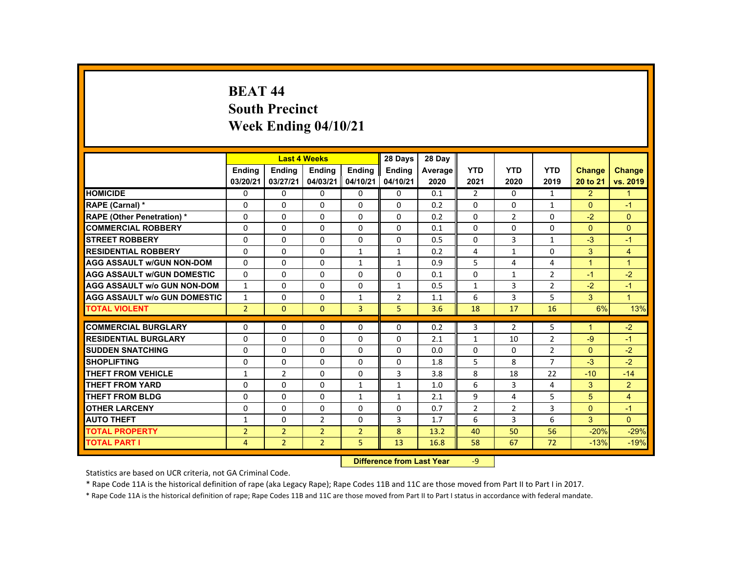## **BEAT 44 South Precinct Week Ending 04/10/21**

|                                     |                |                | <b>Last 4 Weeks</b>              |                | 28 Days       | 28 Day  |                |                |                |                |                |
|-------------------------------------|----------------|----------------|----------------------------------|----------------|---------------|---------|----------------|----------------|----------------|----------------|----------------|
|                                     | <b>Ending</b>  | <b>Ending</b>  | <b>Ending</b>                    | <b>Ending</b>  | <b>Endina</b> | Average | <b>YTD</b>     | <b>YTD</b>     | <b>YTD</b>     | <b>Change</b>  | Change         |
|                                     | 03/20/21       | 03/27/21       | 04/03/21                         | 04/10/21       | 04/10/21      | 2020    | 2021           | 2020           | 2019           | 20 to 21       | vs. 2019       |
| <b>HOMICIDE</b>                     | $\Omega$       | $\Omega$       | $\Omega$                         | $\Omega$       | 0             | 0.1     | $\overline{2}$ | $\Omega$       | $\mathbf{1}$   | 2              | $\mathbf{1}$   |
| RAPE (Carnal) *                     | $\Omega$       | $\Omega$       | $\Omega$                         | $\Omega$       | $\Omega$      | 0.2     | $\Omega$       | $\Omega$       | $\mathbf{1}$   | $\Omega$       | $-1$           |
| <b>RAPE (Other Penetration) *</b>   | $\Omega$       | $\Omega$       | $\Omega$                         | $\Omega$       | $\Omega$      | 0.2     | $\Omega$       | $\overline{2}$ | $\Omega$       | $-2$           | $\Omega$       |
| <b>COMMERCIAL ROBBERY</b>           | $\Omega$       | $\Omega$       | $\Omega$                         | $\Omega$       | $\Omega$      | 0.1     | $\Omega$       | $\Omega$       | $\Omega$       | $\Omega$       | $\Omega$       |
| <b>STREET ROBBERY</b>               | $\Omega$       | $\Omega$       | $\Omega$                         | $\Omega$       | $\Omega$      | 0.5     | $\Omega$       | 3              | $\mathbf{1}$   | $-3$           | $-1$           |
| <b>RESIDENTIAL ROBBERY</b>          | $\Omega$       | $\Omega$       | $\Omega$                         | $\mathbf{1}$   | 1             | 0.2     | 4              | 1              | $\Omega$       | 3              | $\overline{4}$ |
| <b>AGG ASSAULT w/GUN NON-DOM</b>    | $\Omega$       | $\Omega$       | $\Omega$                         | $\mathbf{1}$   | $\mathbf{1}$  | 0.9     | 5              | $\overline{4}$ | 4              | $\overline{1}$ | $\overline{1}$ |
| <b>AGG ASSAULT W/GUN DOMESTIC</b>   | $\Omega$       | $\Omega$       | $\Omega$                         | $\Omega$       | $\Omega$      | 0.1     | $\Omega$       | $\mathbf{1}$   | $\overline{2}$ | $-1$           | $-2$           |
| <b>AGG ASSAULT w/o GUN NON-DOM</b>  | $\mathbf{1}$   | $\mathbf{0}$   | $\mathbf{0}$                     | $\mathbf{0}$   | $\mathbf{1}$  | 0.5     | $\mathbf{1}$   | 3              | $\overline{2}$ | $-2$           | $-1$           |
| <b>AGG ASSAULT w/o GUN DOMESTIC</b> | $\mathbf{1}$   | $\Omega$       | $\Omega$                         | $\mathbf{1}$   | 2             | 1.1     | 6              | 3              | 5              | $\mathbf{3}$   | $\overline{1}$ |
| <b>TOTAL VIOLENT</b>                | $\overline{2}$ | $\Omega$       | $\Omega$                         | $\overline{3}$ | 5             | 3.6     | 18             | 17             | 16             | 6%             | 13%            |
| <b>COMMERCIAL BURGLARY</b>          | $\Omega$       | $\mathbf{0}$   | $\mathbf{0}$                     | 0              | 0             | 0.2     | 3              | $\overline{2}$ | 5              | $\overline{ }$ | $-2$           |
| <b>RESIDENTIAL BURGLARY</b>         | $\Omega$       | $\Omega$       | $\Omega$                         | $\Omega$       | $\Omega$      | 2.1     | $\mathbf{1}$   | 10             | $\overline{2}$ | $-9$           | $-1$           |
| <b>SUDDEN SNATCHING</b>             | $\Omega$       | $\Omega$       | $\Omega$                         | $\Omega$       | $\Omega$      | 0.0     | $\Omega$       | $\Omega$       | $\overline{2}$ | $\Omega$       | $-2$           |
| <b>SHOPLIFTING</b>                  | 0              | $\mathbf 0$    | $\mathbf{0}$                     | $\mathbf{0}$   | 0             | 1.8     | 5              | 8              | $\overline{7}$ | $-3$           | $-2$           |
| <b>THEFT FROM VEHICLE</b>           | $\mathbf{1}$   | $\overline{2}$ | $\Omega$                         | $\Omega$       | 3             | 3.8     | 8              | 18             | 22             | $-10$          | $-14$          |
| <b>THEFT FROM YARD</b>              | $\Omega$       | $\Omega$       | $\Omega$                         | $\mathbf{1}$   | $\mathbf{1}$  | 1.0     | 6              | 3              | 4              | 3              | $\overline{2}$ |
| <b>THEFT FROM BLDG</b>              | $\mathbf{0}$   | $\Omega$       | $\Omega$                         | $\mathbf{1}$   | $\mathbf{1}$  | 2.1     | 9              | $\overline{4}$ | 5              | 5              | $\overline{4}$ |
| <b>OTHER LARCENY</b>                | $\mathbf 0$    | $\Omega$       | $\Omega$                         | $\Omega$       | $\Omega$      | 0.7     | $\overline{2}$ | $\overline{2}$ | 3              | $\Omega$       | $-1$           |
| <b>AUTO THEFT</b>                   | 1              | $\Omega$       | $\overline{2}$                   | $\Omega$       | 3             | 1.7     | 6              | 3              | 6              | 3              | $\Omega$       |
| <b>TOTAL PROPERTY</b>               | $\overline{2}$ | $\overline{2}$ | $\overline{2}$                   | $\overline{2}$ | 8             | 13.2    | 40             | 50             | 56             | $-20%$         | $-29%$         |
| <b>TOTAL PART I</b>                 | $\overline{4}$ | 2 <sup>1</sup> | $\overline{2}$                   | 5              | 13            | 16.8    | 58             | 67             | 72             | $-13%$         | $-19%$         |
|                                     |                |                | <b>Difference from Last Year</b> |                | $-9$          |         |                |                |                |                |                |

Statistics are based on UCR criteria, not GA Criminal Code.

\* Rape Code 11A is the historical definition of rape (aka Legacy Rape); Rape Codes 11B and 11C are those moved from Part II to Part I in 2017.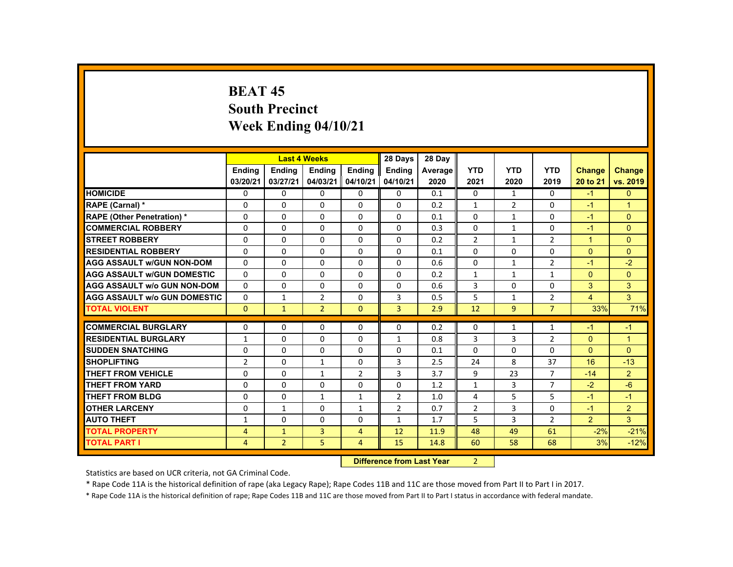# **BEAT 45 South Precinct Week Ending 04/10/21**

|                                     |                           |                | <b>Last 4 Weeks</b> |                | 28 Days        | 28 Day     |                |                |                |                      |                      |
|-------------------------------------|---------------------------|----------------|---------------------|----------------|----------------|------------|----------------|----------------|----------------|----------------------|----------------------|
|                                     | <b>Ending</b>             | <b>Ending</b>  | <b>Ending</b>       | <b>Ending</b>  | Ending         | Average    | <b>YTD</b>     | <b>YTD</b>     | <b>YTD</b>     | <b>Change</b>        | <b>Change</b>        |
|                                     | 03/20/21                  | 03/27/21       | 04/03/21            | 04/10/21       | 04/10/21       | 2020       | 2021           | 2020           | 2019           | 20 to 21             | vs. 2019             |
| <b>HOMICIDE</b>                     | $\Omega$                  | $\Omega$       | $\Omega$            | $\Omega$       | 0              | 0.1        | 0              | $\mathbf{1}$   | $\Omega$       | $-1$                 | $\mathbf{0}$         |
| RAPE (Carnal) *                     | 0                         | $\Omega$       | $\Omega$            | $\Omega$       | $\Omega$       | 0.2        | $\mathbf{1}$   | $\overline{2}$ | $\Omega$       | $-1$                 | $\blacktriangleleft$ |
| <b>RAPE (Other Penetration) *</b>   | $\Omega$                  | $\Omega$       | $\Omega$            | $\Omega$       | $\Omega$       | 0.1        | $\Omega$       | 1              | $\Omega$       | $-1$                 | $\Omega$             |
| <b>COMMERCIAL ROBBERY</b>           | $\Omega$                  | $\Omega$       | $\Omega$            | $\Omega$       | $\Omega$       | 0.3        | 0              | $\mathbf{1}$   | 0              | $-1$                 | $\overline{0}$       |
| <b>STREET ROBBERY</b>               | $\Omega$                  | $\Omega$       | $\Omega$            | $\Omega$       | $\Omega$       | 0.2        | $\overline{2}$ | $\mathbf{1}$   | $\overline{2}$ | $\blacktriangleleft$ | $\Omega$             |
| <b>RESIDENTIAL ROBBERY</b>          | $\Omega$                  | $\Omega$       | $\Omega$            | $\Omega$       | $\Omega$       | 0.1        | 0              | 0              | 0              | $\Omega$             | $\overline{0}$       |
| <b>AGG ASSAULT W/GUN NON-DOM</b>    | $\Omega$                  | $\Omega$       | $\Omega$            | $\Omega$       | $\Omega$       | 0.6        | $\Omega$       | $\mathbf{1}$   | $\overline{2}$ | $-1$                 | $-2$                 |
| <b>AGG ASSAULT W/GUN DOMESTIC</b>   | $\Omega$                  | $\Omega$       | $\Omega$            | $\Omega$       | $\Omega$       | 0.2        | $\mathbf{1}$   | $\mathbf{1}$   | $\mathbf{1}$   | $\Omega$             | $\Omega$             |
| <b>AGG ASSAULT w/o GUN NON-DOM</b>  | $\Omega$                  | $\Omega$       | $\Omega$            | $\Omega$       | $\Omega$       | 0.6        | 3              | $\Omega$       | $\Omega$       | 3                    | 3                    |
| <b>AGG ASSAULT W/o GUN DOMESTIC</b> | $\Omega$                  | $\mathbf{1}$   | 2                   | $\Omega$       | 3              | 0.5        | 5              | $\mathbf{1}$   | $\overline{2}$ | $\overline{4}$       | $\mathbf{3}$         |
| <b>TOTAL VIOLENT</b>                | $\Omega$                  | $\mathbf{1}$   | $\overline{2}$      | $\mathbf{0}$   | $\overline{3}$ | 2.9        | 12             | 9              | $\overline{7}$ | 33%                  | 71%                  |
| <b>COMMERCIAL BURGLARY</b>          | $\Omega$                  | $\Omega$       | $\Omega$            | $\Omega$       | $\Omega$       | 0.2        | 0              | $\mathbf{1}$   | $\mathbf{1}$   | $-1$                 | $-1$                 |
| <b>RESIDENTIAL BURGLARY</b>         |                           | $\Omega$       | $\Omega$            | $\Omega$       | $\mathbf{1}$   |            | 3              | 3              | $\overline{2}$ | $\Omega$             | $\mathbf{1}$         |
| <b>SUDDEN SNATCHING</b>             | $\mathbf{1}$<br>$\Omega$  | $\Omega$       | $\Omega$            | $\Omega$       | $\Omega$       | 0.8<br>0.1 | $\Omega$       | $\Omega$       | $\Omega$       | $\Omega$             | $\Omega$             |
| <b>SHOPLIFTING</b>                  | 2                         | $\Omega$       | $\mathbf{1}$        | $\Omega$       | 3              | 2.5        | 24             | 8              | 37             | 16                   | $-13$                |
| <b>THEFT FROM VEHICLE</b>           | $\Omega$                  | $\Omega$       | $\mathbf{1}$        | $\overline{2}$ | 3              | 3.7        | 9              | 23             | $\overline{7}$ | $-14$                | 2 <sup>1</sup>       |
| <b>THEFT FROM YARD</b>              | $\Omega$                  | $\Omega$       | $\Omega$            | $\Omega$       | $\Omega$       | 1.2        | $\mathbf{1}$   | $\overline{3}$ | $\overline{7}$ | $-2$                 | $-6$                 |
| <b>THEFT FROM BLDG</b>              | $\Omega$                  | $\Omega$       | $\mathbf{1}$        | $\mathbf{1}$   | $\overline{2}$ | 1.0        | 4              | 5              | 5              | $-1$                 | $-1$                 |
| <b>OTHER LARCENY</b>                | $\Omega$                  |                | $\Omega$            |                |                |            |                | 3              | $\Omega$       | $-1$                 |                      |
|                                     |                           | $\mathbf{1}$   |                     | $\mathbf{1}$   | 2              | 0.7        | $\overline{2}$ |                |                |                      | $\overline{2}$       |
| <b>AUTO THEFT</b>                   | $\mathbf{1}$              | $\Omega$       | $\Omega$            | $\Omega$       | $\mathbf{1}$   | 1.7        | 5              | 3              | $\overline{2}$ | $\overline{2}$       | $\mathbf{3}$         |
| <b>TOTAL PROPERTY</b>               | $\overline{4}$            | $\mathbf{1}$   | $\overline{3}$      | $\overline{4}$ | 12             | 11.9       | 48             | 49             | 61             | $-2%$                | $-21%$               |
| <b>TOTAL PART I</b>                 | $\overline{4}$            | $\overline{2}$ | 5                   | $\overline{4}$ | 15             | 14.8       | 60             | 58             | 68             | 3%                   | $-12%$               |
|                                     | Difference from Loot Voor |                |                     |                |                |            | $\mathcal{L}$  |                |                |                      |                      |

 **Difference from Last Year**r 2

Statistics are based on UCR criteria, not GA Criminal Code.

\* Rape Code 11A is the historical definition of rape (aka Legacy Rape); Rape Codes 11B and 11C are those moved from Part II to Part I in 2017.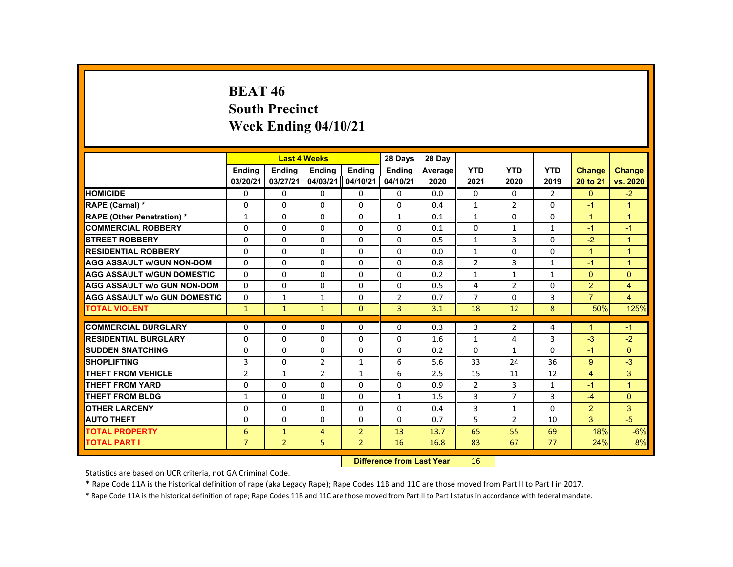# **BEAT 46 South Precinct Week Ending 04/10/21**

|                                     |                |                | <b>Last 4 Weeks</b> |                | 28 Days        | 28 Day  |                |                |                |                      |                |
|-------------------------------------|----------------|----------------|---------------------|----------------|----------------|---------|----------------|----------------|----------------|----------------------|----------------|
|                                     | <b>Endina</b>  | <b>Ending</b>  | <b>Ending</b>       | <b>Endina</b>  | <b>Endina</b>  | Average | <b>YTD</b>     | <b>YTD</b>     | <b>YTD</b>     | Change               | <b>Change</b>  |
|                                     | 03/20/21       | 03/27/21       | 04/03/21            | 04/10/21       | 04/10/21       | 2020    | 2021           | 2020           | 2019           | 20 to 21             | vs. 2020       |
| <b>HOMICIDE</b>                     | $\Omega$       | $\Omega$       | $\Omega$            | $\Omega$       | 0              | 0.0     | $\Omega$       | 0              | $\overline{2}$ | $\Omega$             | $-2$           |
| RAPE (Carnal) *                     | $\Omega$       | $\Omega$       | $\Omega$            | $\mathbf 0$    | 0              | 0.4     | $\mathbf{1}$   | $\overline{2}$ | $\Omega$       | $-1$                 | $\mathbf{1}$   |
| <b>RAPE (Other Penetration) *</b>   | $\mathbf{1}$   | $\Omega$       | $\Omega$            | $\Omega$       | 1              | 0.1     | $\mathbf{1}$   | $\Omega$       | $\Omega$       | $\mathbf{1}$         | $\overline{1}$ |
| <b>COMMERCIAL ROBBERY</b>           | $\Omega$       | $\Omega$       | $\Omega$            | $\Omega$       | $\Omega$       | 0.1     | $\Omega$       | $\mathbf{1}$   | $\mathbf{1}$   | $-1$                 | $-1$           |
| <b>STREET ROBBERY</b>               | $\Omega$       | $\Omega$       | $\Omega$            | $\Omega$       | $\Omega$       | 0.5     | $\mathbf{1}$   | 3              | $\Omega$       | $-2$                 | $\overline{1}$ |
| <b>RESIDENTIAL ROBBERY</b>          | $\Omega$       | $\mathbf{0}$   | 0                   | 0              | 0              | 0.0     | $\mathbf{1}$   | 0              | 0              | $\mathbf{1}$         | $\mathbf 1$    |
| <b>AGG ASSAULT W/GUN NON-DOM</b>    | $\Omega$       | $\Omega$       | $\Omega$            | $\Omega$       | $\Omega$       | 0.8     | $\overline{2}$ | 3              | $\mathbf{1}$   | $-1$                 | $\mathbf{1}$   |
| <b>AGG ASSAULT W/GUN DOMESTIC</b>   | $\Omega$       | $\Omega$       | $\Omega$            | $\Omega$       | $\Omega$       | 0.2     | $\mathbf{1}$   | $\mathbf{1}$   | $\mathbf{1}$   | $\Omega$             | $\mathbf{0}$   |
| <b>AGG ASSAULT W/o GUN NON-DOM</b>  | $\Omega$       | $\Omega$       | $\Omega$            | $\Omega$       | $\Omega$       | 0.5     | 4              | $\overline{2}$ | $\Omega$       | 2                    | $\overline{4}$ |
| <b>AGG ASSAULT W/o GUN DOMESTIC</b> | $\Omega$       | $\mathbf{1}$   | $\mathbf{1}$        | $\Omega$       | $\overline{2}$ | 0.7     | $\overline{7}$ | $\Omega$       | 3              | $\overline{7}$       | 4              |
| <b>TOTAL VIOLENT</b>                | $\mathbf{1}$   | $\mathbf{1}$   | $\mathbf{1}$        | $\Omega$       | $\overline{3}$ | 3.1     | 18             | 12             | 8              | 50%                  | 125%           |
| <b>COMMERCIAL BURGLARY</b>          | $\Omega$       | $\Omega$       | $\Omega$            | $\Omega$       | $\Omega$       | 0.3     | 3              | $\overline{2}$ | 4              | $\blacktriangleleft$ | $-1$           |
| <b>RESIDENTIAL BURGLARY</b>         | $\Omega$       | $\Omega$       | $\Omega$            | $\Omega$       | $\Omega$       | 1.6     | $\mathbf{1}$   | 4              | 3              | $-3$                 | $-2$           |
| <b>SUDDEN SNATCHING</b>             | $\Omega$       | $\Omega$       | $\Omega$            | $\Omega$       | $\Omega$       | 0.2     | $\Omega$       | $\mathbf{1}$   | $\Omega$       | $-1$                 | $\Omega$       |
| <b>SHOPLIFTING</b>                  | 3              | $\Omega$       | $\overline{2}$      | $\mathbf{1}$   | 6              | 5.6     | 33             | 24             | 36             | 9                    | $-3$           |
| <b>THEFT FROM VEHICLE</b>           | $\overline{2}$ | $\mathbf{1}$   | $\overline{2}$      | $\mathbf{1}$   | 6              | 2.5     | 15             | 11             | 12             | $\overline{4}$       | 3              |
| <b>THEFT FROM YARD</b>              | $\Omega$       | $\Omega$       | $\Omega$            | $\Omega$       | $\Omega$       | 0.9     | $\overline{2}$ | 3              | $\mathbf{1}$   | $-1$                 | $\overline{1}$ |
| <b>THEFT FROM BLDG</b>              | $\mathbf{1}$   | $\Omega$       | $\Omega$            | $\Omega$       | $\mathbf{1}$   | 1.5     | 3              | $\overline{7}$ | 3              | $-4$                 | $\Omega$       |
| <b>OTHER LARCENY</b>                | $\Omega$       | $\Omega$       | $\Omega$            | $\Omega$       | $\Omega$       | 0.4     | 3              | $\mathbf{1}$   | $\Omega$       | $\overline{2}$       | 3              |
| <b>AUTO THEFT</b>                   | $\Omega$       | $\Omega$       | $\Omega$            | $\Omega$       | $\Omega$       | 0.7     | 5              | $\overline{2}$ | 10             | 3                    | $-5$           |
| <b>TOTAL PROPERTY</b>               | 6              | $\mathbf{1}$   | $\overline{4}$      | $\overline{2}$ | 13             | 13.7    | 65             | 55             | 69             | 18%                  | $-6%$          |
| <b>TOTAL PART I</b>                 | $\overline{7}$ | $\overline{2}$ | 5                   | $\overline{2}$ | 16             | 16.8    | 83             | 67             | 77             | 24%                  | 8%             |
|                                     |                |                |                     |                |                |         |                |                |                |                      |                |

 **Difference from Last Year**r 16

Statistics are based on UCR criteria, not GA Criminal Code.

\* Rape Code 11A is the historical definition of rape (aka Legacy Rape); Rape Codes 11B and 11C are those moved from Part II to Part I in 2017.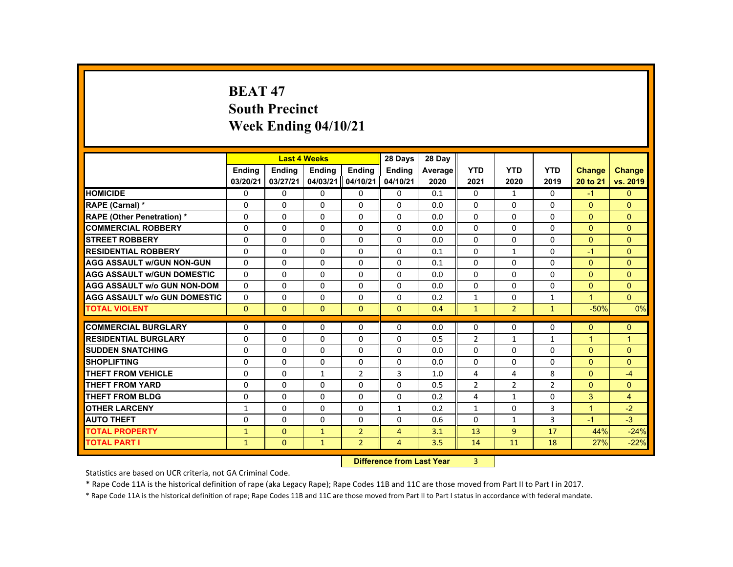# **BEAT 47 South Precinct Week Ending 04/10/21**

|                                     |               |               | <b>Last 4 Weeks</b> |                | 28 Days                                                                                                                                                                                                                        | 28 Day  |                |                |                |               |                |
|-------------------------------------|---------------|---------------|---------------------|----------------|--------------------------------------------------------------------------------------------------------------------------------------------------------------------------------------------------------------------------------|---------|----------------|----------------|----------------|---------------|----------------|
|                                     | <b>Ending</b> | <b>Ending</b> | <b>Ending</b>       | <b>Endina</b>  | <b>Ending</b>                                                                                                                                                                                                                  | Average | <b>YTD</b>     | <b>YTD</b>     | <b>YTD</b>     | <b>Change</b> | <b>Change</b>  |
|                                     | 03/20/21      | 03/27/21      | 04/03/21            | 04/10/21       | 04/10/21                                                                                                                                                                                                                       | 2020    | 2021           | 2020           | 2019           | 20 to 21      | vs. 2019       |
| <b>HOMICIDE</b>                     | 0             | $\Omega$      | 0                   | $\Omega$       | 0                                                                                                                                                                                                                              | 0.1     | $\mathbf{0}$   | $\mathbf{1}$   | $\mathbf{0}$   | $-1$          | $\Omega$       |
| RAPE (Carnal) *                     | 0             | $\Omega$      | 0                   | $\Omega$       | $\Omega$                                                                                                                                                                                                                       | 0.0     | $\Omega$       | 0              | 0              | $\Omega$      | $\Omega$       |
| <b>RAPE (Other Penetration) *</b>   | $\Omega$      | $\Omega$      | $\Omega$            | $\Omega$       | $\Omega$                                                                                                                                                                                                                       | 0.0     | $\Omega$       | $\Omega$       | $\Omega$       | $\Omega$      | $\Omega$       |
| <b>COMMERCIAL ROBBERY</b>           | $\Omega$      | $\Omega$      | $\Omega$            | $\Omega$       | $\Omega$                                                                                                                                                                                                                       | 0.0     | $\Omega$       | $\Omega$       | $\Omega$       | $\Omega$      | $\Omega$       |
| <b>STREET ROBBERY</b>               | $\Omega$      | $\Omega$      | $\Omega$            | $\Omega$       | $\Omega$                                                                                                                                                                                                                       | 0.0     | $\Omega$       | $\Omega$       | $\Omega$       | $\Omega$      | $\Omega$       |
| <b>RESIDENTIAL ROBBERY</b>          | 0             | $\mathbf{0}$  | 0                   | 0              | 0                                                                                                                                                                                                                              | 0.1     | 0              | $\mathbf{1}$   | 0              | $-1$          | $\mathbf{0}$   |
| <b>AGG ASSAULT WGUN NON-GUN</b>     | $\Omega$      | $\Omega$      | 0                   | $\Omega$       | $\Omega$                                                                                                                                                                                                                       | 0.1     | $\Omega$       | 0              | 0              | $\Omega$      | $\Omega$       |
| <b>AGG ASSAULT W/GUN DOMESTIC</b>   | $\Omega$      | $\Omega$      | $\Omega$            | $\Omega$       | $\Omega$                                                                                                                                                                                                                       | 0.0     | $\Omega$       | $\Omega$       | $\Omega$       | $\Omega$      | $\Omega$       |
| <b>AGG ASSAULT W/o GUN NON-DOM</b>  | $\Omega$      | $\Omega$      | $\Omega$            | $\Omega$       | $\Omega$                                                                                                                                                                                                                       | 0.0     | $\Omega$       | $\Omega$       | $\Omega$       | $\Omega$      | $\Omega$       |
| <b>AGG ASSAULT W/o GUN DOMESTIC</b> | $\Omega$      | $\Omega$      | $\Omega$            | $\Omega$       | $\Omega$                                                                                                                                                                                                                       | 0.2     | $\mathbf{1}$   | $\Omega$       | $\mathbf{1}$   | $\mathbf{1}$  | $\Omega$       |
| <b>TOTAL VIOLENT</b>                | $\mathbf{0}$  | $\mathbf{0}$  | $\mathbf{0}$        | $\mathbf{0}$   | $\mathbf{0}$                                                                                                                                                                                                                   | 0.4     | $\mathbf{1}$   | $\overline{2}$ | $\mathbf{1}$   | $-50%$        | 0%             |
|                                     |               |               |                     |                |                                                                                                                                                                                                                                |         |                |                |                |               |                |
| <b>COMMERCIAL BURGLARY</b>          | $\Omega$      | $\Omega$      | $\Omega$            | 0              | $\Omega$                                                                                                                                                                                                                       | 0.0     | 0              | 0              | 0              | $\Omega$      | $\mathbf{0}$   |
| <b>RESIDENTIAL BURGLARY</b>         | $\Omega$      | $\Omega$      | $\Omega$            | $\Omega$       | $\Omega$                                                                                                                                                                                                                       | 0.5     | $\overline{2}$ | $\mathbf{1}$   | $\mathbf{1}$   | $\mathbf{1}$  | $\overline{1}$ |
| <b>SUDDEN SNATCHING</b>             | 0             | $\mathbf{0}$  | 0                   | 0              | 0                                                                                                                                                                                                                              | 0.0     | 0              | 0              | 0              | $\Omega$      | $\mathbf{0}$   |
| <b>SHOPLIFTING</b>                  | $\Omega$      | $\Omega$      | $\Omega$            | $\Omega$       | $\Omega$                                                                                                                                                                                                                       | 0.0     | $\Omega$       | 0              | $\Omega$       | $\Omega$      | $\Omega$       |
| <b>THEFT FROM VEHICLE</b>           | $\Omega$      | $\Omega$      | $\mathbf{1}$        | $\overline{2}$ | 3                                                                                                                                                                                                                              | 1.0     | 4              | 4              | 8              | $\mathbf{0}$  | $-4$           |
| <b>THEFT FROM YARD</b>              | $\Omega$      | $\Omega$      | $\Omega$            | $\Omega$       | $\Omega$                                                                                                                                                                                                                       | 0.5     | $\overline{2}$ | $\overline{2}$ | $\overline{2}$ | $\Omega$      | $\Omega$       |
| <b>THEFT FROM BLDG</b>              | $\Omega$      | $\Omega$      | $\Omega$            | 0              | 0                                                                                                                                                                                                                              | 0.2     | 4              | $\mathbf{1}$   | 0              | 3             | 4              |
| <b>OTHER LARCENY</b>                | 1             | $\Omega$      | $\Omega$            | 0              | $\mathbf{1}$                                                                                                                                                                                                                   | 0.2     | $\mathbf{1}$   | 0              | 3              | $\mathbf{1}$  | $-2$           |
| <b>AUTO THEFT</b>                   | $\Omega$      | $\Omega$      | $\Omega$            | $\Omega$       | $\Omega$                                                                                                                                                                                                                       | 0.6     | $\Omega$       | $\mathbf{1}$   | 3              | $-1$          | $-3$           |
| <b>TOTAL PROPERTY</b>               | $\mathbf{1}$  | $\Omega$      | $\mathbf{1}$        | $\overline{2}$ | $\overline{4}$                                                                                                                                                                                                                 | 3.1     | 13             | 9              | 17             | 44%           | $-24%$         |
| <b>TOTAL PART I</b>                 | $\mathbf{1}$  | $\mathbf{0}$  | $\mathbf{1}$        | $\overline{2}$ | $\overline{4}$                                                                                                                                                                                                                 | 3.5     | 14             | 11             | 18             | 27%           | $-22%$         |
|                                     |               |               |                     | <b>CARLES</b>  | and the company of the second states of the second states of the second states of the second states of the second states of the second states of the second states of the second states of the second states of the second sta |         | $\sim$         |                |                |               |                |

 **Difference from Last Year**r 3

Statistics are based on UCR criteria, not GA Criminal Code.

\* Rape Code 11A is the historical definition of rape (aka Legacy Rape); Rape Codes 11B and 11C are those moved from Part II to Part I in 2017.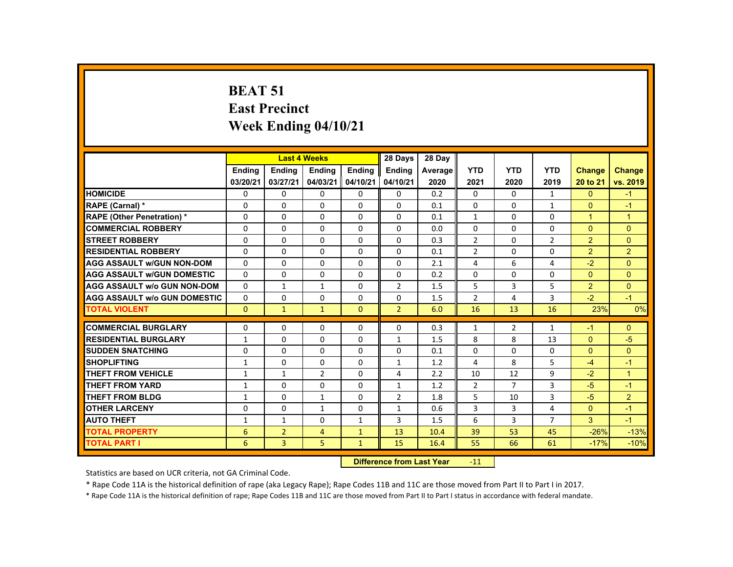# **BEAT 51 East Precinct Week Ending 04/10/21**

|                                     |               | <b>Last 4 Weeks</b>              |                |               | 28 Days        | 28 Day  |                |                |                |                |                |
|-------------------------------------|---------------|----------------------------------|----------------|---------------|----------------|---------|----------------|----------------|----------------|----------------|----------------|
|                                     | <b>Endina</b> | Ending                           | <b>Ending</b>  | <b>Endina</b> | <b>Ending</b>  | Average | <b>YTD</b>     | <b>YTD</b>     | <b>YTD</b>     | <b>Change</b>  | <b>Change</b>  |
|                                     | 03/20/21      | 03/27/21                         | 04/03/21       | 04/10/21      | 04/10/21       | 2020    | 2021           | 2020           | 2019           | 20 to 21       | vs. 2019       |
| <b>HOMICIDE</b>                     | $\Omega$      | $\Omega$                         | $\Omega$       | $\Omega$      | 0              | 0.2     | $\Omega$       | $\Omega$       | $\mathbf{1}$   | $\Omega$       | $-1$           |
| RAPE (Carnal) *                     | $\Omega$      | $\Omega$                         | $\Omega$       | $\Omega$      | $\Omega$       | 0.1     | $\Omega$       | $\Omega$       | $\mathbf{1}$   | $\Omega$       | $-1$           |
| <b>RAPE (Other Penetration) *</b>   | $\Omega$      | $\Omega$                         | $\Omega$       | $\Omega$      | $\Omega$       | 0.1     | $\mathbf{1}$   | $\Omega$       | $\Omega$       | $\mathbf{1}$   | $\overline{1}$ |
| <b>COMMERCIAL ROBBERY</b>           | $\Omega$      | $\Omega$                         | $\Omega$       | $\Omega$      | $\Omega$       | 0.0     | $\Omega$       | $\Omega$       | $\Omega$       | $\Omega$       | $\Omega$       |
| <b>STREET ROBBERY</b>               | $\Omega$      | $\Omega$                         | $\Omega$       | $\Omega$      | $\Omega$       | 0.3     | $\overline{2}$ | $\Omega$       | $\overline{2}$ | $\overline{2}$ | $\Omega$       |
| <b>RESIDENTIAL ROBBERY</b>          | $\Omega$      | $\Omega$                         | $\Omega$       | 0             | $\Omega$       | 0.1     | $\overline{2}$ | $\Omega$       | $\Omega$       | $\overline{2}$ | $\overline{2}$ |
| <b>AGG ASSAULT w/GUN NON-DOM</b>    | $\Omega$      | $\Omega$                         | $\Omega$       | $\Omega$      | $\Omega$       | 2.1     | 4              | 6              | 4              | $-2$           | $\Omega$       |
| <b>AGG ASSAULT w/GUN DOMESTIC</b>   | $\Omega$      | $\Omega$                         | $\Omega$       | $\Omega$      | $\Omega$       | 0.2     | $\Omega$       | $\Omega$       | $\Omega$       | $\Omega$       | $\Omega$       |
| <b>AGG ASSAULT w/o GUN NON-DOM</b>  | $\Omega$      | $\mathbf{1}$                     | $\mathbf{1}$   | $\Omega$      | $\overline{2}$ | 1.5     | 5              | $\overline{3}$ | 5              | $\overline{2}$ | $\Omega$       |
| <b>AGG ASSAULT w/o GUN DOMESTIC</b> | $\mathbf{0}$  | 0                                | 0              | 0             | 0              | 1.5     | $\overline{2}$ | 4              | 3              | $-2$           | $-1$           |
| <b>TOTAL VIOLENT</b>                | $\Omega$      | $\mathbf{1}$                     | $\mathbf{1}$   | $\Omega$      | $\overline{2}$ | 6.0     | 16             | 13             | 16             | 23%            | 0%             |
| <b>COMMERCIAL BURGLARY</b>          | 0             | 0                                | 0              | 0             | 0              | 0.3     | 1              | $\overline{2}$ | $\mathbf{1}$   | $-1$           | $\overline{0}$ |
| <b>RESIDENTIAL BURGLARY</b>         | $\mathbf{1}$  | $\Omega$                         | $\Omega$       | $\Omega$      | $\mathbf{1}$   | 1.5     | 8              | 8              | 13             | $\Omega$       | $-5$           |
| <b>SUDDEN SNATCHING</b>             | 0             | $\Omega$                         | $\Omega$       | 0             | 0              | 0.1     | 0              | $\Omega$       | 0              | $\Omega$       | $\overline{0}$ |
| <b>SHOPLIFTING</b>                  | $\mathbf{1}$  | $\Omega$                         | $\Omega$       | $\Omega$      | $\mathbf{1}$   | 1.2     | 4              | 8              | 5              | $-4$           | $-1$           |
| <b>THEFT FROM VEHICLE</b>           | $\mathbf{1}$  | $\mathbf{1}$                     | $\overline{2}$ | $\Omega$      | 4              | 2.2     | 10             | 12             | 9              | $-2$           | $\mathbf{1}$   |
| <b>THEFT FROM YARD</b>              | 1             | $\Omega$                         | $\Omega$       | $\Omega$      | 1              | 1.2     | $\overline{2}$ | $\overline{7}$ | 3              | $-5$           | $-1$           |
| <b>THEFT FROM BLDG</b>              | $\mathbf{1}$  | $\Omega$                         | $\mathbf{1}$   | $\Omega$      | $\overline{2}$ | 1.8     | 5              | 10             | 3              | $-5$           | $\overline{2}$ |
| <b>OTHER LARCENY</b>                | $\Omega$      | $\Omega$                         | $\mathbf{1}$   | $\Omega$      | $\mathbf{1}$   | 0.6     | 3              | 3              | 4              | $\mathbf{0}$   | $-1$           |
| <b>AUTO THEFT</b>                   | $\mathbf{1}$  | $\mathbf{1}$                     | $\Omega$       | $\mathbf{1}$  | 3              | 1.5     | 6              | 3              | $\overline{7}$ | $\overline{3}$ | $-1$           |
| <b>TOTAL PROPERTY</b>               | 6             | $\overline{2}$                   | $\overline{4}$ | $\mathbf{1}$  | 13             | 10.4    | 39             | 53             | 45             | $-26%$         | $-13%$         |
| <b>TOTAL PART I</b>                 | 6             | $\overline{3}$                   | 5              | $\mathbf{1}$  | 15             | 16.4    | 55             | 66             | 61             | $-17%$         | $-10%$         |
|                                     |               | <b>Difference from Last Year</b> |                | $-11$         |                |         |                |                |                |                |                |

Statistics are based on UCR criteria, not GA Criminal Code.

\* Rape Code 11A is the historical definition of rape (aka Legacy Rape); Rape Codes 11B and 11C are those moved from Part II to Part I in 2017.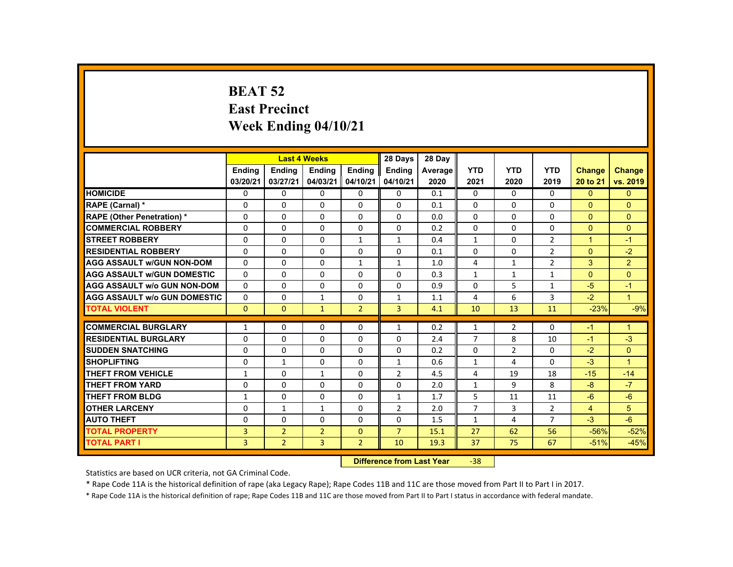# **BEAT 52 East Precinct Week Ending 04/10/21**

|                                     |                           |                | <b>Last 4 Weeks</b> |                | 28 Days        | 28 Day  |                |                |                |                      |                      |
|-------------------------------------|---------------------------|----------------|---------------------|----------------|----------------|---------|----------------|----------------|----------------|----------------------|----------------------|
|                                     | Ending                    | <b>Ending</b>  | <b>Ending</b>       | <b>Ending</b>  | <b>Ending</b>  | Average | <b>YTD</b>     | <b>YTD</b>     | <b>YTD</b>     | <b>Change</b>        | <b>Change</b>        |
|                                     | 03/20/21                  | 03/27/21       | 04/03/21            | 04/10/21       | 04/10/21       | 2020    | 2021           | 2020           | 2019           | 20 to 21             | vs. 2019             |
| <b>HOMICIDE</b>                     | $\Omega$                  | $\Omega$       | $\Omega$            | $\Omega$       | $\mathbf{0}$   | 0.1     | $\Omega$       | $\Omega$       | $\Omega$       | $\Omega$             | $\Omega$             |
| RAPE (Carnal) *                     | 0                         | $\Omega$       | $\Omega$            | $\Omega$       | $\Omega$       | 0.1     | $\Omega$       | $\Omega$       | $\Omega$       | $\Omega$             | $\Omega$             |
| <b>RAPE (Other Penetration) *</b>   | $\Omega$                  | $\Omega$       | $\Omega$            | $\Omega$       | $\Omega$       | 0.0     | $\Omega$       | $\Omega$       | $\Omega$       | $\Omega$             | $\Omega$             |
| <b>COMMERCIAL ROBBERY</b>           | $\Omega$                  | $\Omega$       | $\Omega$            | $\Omega$       | $\Omega$       | 0.2     | $\Omega$       | $\Omega$       | $\Omega$       | $\mathbf{0}$         | $\Omega$             |
| <b>STREET ROBBERY</b>               | $\Omega$                  | $\Omega$       | $\Omega$            | $\mathbf{1}$   | $\mathbf{1}$   | 0.4     | $\mathbf{1}$   | $\Omega$       | $\overline{2}$ | $\blacktriangleleft$ | $-1$                 |
| <b>RESIDENTIAL ROBBERY</b>          | 0                         | $\mathbf{0}$   | 0                   | $\mathbf{0}$   | $\mathbf{0}$   | 0.1     | $\Omega$       | 0              | $\overline{2}$ | $\Omega$             | $-2$                 |
| <b>AGG ASSAULT W/GUN NON-DOM</b>    | $\Omega$                  | $\Omega$       | $\Omega$            | $\mathbf{1}$   | $\mathbf{1}$   | 1.0     | 4              | $\mathbf{1}$   | $\overline{2}$ | 3                    | $\overline{2}$       |
| <b>AGG ASSAULT W/GUN DOMESTIC</b>   | $\Omega$                  | $\Omega$       | $\Omega$            | $\Omega$       | $\Omega$       | 0.3     | $\mathbf{1}$   | $\mathbf{1}$   | $\mathbf{1}$   | $\Omega$             | $\Omega$             |
| <b>AGG ASSAULT w/o GUN NON-DOM</b>  | $\Omega$                  | $\Omega$       | $\Omega$            | $\Omega$       | $\Omega$       | 0.9     | $\Omega$       | 5              | $\mathbf{1}$   | $-5$                 | $-1$                 |
| <b>AGG ASSAULT W/o GUN DOMESTIC</b> | $\Omega$                  | $\Omega$       | $\mathbf{1}$        | $\Omega$       | $\mathbf{1}$   | 1.1     | 4              | 6              | $\overline{3}$ | $-2$                 | ◆                    |
| <b>TOTAL VIOLENT</b>                | $\Omega$                  | $\mathbf{0}$   | $\mathbf{1}$        | $\overline{2}$ | $\overline{3}$ | 4.1     | 10             | 13             | 11             | $-23%$               | $-9%$                |
| <b>COMMERCIAL BURGLARY</b>          | $\mathbf{1}$              | $\Omega$       | $\Omega$            | $\Omega$       | $\mathbf{1}$   | 0.2     | $\mathbf{1}$   | $\overline{2}$ | $\Omega$       | $-1$                 | $\blacktriangleleft$ |
| <b>RESIDENTIAL BURGLARY</b>         | $\Omega$                  | $\Omega$       | $\Omega$            | $\Omega$       | $\Omega$       | 2.4     | $\overline{7}$ | 8              | 10             | $-1$                 | $-3$                 |
| <b>SUDDEN SNATCHING</b>             | $\Omega$                  | $\Omega$       | $\Omega$            | $\Omega$       | $\Omega$       | 0.2     | $\Omega$       | $\overline{2}$ | $\Omega$       | $-2$                 | $\Omega$             |
| <b>SHOPLIFTING</b>                  | $\Omega$                  | $\mathbf{1}$   | $\Omega$            | $\Omega$       | $\mathbf{1}$   | 0.6     | $\mathbf{1}$   | 4              | $\Omega$       | $-3$                 | $\overline{1}$       |
| <b>THEFT FROM VEHICLE</b>           | $\mathbf{1}$              | $\Omega$       | $\mathbf{1}$        | $\Omega$       | $\overline{2}$ | 4.5     | 4              | 19             | 18             | $-15$                | $-14$                |
| <b>THEFT FROM YARD</b>              | $\Omega$                  | $\Omega$       | $\Omega$            | $\Omega$       | $\Omega$       | 2.0     | $\mathbf{1}$   | 9              | 8              | $-8$                 | $-7$                 |
| <b>THEFT FROM BLDG</b>              | $\mathbf{1}$              | $\Omega$       | $\Omega$            | $\Omega$       | $\mathbf{1}$   | 1.7     | 5              | 11             | 11             | $-6$                 | $-6$                 |
| <b>OTHER LARCENY</b>                | $\Omega$                  | $\mathbf{1}$   | $\mathbf{1}$        | $\Omega$       | 2              | 2.0     | $\overline{7}$ | 3              | $\overline{2}$ | $\overline{4}$       | 5                    |
| <b>AUTO THEFT</b>                   | $\Omega$                  | $\Omega$       | $\Omega$            | $\Omega$       | $\Omega$       | 1.5     | $\mathbf{1}$   | $\overline{4}$ | $\overline{7}$ | $-3$                 | $-6$                 |
| <b>TOTAL PROPERTY</b>               | $\overline{3}$            | $\overline{2}$ | $\overline{2}$      | $\Omega$       | $\overline{7}$ | 15.1    | 27             | 62             | 56             | $-56%$               | $-52%$               |
| <b>TOTAL PART I</b>                 | 3                         | $\overline{2}$ | 3                   | $\overline{2}$ | 10             | 19.3    | 37             | 75             | 67             | $-51%$               | $-45%$               |
|                                     | Difference from Loot Voor |                |                     |                |                |         | $20^{\circ}$   |                |                |                      |                      |

 **Difference from Last Year**‐38

Statistics are based on UCR criteria, not GA Criminal Code.

\* Rape Code 11A is the historical definition of rape (aka Legacy Rape); Rape Codes 11B and 11C are those moved from Part II to Part I in 2017.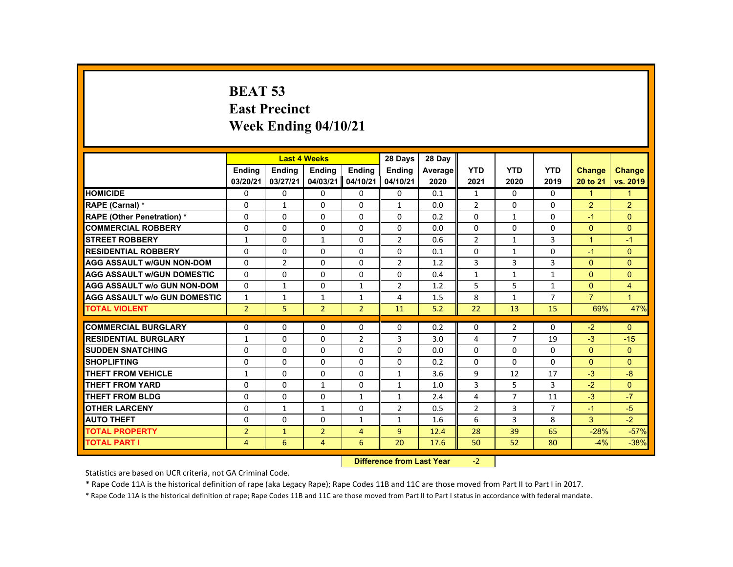# **BEAT 53 East Precinct Week Ending 04/10/21**

|                                     |                |                | <b>Last 4 Weeks</b> |                | 28 Days        | 28 Day  |                |                |                |                      |                |
|-------------------------------------|----------------|----------------|---------------------|----------------|----------------|---------|----------------|----------------|----------------|----------------------|----------------|
|                                     | <b>Ending</b>  | <b>Ending</b>  | <b>Ending</b>       | <b>Ending</b>  | <b>Endina</b>  | Average | <b>YTD</b>     | <b>YTD</b>     | <b>YTD</b>     | <b>Change</b>        | <b>Change</b>  |
|                                     | 03/20/21       | 03/27/21       | 04/03/21            | 04/10/21       | 04/10/21       | 2020    | 2021           | 2020           | 2019           | 20 to 21             | vs. 2019       |
| <b>HOMICIDE</b>                     | $\Omega$       | $\Omega$       | $\Omega$            | $\Omega$       | 0              | 0.1     | $\mathbf{1}$   | $\Omega$       | $\Omega$       | $\mathbf{1}$         | $\mathbf{1}$   |
| RAPE (Carnal) *                     | $\Omega$       | $\mathbf{1}$   | $\Omega$            | $\mathbf{0}$   | $\mathbf{1}$   | 0.0     | $\overline{2}$ | 0              | $\Omega$       | $\overline{2}$       | $\overline{2}$ |
| <b>RAPE (Other Penetration) *</b>   | $\Omega$       | $\Omega$       | $\Omega$            | $\Omega$       | $\Omega$       | 0.2     | $\Omega$       | 1              | $\Omega$       | $-1$                 | $\Omega$       |
| <b>COMMERCIAL ROBBERY</b>           | $\mathbf{0}$   | $\Omega$       | $\Omega$            | $\Omega$       | 0              | 0.0     | $\Omega$       | $\Omega$       | 0              | $\mathbf{0}$         | $\mathbf{0}$   |
| <b>STREET ROBBERY</b>               | $\mathbf{1}$   | $\Omega$       | $\mathbf{1}$        | $\Omega$       | $\overline{2}$ | 0.6     | $\overline{2}$ | $\mathbf{1}$   | 3              | $\blacktriangleleft$ | $-1$           |
| <b>RESIDENTIAL ROBBERY</b>          | $\mathbf{0}$   | 0              | $\mathbf{0}$        | 0              | 0              | 0.1     | 0              | 1              | 0              | $-1$                 | $\mathbf{0}$   |
| <b>AGG ASSAULT W/GUN NON-DOM</b>    | $\mathbf{0}$   | $\overline{2}$ | $\Omega$            | $\Omega$       | $\overline{2}$ | 1.2     | 3              | 3              | 3              | $\Omega$             | $\Omega$       |
| <b>AGG ASSAULT W/GUN DOMESTIC</b>   | $\Omega$       | $\Omega$       | $\Omega$            | $\Omega$       | $\Omega$       | 0.4     | $\mathbf{1}$   | $\mathbf{1}$   | $\mathbf{1}$   | $\Omega$             | $\Omega$       |
| <b>AGG ASSAULT w/o GUN NON-DOM</b>  | $\Omega$       | $\mathbf{1}$   | $\Omega$            | $\mathbf{1}$   | $\overline{2}$ | 1.2     | 5              | 5              | $\mathbf{1}$   | $\overline{0}$       | $\overline{4}$ |
| <b>AGG ASSAULT W/o GUN DOMESTIC</b> | $\mathbf{1}$   | $\mathbf{1}$   | $\mathbf{1}$        | $\mathbf{1}$   | 4              | 1.5     | 8              | $\mathbf{1}$   | $\overline{7}$ | $\overline{7}$       | $\mathbf{1}$   |
| <b>TOTAL VIOLENT</b>                | $\overline{2}$ | 5              | $\overline{2}$      | 2 <sup>1</sup> | 11             | 5.2     | 22             | 13             | 15             | 69%                  | 47%            |
| <b>COMMERCIAL BURGLARY</b>          | $\mathbf{0}$   | $\Omega$       | $\Omega$            | $\Omega$       | $\Omega$       | 0.2     | $\Omega$       | $\overline{2}$ | $\Omega$       | $-2$                 | $\Omega$       |
| <b>RESIDENTIAL BURGLARY</b>         | $\mathbf{1}$   | $\Omega$       | $\mathbf{0}$        | $\overline{2}$ | 3              | 3.0     | 4              | $\overline{7}$ | 19             | $-3$                 | $-15$          |
| <b>SUDDEN SNATCHING</b>             | $\Omega$       | $\Omega$       | $\Omega$            | $\Omega$       | $\Omega$       | 0.0     | $\Omega$       | $\Omega$       | $\Omega$       | $\mathbf{0}$         | $\Omega$       |
| <b>SHOPLIFTING</b>                  | $\Omega$       | $\Omega$       | $\Omega$            | $\Omega$       | $\Omega$       | 0.2     | $\Omega$       | $\Omega$       | $\Omega$       | $\Omega$             | $\Omega$       |
| <b>THEFT FROM VEHICLE</b>           | $\mathbf{1}$   | $\Omega$       | $\Omega$            | $\Omega$       | $\mathbf{1}$   | 3.6     | 9              | 12             | 17             | $-3$                 | $-8$           |
| <b>THEFT FROM YARD</b>              | $\Omega$       | $\Omega$       | $\mathbf{1}$        | 0              | $\mathbf{1}$   | 1.0     | 3              | 5              | 3              | $-2$                 | $\Omega$       |
| <b>THEFT FROM BLDG</b>              | $\mathbf{0}$   | $\mathbf{0}$   | $\mathbf{0}$        | $\mathbf{1}$   | $\mathbf{1}$   | 2.4     | 4              | $\overline{7}$ | 11             | $-3$                 | $-7$           |
| <b>OTHER LARCENY</b>                | $\Omega$       | $\mathbf{1}$   | $\mathbf{1}$        | $\Omega$       | $\overline{2}$ | 0.5     | $\overline{2}$ | 3              | $\overline{7}$ | $-1$                 | $-5$           |
| <b>AUTO THEFT</b>                   | $\Omega$       | $\Omega$       | $\Omega$            | $\mathbf{1}$   | $\mathbf{1}$   | 1.6     | 6              | 3              | 8              | $\mathbf{3}$         | $-2$           |
| <b>TOTAL PROPERTY</b>               | $\overline{2}$ | $\mathbf{1}$   | $\overline{2}$      | $\overline{4}$ | $\overline{9}$ | 12.4    | 28             | 39             | 65             | $-28%$               | $-57%$         |
| <b>TOTAL PART I</b>                 | $\overline{4}$ | 6              | $\overline{4}$      | 6              | 20             | 17.6    | 50             | 52             | 80             | $-4%$                | $-38%$         |
|                                     |                |                |                     |                |                |         |                |                |                |                      |                |

 **Difference from Last Year**‐2

Statistics are based on UCR criteria, not GA Criminal Code.

\* Rape Code 11A is the historical definition of rape (aka Legacy Rape); Rape Codes 11B and 11C are those moved from Part II to Part I in 2017.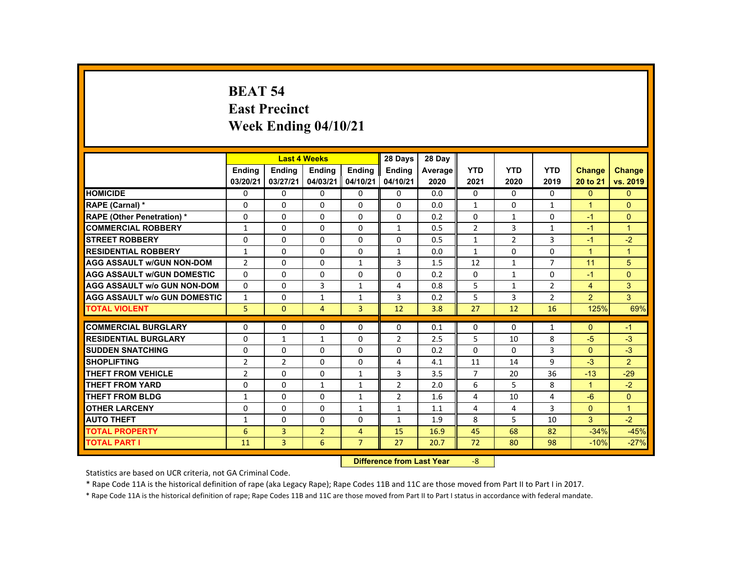### **BEAT 54 East Precinct Week Ending 04/10/21**

|                                     |                           |                | <b>Last 4 Weeks</b> |                | 28 Days        | 28 Day  |                |                |                |                      |                      |
|-------------------------------------|---------------------------|----------------|---------------------|----------------|----------------|---------|----------------|----------------|----------------|----------------------|----------------------|
|                                     | <b>Ending</b>             | <b>Ending</b>  | <b>Ending</b>       | <b>Ending</b>  | Ending         | Average | <b>YTD</b>     | <b>YTD</b>     | <b>YTD</b>     | <b>Change</b>        | <b>Change</b>        |
|                                     | 03/20/21                  | 03/27/21       | 04/03/21            | 04/10/21       | 04/10/21       | 2020    | 2021           | 2020           | 2019           | 20 to 21             | vs. 2019             |
| <b>HOMICIDE</b>                     | $\Omega$                  | $\Omega$       | $\mathbf{0}$        | $\Omega$       | 0              | 0.0     | 0              | $\Omega$       | $\Omega$       | $\Omega$             | $\Omega$             |
| RAPE (Carnal) *                     | 0                         | $\Omega$       | $\Omega$            | $\Omega$       | $\Omega$       | 0.0     | $\mathbf{1}$   | $\Omega$       | $\mathbf{1}$   | $\blacktriangleleft$ | $\Omega$             |
| <b>RAPE (Other Penetration) *</b>   | $\Omega$                  | $\Omega$       | $\Omega$            | $\Omega$       | $\Omega$       | 0.2     | $\Omega$       | $\mathbf{1}$   | $\Omega$       | $-1$                 | $\Omega$             |
| <b>COMMERCIAL ROBBERY</b>           | $\mathbf{1}$              | $\Omega$       | $\Omega$            | $\Omega$       | $\mathbf{1}$   | 0.5     | $\overline{2}$ | 3              | $\mathbf{1}$   | $-1$                 | $\overline{1}$       |
| <b>STREET ROBBERY</b>               | $\Omega$                  | $\Omega$       | $\Omega$            | $\Omega$       | $\Omega$       | 0.5     | $\mathbf{1}$   | $\overline{2}$ | 3              | $-1$                 | $-2$                 |
| <b>RESIDENTIAL ROBBERY</b>          | $\mathbf{1}$              | $\Omega$       | $\Omega$            | $\Omega$       | $\mathbf{1}$   | 0.0     | $\mathbf{1}$   | 0              | 0              | $\blacktriangleleft$ | $\mathbf{1}$         |
| <b>AGG ASSAULT W/GUN NON-DOM</b>    | $\overline{2}$            | $\Omega$       | $\Omega$            | $\mathbf{1}$   | 3              | 1.5     | 12             | $\mathbf{1}$   | $\overline{7}$ | 11                   | 5                    |
| <b>AGG ASSAULT W/GUN DOMESTIC</b>   | $\Omega$                  | $\Omega$       | $\Omega$            | $\Omega$       | $\Omega$       | 0.2     | $\Omega$       | $\mathbf{1}$   | $\Omega$       | $-1$                 | $\Omega$             |
| <b>AGG ASSAULT w/o GUN NON-DOM</b>  | $\Omega$                  | $\Omega$       | $\overline{3}$      | $\mathbf{1}$   | 4              | 0.8     | 5              | $\mathbf{1}$   | $\overline{2}$ | $\overline{4}$       | 3                    |
| <b>AGG ASSAULT W/o GUN DOMESTIC</b> | $\mathbf{1}$              | $\Omega$       | $\mathbf{1}$        | $\mathbf{1}$   | 3              | 0.2     | 5              | $\overline{3}$ | $\overline{2}$ | $\overline{2}$       | 3                    |
| <b>TOTAL VIOLENT</b>                | 5                         | $\mathbf{0}$   | $\overline{4}$      | $\overline{3}$ | 12             | 3.8     | 27             | 12             | 16             | 125%                 | 69%                  |
| <b>COMMERCIAL BURGLARY</b>          | $\Omega$                  | $\Omega$       | $\Omega$            | $\Omega$       | $\Omega$       | 0.1     | 0              | $\Omega$       | $\mathbf{1}$   | $\Omega$             | $-1$                 |
| <b>RESIDENTIAL BURGLARY</b>         | $\Omega$                  | $\mathbf{1}$   | $\mathbf{1}$        | $\Omega$       | 2              | 2.5     | 5              | 10             | 8              | $-5$                 | $-3$                 |
| <b>SUDDEN SNATCHING</b>             | $\Omega$                  | $\Omega$       | $\Omega$            | $\Omega$       | $\Omega$       | 0.2     | $\Omega$       | $\Omega$       | 3              | $\Omega$             | $-3$                 |
| <b>SHOPLIFTING</b>                  | 2                         | 2              | $\Omega$            | $\Omega$       | 4              | 4.1     | 11             | 14             | 9              | $-3$                 | $\overline{2}$       |
| <b>THEFT FROM VEHICLE</b>           | $\overline{2}$            | $\Omega$       | $\Omega$            | $\mathbf{1}$   | 3              | 3.5     | $\overline{7}$ | 20             | 36             | $-13$                | $-29$                |
| <b>THEFT FROM YARD</b>              | $\Omega$                  | $\Omega$       | $\mathbf{1}$        | $\mathbf{1}$   | $\overline{2}$ | 2.0     | 6              | 5              | 8              | $\blacktriangleleft$ | $-2$                 |
| <b>THEFT FROM BLDG</b>              | 1                         | $\Omega$       | $\Omega$            | 1              | $\overline{2}$ | 1.6     | 4              | 10             | 4              | $-6$                 | $\overline{0}$       |
| <b>OTHER LARCENY</b>                | $\Omega$                  | $\Omega$       | $\Omega$            | $\mathbf{1}$   | $\mathbf{1}$   | 1.1     | 4              | 4              | 3              | $\Omega$             | $\blacktriangleleft$ |
| <b>AUTO THEFT</b>                   |                           |                |                     |                |                |         | 8              | 5              | 10             | 3                    |                      |
|                                     | $\mathbf{1}$              | $\Omega$       | $\Omega$            | $\Omega$       | $\mathbf{1}$   | 1.9     |                |                |                |                      | $-2$                 |
| <b>TOTAL PROPERTY</b>               | 6                         | $\overline{3}$ | $\overline{2}$      | $\overline{4}$ | 15             | 16.9    | 45             | 68             | 82             | $-34%$               | $-45%$               |
| <b>TOTAL PART I</b>                 | 11                        | 3              | 6                   | $\overline{7}$ | 27             | 20.7    | 72             | 80             | 98             | $-10%$               | $-27%$               |
|                                     | Difference from Loot Voor |                |                     |                |                |         |                |                |                |                      |                      |

 **Difference from Last Year**‐8

Statistics are based on UCR criteria, not GA Criminal Code.

\* Rape Code 11A is the historical definition of rape (aka Legacy Rape); Rape Codes 11B and 11C are those moved from Part II to Part I in 2017.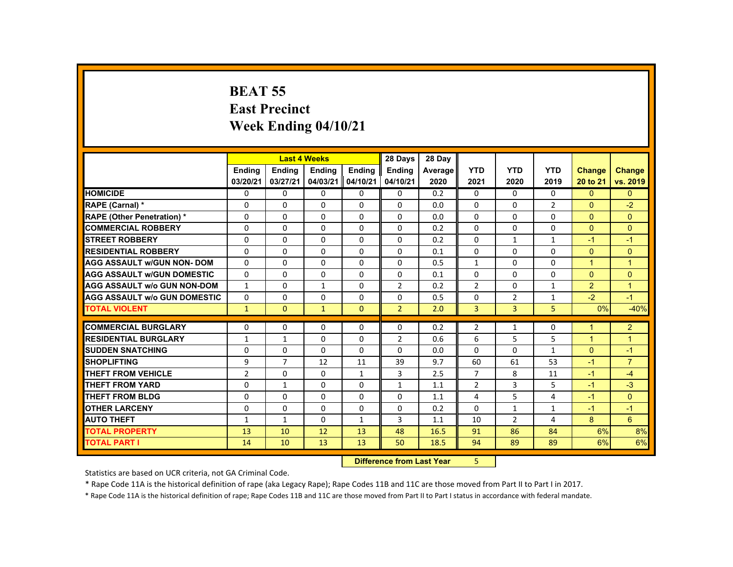# **BEAT 55 East Precinct Week Ending 04/10/21**

|                                     |                |                | <b>Last 4 Weeks</b> |               | 28 Days        | 28 Day  |                |                |                |                      |                |
|-------------------------------------|----------------|----------------|---------------------|---------------|----------------|---------|----------------|----------------|----------------|----------------------|----------------|
|                                     | <b>Endina</b>  | <b>Endina</b>  | <b>Endina</b>       | <b>Endina</b> | <b>Endina</b>  | Average | <b>YTD</b>     | <b>YTD</b>     | <b>YTD</b>     | <b>Change</b>        | <b>Change</b>  |
|                                     | 03/20/21       | 03/27/21       | 04/03/21            | 04/10/21      | 04/10/21       | 2020    | 2021           | 2020           | 2019           | 20 to 21             | vs. 2019       |
| <b>HOMICIDE</b>                     | $\Omega$       | $\Omega$       | $\Omega$            | $\Omega$      | 0              | 0.2     | 0              | $\Omega$       | $\Omega$       | $\mathbf{0}$         | $\mathbf{0}$   |
| RAPE (Carnal) *                     | 0              | $\Omega$       | $\Omega$            | $\Omega$      | $\Omega$       | 0.0     | $\Omega$       | $\Omega$       | $\overline{2}$ | $\Omega$             | $-2$           |
| <b>RAPE (Other Penetration)*</b>    | $\Omega$       | $\Omega$       | $\Omega$            | $\Omega$      | $\Omega$       | 0.0     | $\Omega$       | $\Omega$       | $\Omega$       | $\Omega$             | $\Omega$       |
| <b>COMMERCIAL ROBBERY</b>           | $\Omega$       | $\Omega$       | $\Omega$            | 0             | 0              | 0.2     | $\Omega$       | $\mathbf{0}$   | 0              | $\Omega$             | $\mathbf{0}$   |
| <b>STREET ROBBERY</b>               | $\Omega$       | $\Omega$       | $\Omega$            | $\Omega$      | $\Omega$       | 0.2     | $\Omega$       | $\mathbf{1}$   | $\mathbf{1}$   | $-1$                 | $-1$           |
| <b>RESIDENTIAL ROBBERY</b>          | $\Omega$       | $\Omega$       | $\Omega$            | $\Omega$      | $\Omega$       | 0.1     | $\Omega$       | $\Omega$       | $\Omega$       | $\Omega$             | $\Omega$       |
| <b>AGG ASSAULT w/GUN NON-DOM</b>    | $\mathbf{0}$   | $\Omega$       | $\Omega$            | $\Omega$      | $\Omega$       | 0.5     | $\mathbf{1}$   | $\Omega$       | $\Omega$       | $\mathbf{1}$         | $\overline{1}$ |
| <b>AGG ASSAULT w/GUN DOMESTIC</b>   | $\Omega$       | $\Omega$       | $\Omega$            | $\Omega$      | $\Omega$       | 0.1     | $\Omega$       | $\Omega$       | $\Omega$       | $\Omega$             | $\Omega$       |
| <b>AGG ASSAULT w/o GUN NON-DOM</b>  | $\mathbf{1}$   | $\Omega$       | $\mathbf{1}$        | 0             | $\overline{2}$ | 0.2     | $\overline{2}$ | $\Omega$       | $\mathbf{1}$   | $\overline{2}$       | $\overline{1}$ |
| <b>AGG ASSAULT w/o GUN DOMESTIC</b> | $\Omega$       | $\Omega$       | $\Omega$            | $\Omega$      | $\Omega$       | 0.5     | $\Omega$       | $\overline{2}$ | $\mathbf{1}$   | $-2$                 | $-1$           |
| <b>TOTAL VIOLENT</b>                | $\mathbf{1}$   | $\mathbf{0}$   | $\mathbf{1}$        | $\mathbf{0}$  | $\overline{2}$ | 2.0     | 3              | 3              | 5              | 0%                   | $-40%$         |
| <b>COMMERCIAL BURGLARY</b>          | $\Omega$       | $\Omega$       | $\Omega$            | $\Omega$      | $\Omega$       | 0.2     | $\overline{2}$ | $\mathbf{1}$   | 0              | $\blacktriangleleft$ | $\overline{2}$ |
| <b>RESIDENTIAL BURGLARY</b>         | $\mathbf{1}$   | $\mathbf{1}$   | $\Omega$            | $\Omega$      | $\overline{2}$ | 0.6     | 6              | 5              | 5              | $\mathbf{1}$         | $\overline{1}$ |
| <b>SUDDEN SNATCHING</b>             | 0              | $\Omega$       | $\Omega$            | $\Omega$      | $\Omega$       | 0.0     | $\Omega$       | 0              | $\mathbf{1}$   | $\Omega$             | $-1$           |
| <b>SHOPLIFTING</b>                  | 9              | $\overline{7}$ | 12                  | 11            | 39             | 9.7     | 60             | 61             | 53             | $-1$                 | $\overline{7}$ |
| <b>THEFT FROM VEHICLE</b>           | $\overline{2}$ | $\Omega$       | $\Omega$            | $\mathbf{1}$  | 3              | 2.5     | $\overline{7}$ | 8              | 11             | $-1$                 | $-4$           |
| <b>THEFT FROM YARD</b>              | $\Omega$       | $\mathbf{1}$   | $\Omega$            | $\Omega$      | $\mathbf{1}$   | 1.1     | $\overline{2}$ | 3              | 5              | $-1$                 | $-3$           |
| <b>THEFT FROM BLDG</b>              | $\Omega$       | $\Omega$       | $\Omega$            | $\Omega$      | $\Omega$       | 1.1     | 4              | 5              | 4              | $-1$                 | $\Omega$       |
| <b>OTHER LARCENY</b>                | 0              | $\Omega$       | $\mathbf{0}$        | 0             | 0              | 0.2     | $\Omega$       | $\mathbf{1}$   | $\mathbf{1}$   | $-1$                 | $-1$           |
| <b>AUTO THEFT</b>                   | 1              | $\mathbf{1}$   | $\Omega$            | $\mathbf{1}$  | 3              | 1.1     | 10             | $\overline{2}$ | 4              | 8                    | 6              |
| <b>TOTAL PROPERTY</b>               | 13             | 10             | 12                  | 13            | 48             | 16.5    | 91             | 86             | 84             | 6%                   | 8%             |
| <b>TOTAL PART I</b>                 | 14             | 10             | 13                  | 13            | 50             | 18.5    | 94             | 89             | 89             | 6%                   | 6%             |
|                                     |                |                |                     |               |                |         |                |                |                |                      |                |

 **Difference from Last Year**5

Statistics are based on UCR criteria, not GA Criminal Code.

\* Rape Code 11A is the historical definition of rape (aka Legacy Rape); Rape Codes 11B and 11C are those moved from Part II to Part I in 2017.